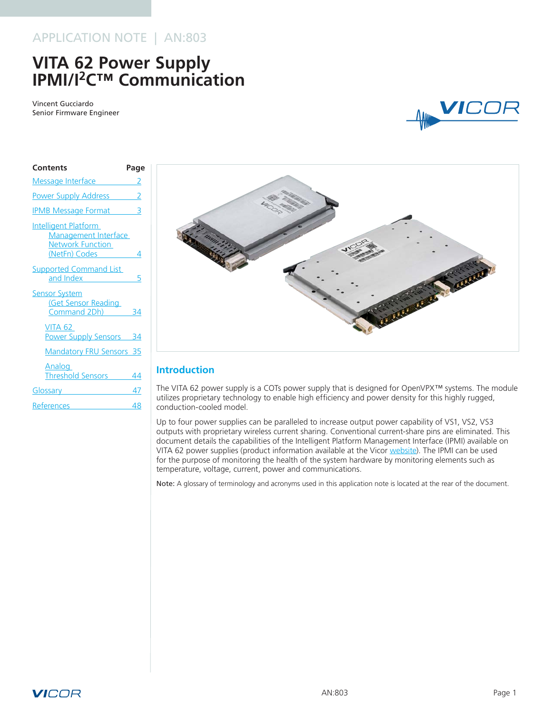# APPLICATION NOTE | AN:803

# **VITA 62 Power Supply IPMI/I2C™ Communication**

Vincent Gucciardo Senior Firmware Engineer



| <b>Contents</b>                                                                                                                                                                                                                      | Page |
|--------------------------------------------------------------------------------------------------------------------------------------------------------------------------------------------------------------------------------------|------|
| Message Interface 2                                                                                                                                                                                                                  |      |
| <b>Power Supply Address</b> 2                                                                                                                                                                                                        |      |
| <b>IPMB Message Format</b> 3                                                                                                                                                                                                         |      |
| Intelligent Platform<br>Management Interface<br><b>Network Function</b><br>(NetFn) Codes                                                                                                                                             | 4    |
| <b>Supported Command List</b><br>and Index <b>All According to the Second Street</b>                                                                                                                                                 | 5    |
| <b>Sensor System</b><br><b>Get Sensor Reading</b><br>Command 2Dh)                                                                                                                                                                    | 34   |
| VITA 62<br><b>Power Supply Sensors</b> 34                                                                                                                                                                                            |      |
| <b>Mandatory FRU Sensors 35</b>                                                                                                                                                                                                      |      |
| Analog<br>Threshold Sensors 44                                                                                                                                                                                                       |      |
| Glossary <b>Contract Contract Contract Contract Contract Contract Contract Contract Contract Contract Contract Contract Contract Contract Contract Contract Contract Contract Contract Contract Contract Contract Contract Contr</b> | 47   |
| References                                                                                                                                                                                                                           | 48   |



# **Introduction**

The VITA 62 power supply is a COTs power supply that is designed for OpenVPX™ systems. The module utilizes proprietary technology to enable high efficiency and power density for this highly rugged, conduction-cooled model.

Up to four power supplies can be paralleled to increase output power capability of VS1, VS2, VS3 outputs with proprietary wireless current sharing. Conventional current-share pins are eliminated. This document details the capabilities of the Intelligent Platform Management Interface (IPMI) available on VITA 62 power supplies (product information available at the Vicor [website\)](http://www.vicorpower.com/mil-cots-power-systems/vita-62). The IPMI can be used for the purpose of monitoring the health of the system hardware by monitoring elements such as temperature, voltage, current, power and communications.

Note: A glossary of terminology and acronyms used in this application note is located at the rear of the document.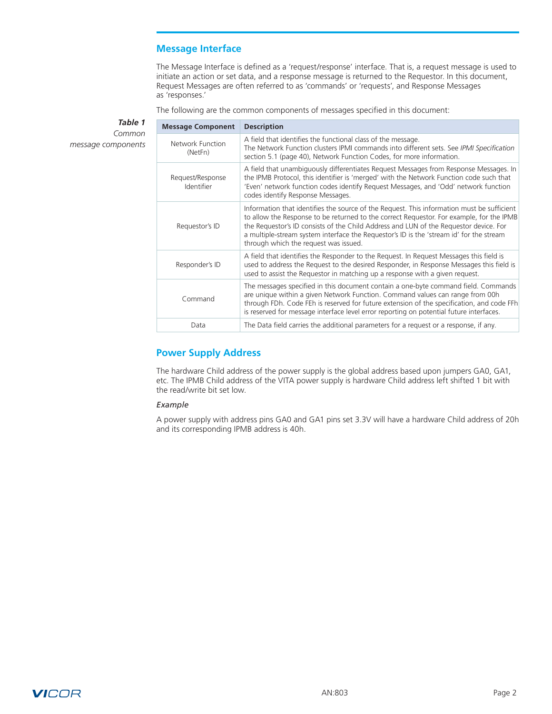# **Message Interface**

The Message Interface is defined as a 'request/response' interface. That is, a request message is used to initiate an action or set data, and a response message is returned to the Requestor. In this document, Request Messages are often referred to as 'commands' or 'requests', and Response Messages as 'responses.'

The following are the common components of messages specified in this document:

<span id="page-1-0"></span>*Table 1 Common message components*

| <b>Message Component</b>       | <b>Description</b>                                                                                                                                                                                                                                                                                                                                                                                                  |
|--------------------------------|---------------------------------------------------------------------------------------------------------------------------------------------------------------------------------------------------------------------------------------------------------------------------------------------------------------------------------------------------------------------------------------------------------------------|
| Network Function<br>(NetFn)    | A field that identifies the functional class of the message.<br>The Network Function clusters IPMI commands into different sets. See IPMI Specification<br>section 5.1 (page 40), Network Function Codes, for more information.                                                                                                                                                                                     |
| Request/Response<br>Identifier | A field that unambiguously differentiates Request Messages from Response Messages. In<br>the IPMB Protocol, this identifier is 'merged' with the Network Function code such that<br>'Even' network function codes identify Request Messages, and 'Odd' network function<br>codes identify Response Messages.                                                                                                        |
| Requestor's ID                 | Information that identifies the source of the Request. This information must be sufficient<br>to allow the Response to be returned to the correct Requestor. For example, for the IPMB<br>the Requestor's ID consists of the Child Address and LUN of the Requestor device. For<br>a multiple-stream system interface the Requestor's ID is the 'stream id' for the stream<br>through which the request was issued. |
| Responder's ID                 | A field that identifies the Responder to the Request. In Request Messages this field is<br>used to address the Request to the desired Responder, in Response Messages this field is<br>used to assist the Requestor in matching up a response with a given request.                                                                                                                                                 |
| Command                        | The messages specified in this document contain a one-byte command field. Commands<br>are unique within a given Network Function. Command values can range from 00h<br>through FDh. Code FEh is reserved for future extension of the specification, and code FFh<br>is reserved for message interface level error reporting on potential future interfaces.                                                         |
| Data                           | The Data field carries the additional parameters for a request or a response, if any.                                                                                                                                                                                                                                                                                                                               |

# **Power Supply Address**

The hardware Child address of the power supply is the global address based upon jumpers GA0, GA1, etc. The IPMB Child address of the VITA power supply is hardware Child address left shifted 1 bit with the read/write bit set low.

#### *Example*

A power supply with address pins GA0 and GA1 pins set 3.3V will have a hardware Child address of 20h and its corresponding IPMB address is 40h.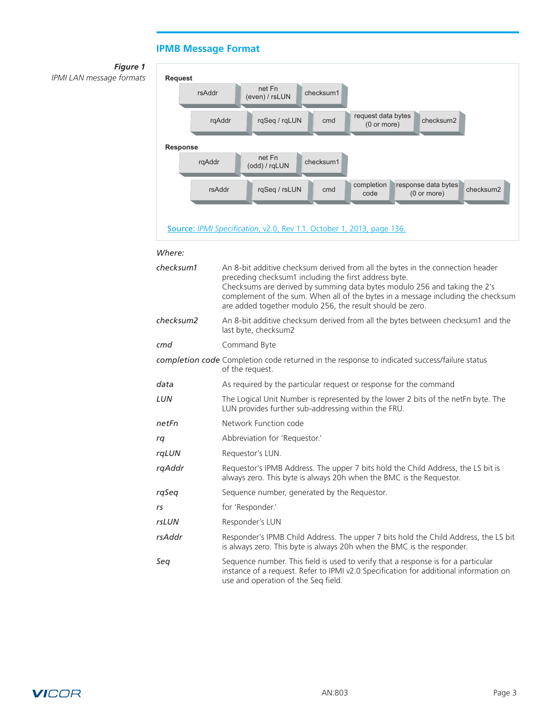# **IPMB Message Format**

<span id="page-2-0"></span>



#### *Where:*

| checksum1 | An 8-bit additive checksum derived from all the bytes in the connection header<br>preceding checksum1 including the first address byte.<br>Checksums are derived by summing data bytes modulo 256 and taking the 2's<br>complement of the sum. When all of the bytes in a message including the checksum<br>are added together modulo 256, the result should be zero. |
|-----------|-----------------------------------------------------------------------------------------------------------------------------------------------------------------------------------------------------------------------------------------------------------------------------------------------------------------------------------------------------------------------|
| checksum2 | An 8-bit additive checksum derived from all the bytes between checksum1 and the<br>last byte, checksum2                                                                                                                                                                                                                                                               |
| cmd       | Command Byte                                                                                                                                                                                                                                                                                                                                                          |
|           | completion code Completion code returned in the response to indicated success/failure status<br>of the request.                                                                                                                                                                                                                                                       |
| data      | As required by the particular request or response for the command                                                                                                                                                                                                                                                                                                     |
| LUN       | The Logical Unit Number is represented by the lower 2 bits of the netEn byte. The<br>LUN provides further sub-addressing within the FRU.                                                                                                                                                                                                                              |
| netFn     | Network Function code                                                                                                                                                                                                                                                                                                                                                 |
| rq        | Abbreviation for 'Requestor.'                                                                                                                                                                                                                                                                                                                                         |
| rqLUN     | Requestor's LUN.                                                                                                                                                                                                                                                                                                                                                      |
| rgAddr    | Requestor's IPMB Address. The upper 7 bits hold the Child Address, the LS bit is<br>always zero. This byte is always 20h when the BMC is the Requestor.                                                                                                                                                                                                               |
| rqSeq     | Sequence number, generated by the Requestor.                                                                                                                                                                                                                                                                                                                          |
| rs        | for 'Responder.'                                                                                                                                                                                                                                                                                                                                                      |
| rsLUN     | Responder's LUN                                                                                                                                                                                                                                                                                                                                                       |
| rsAddr    | Responder's IPMB Child Address. The upper 7 bits hold the Child Address, the LS bit<br>is always zero. This byte is always 20h when the BMC is the responder.                                                                                                                                                                                                         |
| Sea       | Sequence number. This field is used to verify that a response is for a particular<br>instance of a request. Refer to IPMI v2.0 Specification for additional information on<br>use and operation of the Seq field.                                                                                                                                                     |

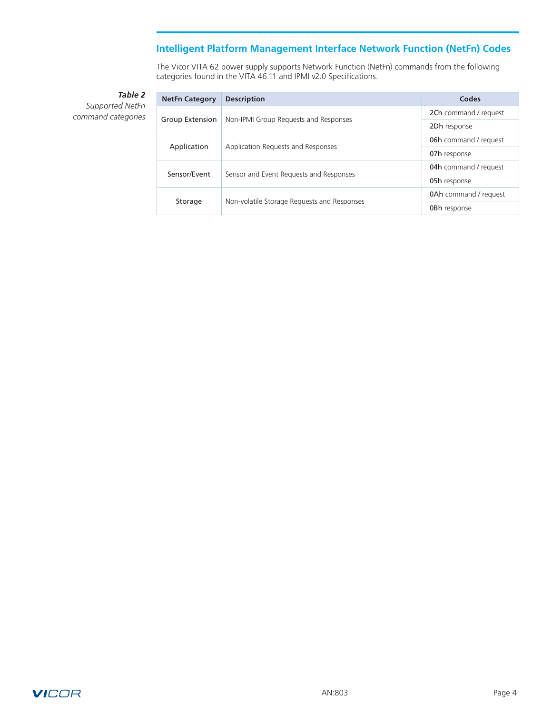# **Intelligent Platform Management Interface Network Function (NetFn) Codes**

The Vicor VITA 62 power supply supports Network Function (NetFn) commands from the following categories found in the VITA 46.11 and IPMI v2.0 Specifications.

<span id="page-3-0"></span>*Table 2 Supported NetFn command categories*

| <b>NetFn Category</b> | <b>Description</b>                          | Codes                        |
|-----------------------|---------------------------------------------|------------------------------|
|                       |                                             | 2Ch command / request        |
| Group Extension       | Non-IPMI Group Requests and Responses       | 2Dh response                 |
|                       |                                             | 06h command / request        |
| Application           | Application Requests and Responses          | 07h response                 |
|                       |                                             | 04h command / request        |
| Sensor/Fyent          | Sensor and Event Requests and Responses     | 05h response                 |
| Storage               |                                             | <b>0Ah</b> command / request |
|                       | Non-volatile Storage Requests and Responses | <b>OBh</b> response          |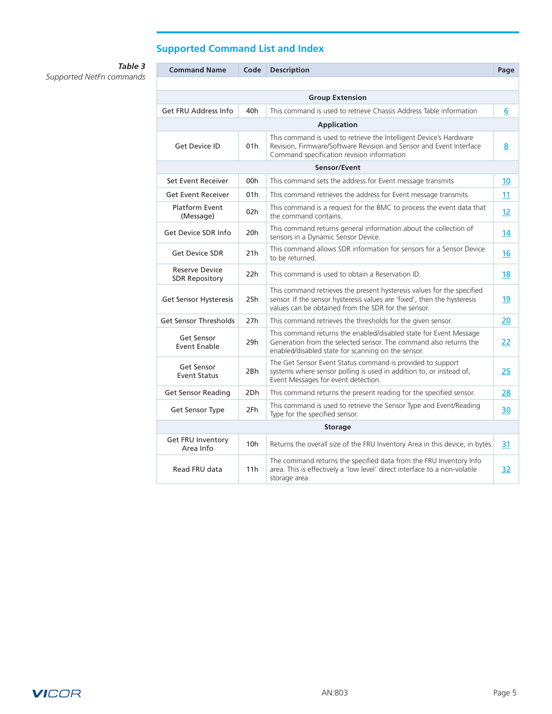# **Supported Command List and Index**

<span id="page-4-0"></span>*Supported NetFn commands*

| Table 3 | <b>Command Name</b>                            | Code            | <b>Description</b>                                                                                                                                                                                        | Page              |  |  |  |  |  |
|---------|------------------------------------------------|-----------------|-----------------------------------------------------------------------------------------------------------------------------------------------------------------------------------------------------------|-------------------|--|--|--|--|--|
| nmands  |                                                |                 |                                                                                                                                                                                                           |                   |  |  |  |  |  |
|         | <b>Group Extension</b>                         |                 |                                                                                                                                                                                                           |                   |  |  |  |  |  |
|         | <b>Get FRU Address Info</b>                    | 40h             | This command is used to retrieve Chassis Address Table information                                                                                                                                        | 6                 |  |  |  |  |  |
|         |                                                |                 | <b>Application</b>                                                                                                                                                                                        |                   |  |  |  |  |  |
|         | <b>Get Device ID</b>                           | 01h             | This command is used to retrieve the Intelligent Device's Hardware<br>Revision, Firmware/Software Revision and Sensor and Event Interface<br>Command specification revision information                   | 8                 |  |  |  |  |  |
|         |                                                |                 | Sensor/Event                                                                                                                                                                                              |                   |  |  |  |  |  |
|         | Set Event Receiver                             | 00h             | This command sets the address for Event message transmits                                                                                                                                                 | 10                |  |  |  |  |  |
|         | <b>Get Event Receiver</b>                      | 01h             | This command retrieves the address for Event message transmits                                                                                                                                            | 11                |  |  |  |  |  |
|         | <b>Platform Event</b><br>(Message)             | 02h             | This command is a request for the BMC to process the event data that<br>the command contains.                                                                                                             | $12 \overline{ }$ |  |  |  |  |  |
|         | Get Device SDR Info                            | 20h             | This command returns general information about the collection of<br>sensors in a Dynamic Sensor Device.                                                                                                   | 14                |  |  |  |  |  |
|         | <b>Get Device SDR</b>                          | 21h             | This command allows SDR information for sensors for a Sensor Device<br>to be returned.                                                                                                                    |                   |  |  |  |  |  |
|         | <b>Reserve Device</b><br><b>SDR Repository</b> | 22h             | This command is used to obtain a Reservation ID.                                                                                                                                                          |                   |  |  |  |  |  |
|         | Get Sensor Hysteresis                          | 25h             | This command retrieves the present hysteresis values for the specified<br>sensor. If the sensor hysteresis values are 'fixed', then the hysteresis<br>values can be obtained from the SDR for the sensor. |                   |  |  |  |  |  |
|         | <b>Get Sensor Thresholds</b>                   | 27h             | This command retrieves the thresholds for the given sensor.                                                                                                                                               | 20                |  |  |  |  |  |
|         | Get Sensor<br><b>Event Enable</b>              | 29h             | This command returns the enabled/disabled state for Event Message<br>Generation from the selected sensor. The command also returns the<br>enabled/disabled state for scanning on the sensor.              | 22                |  |  |  |  |  |
|         | Get Sensor<br>Event Status                     | 2Bh             | The Get Sensor Event Status command is provided to support<br>systems where sensor polling is used in addition to, or instead of,<br>Event Messages for event detection.                                  | 25                |  |  |  |  |  |
|         | <b>Get Sensor Reading</b>                      | 2Dh             | This command returns the present reading for the specified sensor.                                                                                                                                        | 28                |  |  |  |  |  |
|         | Get Sensor Type                                | 2Fh             | This command is used to retrieve the Sensor Type and Event/Reading<br>Type for the specified sensor.                                                                                                      | 30                |  |  |  |  |  |
|         |                                                |                 | <b>Storage</b>                                                                                                                                                                                            |                   |  |  |  |  |  |
|         | Get FRU Inventory<br>Area Info                 | 10 <sub>h</sub> | Returns the overall size of the FRU Inventory Area in this device, in bytes.                                                                                                                              | 31                |  |  |  |  |  |
|         | Read FRU data                                  | 11h             | The command returns the specified data from the FRU Inventory Info<br>area. This is effectively a 'low level' direct interface to a non-volatile<br>storage area.                                         | 32                |  |  |  |  |  |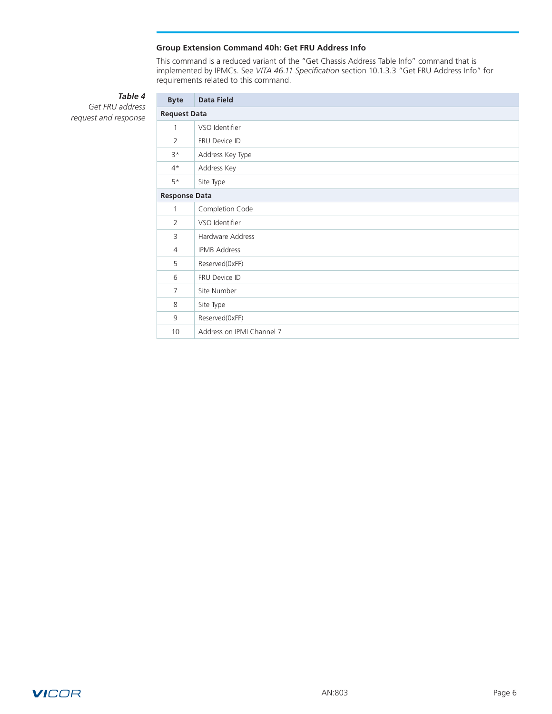### **Group Extension Command 40h: Get FRU Address Info**

This command is a reduced variant of the "Get Chassis Address Table Info" command that is implemented by IPMCs. See *VITA 46.11 Specification* section 10.1.3.3 "Get FRU Address Info" for requirements related to this command.

# *Table 4*

<span id="page-5-0"></span>*Get FRU address request and response*

| <b>Byte</b>          | <b>Data Field</b>         |  |  |  |  |  |  |
|----------------------|---------------------------|--|--|--|--|--|--|
|                      | <b>Request Data</b>       |  |  |  |  |  |  |
| $\mathbf{1}$         | VSO Identifier            |  |  |  |  |  |  |
| $\overline{2}$       | FRU Device ID             |  |  |  |  |  |  |
| $3*$                 | Address Key Type          |  |  |  |  |  |  |
| $4*$                 | Address Key               |  |  |  |  |  |  |
| $5*$                 | Site Type                 |  |  |  |  |  |  |
| <b>Response Data</b> |                           |  |  |  |  |  |  |
| 1                    | Completion Code           |  |  |  |  |  |  |
| $\overline{2}$       | VSO Identifier            |  |  |  |  |  |  |
| 3                    | Hardware Address          |  |  |  |  |  |  |
| 4                    | <b>IPMB Address</b>       |  |  |  |  |  |  |
| 5                    | Reserved(0xFF)            |  |  |  |  |  |  |
| 6                    | FRU Device ID             |  |  |  |  |  |  |
| 7                    | Site Number               |  |  |  |  |  |  |
| 8                    | Site Type                 |  |  |  |  |  |  |
| 9                    | Reserved(0xFF)            |  |  |  |  |  |  |
| 10                   | Address on IPMI Channel 7 |  |  |  |  |  |  |

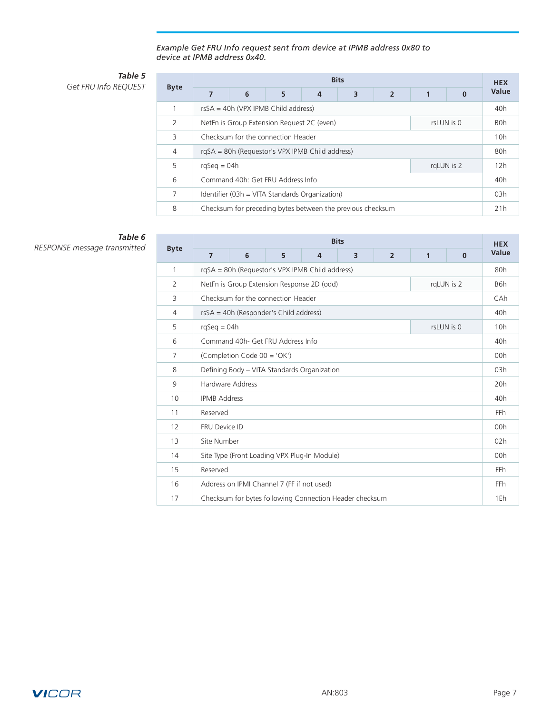*Example Get FRU Info request sent from device at IPMB address 0x80 to device at IPMB address 0x40.*

## *Table 5* **Get FRU Info REQUEST**

|                | <b>Bits</b>                                              |  |  |  |                                                            |  |  |       | <b>HEX</b> |  |
|----------------|----------------------------------------------------------|--|--|--|------------------------------------------------------------|--|--|-------|------------|--|
| <b>Byte</b>    | 6<br>5<br>3<br>$\overline{2}$<br>4<br>$\Omega$           |  |  |  |                                                            |  |  | Value |            |  |
|                | $rsSA = 40h$ (VPX IPMB Child address)                    |  |  |  |                                                            |  |  |       |            |  |
| 2              | NetFn is Group Extension Request 2C (even)<br>rsLUN is 0 |  |  |  |                                                            |  |  |       | <b>BOh</b> |  |
| 3              | Checksum for the connection Header                       |  |  |  |                                                            |  |  | 10h   |            |  |
| $\overline{4}$ | rgSA = 80h (Requestor's VPX IPMB Child address)          |  |  |  |                                                            |  |  | 80h   |            |  |
| 5              | $rqSeq = 04h$<br>rgLUN is 2                              |  |  |  |                                                            |  |  | 12h   |            |  |
| 6              | Command 40h: Get FRU Address Info                        |  |  |  |                                                            |  |  | 40h   |            |  |
| 7              | Identifier (03h = VITA Standards Organization)           |  |  |  |                                                            |  |  | 03h   |            |  |
| 8              |                                                          |  |  |  | Checksum for preceding bytes between the previous checksum |  |  |       | 21h        |  |

# *Table 6*

|                | <b>Bits</b>                                  |                                                 |   |                |                                                         |                |              |            |                 |  |  |
|----------------|----------------------------------------------|-------------------------------------------------|---|----------------|---------------------------------------------------------|----------------|--------------|------------|-----------------|--|--|
| <b>Byte</b>    | $\overline{7}$                               | 6                                               | 5 | $\overline{4}$ | $\overline{\mathbf{3}}$                                 | $\overline{2}$ | $\mathbf{1}$ | $\bf{0}$   | Value           |  |  |
| 1              |                                              | rqSA = 80h (Requestor's VPX IPMB Child address) |   |                |                                                         |                |              |            |                 |  |  |
| $\overline{2}$ |                                              | NetFn is Group Extension Response 2D (odd)      |   |                |                                                         |                |              | rqLUN is 2 | B6h             |  |  |
| 3              | Checksum for the connection Header           |                                                 |   |                |                                                         |                |              |            | CAh             |  |  |
| 4              |                                              | rsSA = 40h (Responder's Child address)          |   |                |                                                         |                |              |            | 40 <sub>h</sub> |  |  |
| 5              |                                              | $rqSeq = 04h$<br>rsLUN is 0                     |   |                |                                                         |                |              |            |                 |  |  |
| 6              |                                              | Command 40h - Get FRU Address Info              |   |                |                                                         |                |              |            | 40h             |  |  |
| 7              | (Completion Code 00 = 'OK')                  |                                                 |   |                |                                                         |                |              | 00h        |                 |  |  |
| 8              | Defining Body - VITA Standards Organization  |                                                 |   |                |                                                         |                |              | 03h        |                 |  |  |
| 9              | Hardware Address                             |                                                 |   |                |                                                         |                |              | 20h        |                 |  |  |
| 10             | <b>IPMB Address</b>                          |                                                 |   |                |                                                         |                |              | 40h        |                 |  |  |
| 11             | Reserved                                     |                                                 |   |                |                                                         |                |              | <b>FFh</b> |                 |  |  |
| 12             | FRU Device ID                                |                                                 |   |                |                                                         |                |              | 00h        |                 |  |  |
| 13             | Site Number                                  |                                                 |   |                |                                                         |                |              | 02h        |                 |  |  |
| 14             | Site Type (Front Loading VPX Plug-In Module) |                                                 |   |                |                                                         |                |              | 00h        |                 |  |  |
| 15             | Reserved                                     |                                                 |   |                |                                                         |                |              | <b>FFh</b> |                 |  |  |
| 16             |                                              | Address on IPMI Channel 7 (FF if not used)      |   |                |                                                         |                |              |            | <b>FFh</b>      |  |  |
| 17             |                                              |                                                 |   |                | Checksum for bytes following Connection Header checksum |                |              |            | 1Eh             |  |  |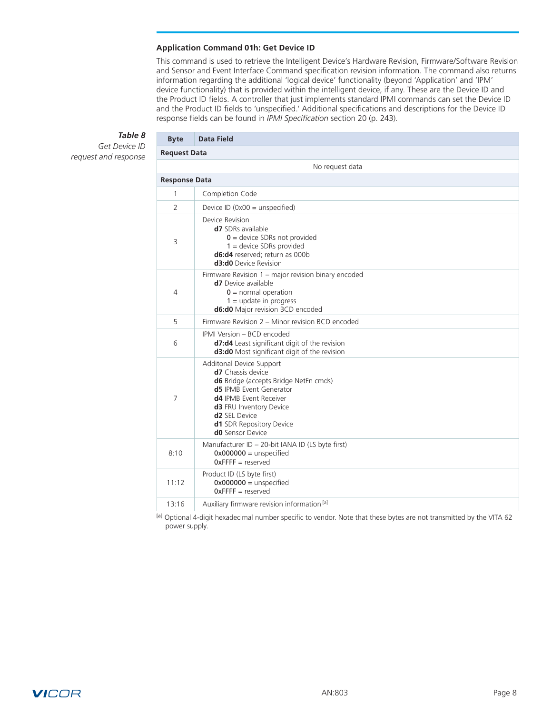#### **Application Command 01h: Get Device ID**

This command is used to retrieve the Intelligent Device's Hardware Revision, Firmware/Software Revision and Sensor and Event Interface Command specification revision information. The command also returns information regarding the additional 'logical device' functionality (beyond 'Application' and 'IPM' device functionality) that is provided within the intelligent device, if any. These are the Device ID and the Product ID fields. A controller that just implements standard IPMI commands can set the Device ID and the Product ID fields to 'unspecified.' Additional specifications and descriptions for the Device ID response fields can be found in *IPMI Specification* section 20 (p. 243).

# *Table 8*

<span id="page-7-0"></span>*Get Device ID request and response*

| <b>Byte</b>    | <b>Data Field</b>                                                                                                                                                                                                                                                               |  |  |  |  |  |  |  |  |
|----------------|---------------------------------------------------------------------------------------------------------------------------------------------------------------------------------------------------------------------------------------------------------------------------------|--|--|--|--|--|--|--|--|
|                | <b>Request Data</b>                                                                                                                                                                                                                                                             |  |  |  |  |  |  |  |  |
|                | No request data                                                                                                                                                                                                                                                                 |  |  |  |  |  |  |  |  |
|                | <b>Response Data</b>                                                                                                                                                                                                                                                            |  |  |  |  |  |  |  |  |
| $\mathbf{1}$   | Completion Code                                                                                                                                                                                                                                                                 |  |  |  |  |  |  |  |  |
| 2              | Device ID $(0x00 =$ unspecified)                                                                                                                                                                                                                                                |  |  |  |  |  |  |  |  |
| 3              | Device Revision<br>d7 SDRs available<br>$0 =$ device SDRs not provided<br>$1 =$ device SDRs provided<br>d6:d4 reserved; return as 000b<br><b>d3:d0</b> Device Revision                                                                                                          |  |  |  |  |  |  |  |  |
| 4              | Firmware Revision 1 – major revision binary encoded<br><b>d7</b> Device available<br>$0 =$ normal operation<br>$1 =$ update in progress<br>d6:d0 Major revision BCD encoded                                                                                                     |  |  |  |  |  |  |  |  |
| 5              | Firmware Revision 2 - Minor revision BCD encoded                                                                                                                                                                                                                                |  |  |  |  |  |  |  |  |
| 6              | IPMI Version - BCD encoded<br>d7:d4 Least significant digit of the revision<br>d3:d0 Most significant digit of the revision                                                                                                                                                     |  |  |  |  |  |  |  |  |
| $\overline{7}$ | Additonal Device Support<br><b>d7</b> Chassis device<br>d6 Bridge (accepts Bridge NetFn cmds)<br><b>d5</b> IPMB Event Generator<br>d4 IPMB Event Receiver<br>d3 FRU Inventory Device<br>d <sub>2</sub> SEL Device<br><b>d1</b> SDR Repository Device<br><b>d0</b> Sensor Device |  |  |  |  |  |  |  |  |
| 8:10           | Manufacturer ID - 20-bit IANA ID (LS byte first)<br>$0x000000 =$ unspecified<br>$Ox$ FFFF = reserved                                                                                                                                                                            |  |  |  |  |  |  |  |  |
| 11:12          | Product ID (LS byte first)<br>$0x000000 =$ unspecified<br>$0x$ FFFF = reserved                                                                                                                                                                                                  |  |  |  |  |  |  |  |  |
| 13:16          | Auxiliary firmware revision information [a]                                                                                                                                                                                                                                     |  |  |  |  |  |  |  |  |

[a] Optional 4-digit hexadecimal number specific to vendor. Note that these bytes are not transmitted by the VITA 62 power supply.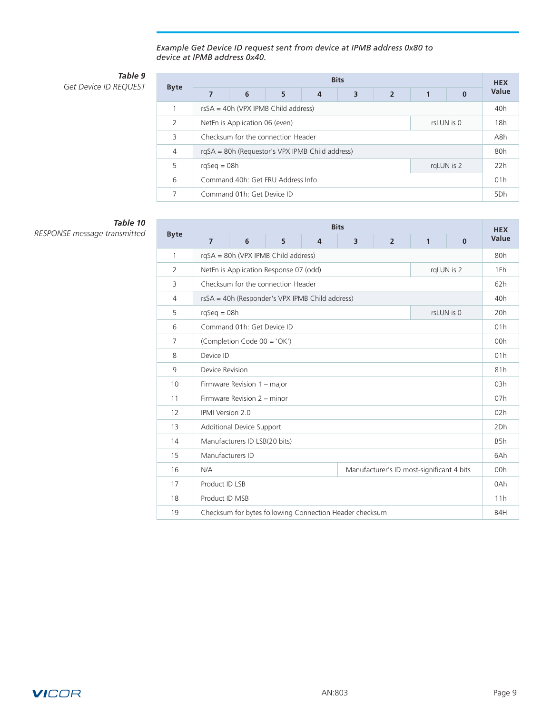*Example Get Device ID request sent from device at IPMB address 0x80 to device at IPMB address 0x40.*

# *Table 9*

**Get Device ID REQUEST** 

|             | <b>Bits</b>                                         |                            |  |  |  |  |  |     |                 |
|-------------|-----------------------------------------------------|----------------------------|--|--|--|--|--|-----|-----------------|
| <b>Byte</b> | 6<br>3<br>5<br>7<br>$\overline{2}$<br>$\bf{0}$<br>4 |                            |  |  |  |  |  |     | Value           |
| 1           | $rsSA = 40h$ (VPX IPMB Child address)               |                            |  |  |  |  |  |     |                 |
| 2           | rsLUN is 0<br>NetFn is Application 06 (even)        |                            |  |  |  |  |  |     | 18h             |
| 3           | Checksum for the connection Header                  |                            |  |  |  |  |  |     | A8h             |
| 4           | rgSA = 80h (Requestor's VPX IPMB Child address)     |                            |  |  |  |  |  |     | 80h             |
| 5           | $rqSeq = 08h$<br>rgLUN is 2                         |                            |  |  |  |  |  |     | 22h             |
| 6           | Command 40h: Get FRU Address Info                   |                            |  |  |  |  |  | 01h |                 |
| 7           |                                                     | Command 01h: Get Device ID |  |  |  |  |  |     | 5 <sub>Dh</sub> |

# *Table 10*

|                | <b>Bits</b>                                      |                                                 |                                        |                |                                                         |                |                  |            | <b>HEX</b> |
|----------------|--------------------------------------------------|-------------------------------------------------|----------------------------------------|----------------|---------------------------------------------------------|----------------|------------------|------------|------------|
| <b>Byte</b>    | $\overline{7}$                                   | 6                                               | 5                                      | $\overline{4}$ | 3                                                       | $\overline{2}$ | 1                | $\Omega$   | Value      |
| 1              |                                                  |                                                 | rgSA = 80h (VPX IPMB Child address)    |                |                                                         |                |                  |            | 80h        |
| 2              |                                                  |                                                 | NetFn is Application Response 07 (odd) |                |                                                         |                |                  | rgLUN is 2 | 1Eh        |
| 3              |                                                  | Checksum for the connection Header              |                                        |                |                                                         |                |                  | 62h        |            |
| $\overline{4}$ |                                                  | rsSA = 40h (Responder's VPX IPMB Child address) |                                        |                |                                                         |                |                  |            | 40h        |
| 5              |                                                  | $rqSeq = 08h$<br>rsLUN is 0                     |                                        |                |                                                         |                |                  |            |            |
| 6              |                                                  | Command 01h: Get Device ID                      |                                        |                |                                                         |                |                  |            | 01h        |
| $\overline{7}$ | (Completion Code 00 = 'OK')                      |                                                 |                                        |                |                                                         |                | 00h              |            |            |
| 8              | Device ID                                        |                                                 |                                        |                |                                                         |                | 01h              |            |            |
| 9              | Device Revision                                  |                                                 |                                        |                |                                                         |                | 81h              |            |            |
| 10             | Firmware Revision 1 - major                      |                                                 |                                        |                |                                                         |                | 03h              |            |            |
| 11             | Firmware Revision 2 - minor                      |                                                 |                                        |                |                                                         |                | 07h              |            |            |
| 12             | <b>IPMI</b> Version 2.0                          |                                                 |                                        |                |                                                         |                | 02h              |            |            |
| 13             | Additional Device Support                        |                                                 |                                        |                |                                                         |                | 2Dh              |            |            |
| 14             | Manufacturers ID LSB(20 bits)                    |                                                 |                                        |                |                                                         |                | B <sub>5</sub> h |            |            |
| 15             | Manufacturers ID                                 |                                                 |                                        |                |                                                         |                |                  |            | 6Ah        |
| 16             | N/A<br>Manufacturer's ID most-significant 4 bits |                                                 |                                        |                |                                                         |                |                  | 00h        |            |
| 17             | Product ID LSB                                   |                                                 |                                        |                |                                                         |                |                  |            | 0Ah        |
| 18             | Product ID MSB                                   |                                                 |                                        |                |                                                         |                |                  |            | 11h        |
| 19             |                                                  |                                                 |                                        |                | Checksum for bytes following Connection Header checksum |                |                  |            | B4H        |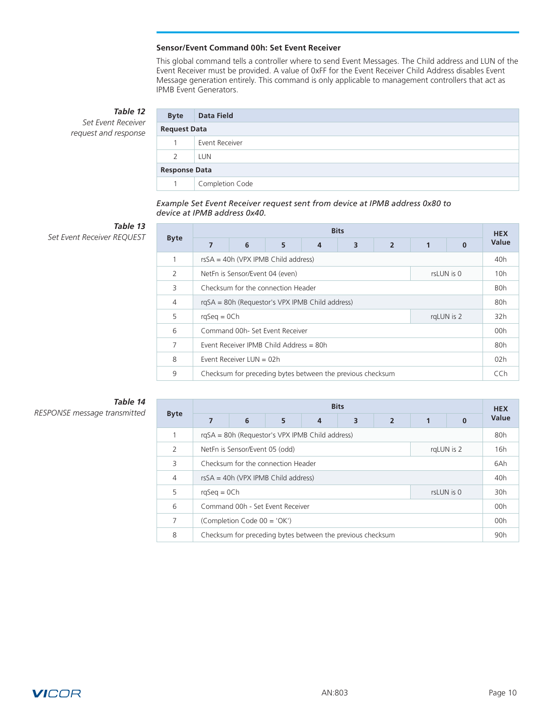### **Sensor/Event Command 00h: Set Event Receiver**

This global command tells a controller where to send Event Messages. The Child address and LUN of the Event Receiver must be provided. A value of 0xFF for the Event Receiver Child Address disables Event Message generation entirely. This command is only applicable to management controllers that act as IPMB Event Generators.

*Table 12*

<span id="page-9-0"></span>*Set Event Receiver request and response*

| <b>Byte</b>          | <b>Data Field</b> |  |  |  |  |  |
|----------------------|-------------------|--|--|--|--|--|
| <b>Request Data</b>  |                   |  |  |  |  |  |
|                      | Event Receiver    |  |  |  |  |  |
| 2                    | LUN               |  |  |  |  |  |
| <b>Response Data</b> |                   |  |  |  |  |  |
|                      | Completion Code   |  |  |  |  |  |
|                      |                   |  |  |  |  |  |

*Example Set Event Receiver request sent from device at IPMB address 0x80 to device at IPMB address 0x40.*

# *Table 13*

**Set Event Receiver REQUEST** 

| 7                                               | 6 | 5             | 4 | 3                                                                     | $\overline{2}$ | 1                                                                         | $\Omega$ | Value      |  |  |  |  |  |
|-------------------------------------------------|---|---------------|---|-----------------------------------------------------------------------|----------------|---------------------------------------------------------------------------|----------|------------|--|--|--|--|--|
| $rsSA = 40h$ (VPX IPMB Child address)           |   |               |   |                                                                       |                |                                                                           |          |            |  |  |  |  |  |
| NetFn is Sensor/Event 04 (even)<br>rsLUN is 0   |   |               |   |                                                                       |                |                                                                           |          | 10h        |  |  |  |  |  |
|                                                 |   |               |   |                                                                       |                |                                                                           |          | <b>BOh</b> |  |  |  |  |  |
| rgSA = 80h (Requestor's VPX IPMB Child address) |   |               |   |                                                                       |                |                                                                           |          | 80h        |  |  |  |  |  |
|                                                 |   |               |   |                                                                       |                |                                                                           |          | 32h        |  |  |  |  |  |
|                                                 |   |               |   |                                                                       |                |                                                                           |          | 00h        |  |  |  |  |  |
| Event Receiver IPMB Child Address = $80h$       |   |               |   |                                                                       |                |                                                                           | 80h      |            |  |  |  |  |  |
| Event Receiver LUN = $02h$                      |   |               |   |                                                                       |                |                                                                           |          | 02h        |  |  |  |  |  |
|                                                 |   |               |   |                                                                       |                |                                                                           |          | CCh        |  |  |  |  |  |
|                                                 |   | $rqSeq = OCh$ |   | Checksum for the connection Header<br>Command 00h- Set Event Receiver |                | <b>Bits</b><br>Checksum for preceding bytes between the previous checksum |          | rgLUN is 2 |  |  |  |  |  |

# *Table 14*

| <b>Byte</b>   | <b>Bits</b>                                     |   |                                  |                |                                                            |                |   |            |                 |  |  |  |  |  |  |  |
|---------------|-------------------------------------------------|---|----------------------------------|----------------|------------------------------------------------------------|----------------|---|------------|-----------------|--|--|--|--|--|--|--|
|               | 7                                               | 6 | 5                                | $\overline{4}$ | 3                                                          | $\overline{2}$ | 1 | $\Omega$   | Value           |  |  |  |  |  |  |  |
|               | rgSA = 80h (Requestor's VPX IPMB Child address) |   |                                  |                |                                                            |                |   |            |                 |  |  |  |  |  |  |  |
| $\mathcal{P}$ | NetFn is Sensor/Event 05 (odd)<br>rgLUN is 2    |   |                                  |                |                                                            |                |   |            |                 |  |  |  |  |  |  |  |
| 3             | Checksum for the connection Header              |   |                                  |                |                                                            |                |   |            |                 |  |  |  |  |  |  |  |
| 4             | $rsSA = 40h$ (VPX IPMB Child address)           |   |                                  |                |                                                            |                |   |            | 40 <sub>h</sub> |  |  |  |  |  |  |  |
| 5             | $rqSeq = OCh$                                   |   |                                  |                |                                                            |                |   | rsLUN is 0 | 30h             |  |  |  |  |  |  |  |
| 6             |                                                 |   | Command 00h - Set Event Receiver |                |                                                            |                |   |            | 00h             |  |  |  |  |  |  |  |
| 7             | (Completion Code $00 = 'OK')$                   |   |                                  |                |                                                            |                |   |            | 00h             |  |  |  |  |  |  |  |
| 8             |                                                 |   |                                  |                | Checksum for preceding bytes between the previous checksum |                |   |            | 90 <sub>h</sub> |  |  |  |  |  |  |  |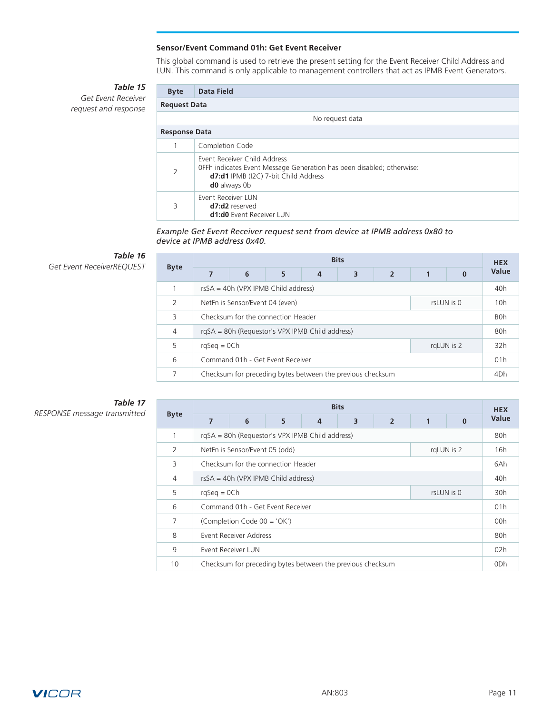## **Sensor/Event Command 01h: Get Event Receiver**

This global command is used to retrieve the present setting for the Event Receiver Child Address and LUN. This command is only applicable to management controllers that act as IPMB Event Generators.

# *Table 15*

<span id="page-10-0"></span>*Get Event Receiver request and response*

| <b>Byte</b>          | Data Field                                                                                                                                                           |  |  |  |  |  |  |  |
|----------------------|----------------------------------------------------------------------------------------------------------------------------------------------------------------------|--|--|--|--|--|--|--|
|                      | <b>Request Data</b>                                                                                                                                                  |  |  |  |  |  |  |  |
|                      | No request data                                                                                                                                                      |  |  |  |  |  |  |  |
| <b>Response Data</b> |                                                                                                                                                                      |  |  |  |  |  |  |  |
|                      | Completion Code                                                                                                                                                      |  |  |  |  |  |  |  |
| 2                    | Event Receiver Child Address<br>OFFh indicates Event Message Generation has been disabled; otherwise:<br>d7:d1 IPMB (I2C) 7-bit Child Address<br><b>d0</b> always 0b |  |  |  |  |  |  |  |
| 3                    | Event Receiver LUN<br>d7:d2 reserved<br><b>d1:d0</b> Event Receiver LUN                                                                                              |  |  |  |  |  |  |  |

*Example Get Event Receiver request sent from device at IPMB address 0x80 to device at IPMB address 0x40.*

# *Table 16*

**Get Event ReceiverREQUEST** 

| <b>Byte</b>    | <b>Bits</b>                           |                                                            |   |   |   |                |  |          |                 |  |  |  |  |  |  |
|----------------|---------------------------------------|------------------------------------------------------------|---|---|---|----------------|--|----------|-----------------|--|--|--|--|--|--|
|                |                                       | 6                                                          | 5 | 4 | 3 | $\overline{2}$ |  | $\Omega$ | Value           |  |  |  |  |  |  |
|                | $rsSA = 40h$ (VPX IPMB Child address) |                                                            |   |   |   |                |  |          |                 |  |  |  |  |  |  |
| 2              |                                       | NetFn is Sensor/Event 04 (even)<br>rsLUN is 0              |   |   |   |                |  |          |                 |  |  |  |  |  |  |
| 3              | Checksum for the connection Header    |                                                            |   |   |   |                |  |          | <b>BOh</b>      |  |  |  |  |  |  |
| $\overline{4}$ |                                       | rgSA = 80h (Requestor's VPX IPMB Child address)            |   |   |   |                |  |          | 80h             |  |  |  |  |  |  |
| 5              | $r$ gSeg = 0Ch<br>rgLUN is 2          |                                                            |   |   |   |                |  | 32h      |                 |  |  |  |  |  |  |
| 6              | Command 01h - Get Event Receiver      |                                                            |   |   |   |                |  |          | 01h             |  |  |  |  |  |  |
| 7              |                                       | Checksum for preceding bytes between the previous checksum |   |   |   |                |  |          | 4 <sub>Dh</sub> |  |  |  |  |  |  |

# *Table 17*

|                | <b>Bits</b>                                     |                                    |                                  |   |                                                            |                |   |          |                 |  |  |
|----------------|-------------------------------------------------|------------------------------------|----------------------------------|---|------------------------------------------------------------|----------------|---|----------|-----------------|--|--|
| <b>Byte</b>    | 7                                               | 6                                  | 5                                | 4 | 3                                                          | $\overline{2}$ | 1 | $\Omega$ | Value           |  |  |
| 1              | rgSA = 80h (Requestor's VPX IPMB Child address) |                                    |                                  |   |                                                            |                |   |          |                 |  |  |
| 2              | NetFn is Sensor/Event 05 (odd)<br>rgLUN is 2    |                                    |                                  |   |                                                            |                |   |          | 16h             |  |  |
| 3              |                                                 | Checksum for the connection Header |                                  |   |                                                            |                |   |          |                 |  |  |
| $\overline{4}$ | $rsSA = 40h$ (VPX IPMB Child address)           |                                    |                                  |   |                                                            |                |   |          | 40h             |  |  |
| 5              | rsLUN is 0<br>$rqSeq = OCh$                     |                                    |                                  |   |                                                            |                |   | 30h      |                 |  |  |
| 6              |                                                 |                                    | Command 01h - Get Event Receiver |   |                                                            |                |   |          | 01h             |  |  |
| 7              |                                                 | (Completion Code 00 = 'OK')        |                                  |   |                                                            |                |   |          | 00h             |  |  |
| 8              |                                                 | Event Receiver Address             |                                  |   |                                                            |                |   |          | 80h             |  |  |
| 9              |                                                 | Event Receiver LUN                 |                                  |   |                                                            |                |   |          | 02h             |  |  |
| 10             |                                                 |                                    |                                  |   | Checksum for preceding bytes between the previous checksum |                |   |          | 0 <sub>Dh</sub> |  |  |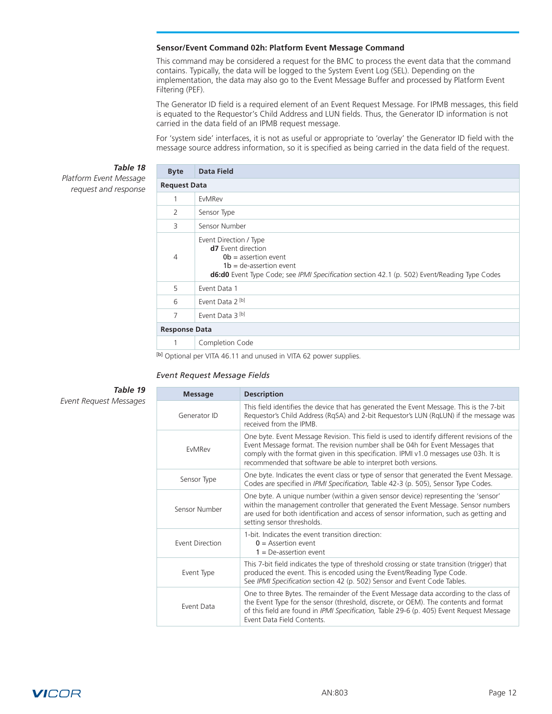#### <span id="page-11-0"></span>**Sensor/Event Command 02h: Platform Event Message Command**

This command may be considered a request for the BMC to process the event data that the command contains. Typically, the data will be logged to the System Event Log (SEL). Depending on the implementation, the data may also go to the Event Message Buffer and processed by Platform Event Filtering (PEF).

The Generator ID field is a required element of an Event Request Message. For IPMB messages, this field is equated to the Requestor's Child Address and LUN fields. Thus, the Generator ID information is not carried in the data field of an IPMB request message.

For 'system side' interfaces, it is not as useful or appropriate to 'overlay' the Generator ID field with the message source address information, so it is specified as being carried in the data field of the request.

### *Table 18*

*Platform Event Message request and response*

| <b>Byte</b>          | <b>Data Field</b>                                                                                                                                                                                                 |
|----------------------|-------------------------------------------------------------------------------------------------------------------------------------------------------------------------------------------------------------------|
| <b>Request Data</b>  |                                                                                                                                                                                                                   |
| 1                    | EvMRev                                                                                                                                                                                                            |
| 2                    | Sensor Type                                                                                                                                                                                                       |
| 3                    | Sensor Number                                                                                                                                                                                                     |
| 4                    | Event Direction / Type<br><b>d7</b> Event direction<br>$Ob = assertion event$<br>$1b = de-assertion event$<br><b>d6:d0</b> Event Type Code; see IPMI Specification section 42.1 (p. 502) Event/Reading Type Codes |
| 5                    | Event Data 1                                                                                                                                                                                                      |
| 6                    | Event Data 2 <sup>[b]</sup>                                                                                                                                                                                       |
| 7                    | Event Data 3 [b]                                                                                                                                                                                                  |
| <b>Response Data</b> |                                                                                                                                                                                                                   |
| 1                    | Completion Code                                                                                                                                                                                                   |
|                      | [ 1] [ A ] [ A ] [ A ] [ A ] [ A ] [ A ] [ A ] [ A ] [ A ] [ A ] [ A ] [ A ] [ A ] [ A ] [ A ] [ A ]                                                                                                              |

[b] Optional per VITA 46.11 and unused in VITA 62 power supplies.

#### *Event Request Message Fields*

*Table 19 Event Request Messages*

**Message Description** Generator ID This field identifies the device that has generated the Event Message. This is the 7-bit Requestor's Child Address (RqSA) and 2-bit Requestor's LUN (RqLUN) if the message was received from the IPMB. EvMRev One byte. Event Message Revision. This field is used to identify different revisions of the Event Message format. The revision number shall be 04h for Event Messages that comply with the format given in this specification. IPMI v1.0 messages use 03h. It is recommended that software be able to interpret both versions. Sensor Type One byte. Indicates the event class or type of sensor that generated the Event Message. Codes are specified in *IPMI Specification,* Table 42-3 (p. 505), Sensor Type Codes. Sensor Number One byte. A unique number (within a given sensor device) representing the 'sensor' within the management controller that generated the Event Message. Sensor numbers are used for both identification and access of sensor information, such as getting and setting sensor thresholds. Event Direction 1-bit. Indicates the event transition direction:  $0 =$  Assertion event  $1 =$  De-assertion event Event Type This 7-bit field indicates the type of threshold crossing or state transition (trigger) that produced the event. This is encoded using the Event/Reading Type Code. See *IPMI Specification* section 42 (p. 502) Sensor and Event Code Tables. Event Data One to three Bytes. The remainder of the Event Message data according to the class of the Event Type for the sensor (threshold, discrete, or OEM). The contents and format of this field are found in *IPMI Specification,* Table 29-6 (p. 405) Event Request Message Event Data Field Contents.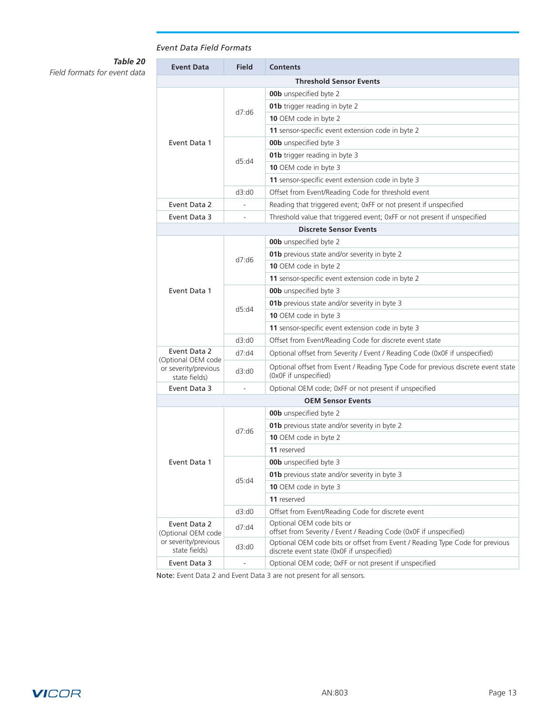# *Event Data Field Formats*

*Table 20*

*Field formats for event data*

| <b>Event Data</b>                                           | <b>Field</b>   | <b>Contents</b>                                                                                                            |  |  |  |  |  |
|-------------------------------------------------------------|----------------|----------------------------------------------------------------------------------------------------------------------------|--|--|--|--|--|
|                                                             |                | <b>Threshold Sensor Events</b>                                                                                             |  |  |  |  |  |
|                                                             |                | <b>00b</b> unspecified byte 2                                                                                              |  |  |  |  |  |
|                                                             | d7: d6         | <b>01b</b> trigger reading in byte 2                                                                                       |  |  |  |  |  |
|                                                             |                | 10 OEM code in byte 2                                                                                                      |  |  |  |  |  |
|                                                             |                | 11 sensor-specific event extension code in byte 2                                                                          |  |  |  |  |  |
| Event Data 1                                                |                | <b>00b</b> unspecified byte 3                                                                                              |  |  |  |  |  |
|                                                             | d5:d4          | 01b trigger reading in byte 3                                                                                              |  |  |  |  |  |
|                                                             |                | 10 OEM code in byte 3                                                                                                      |  |  |  |  |  |
|                                                             |                | 11 sensor-specific event extension code in byte 3                                                                          |  |  |  |  |  |
|                                                             | d3:d0          | Offset from Event/Reading Code for threshold event                                                                         |  |  |  |  |  |
| Event Data 2                                                |                | Reading that triggered event; OxFF or not present if unspecified                                                           |  |  |  |  |  |
| Event Data 3                                                |                | Threshold value that triggered event; OxFF or not present if unspecified                                                   |  |  |  |  |  |
|                                                             |                | <b>Discrete Sensor Events</b>                                                                                              |  |  |  |  |  |
|                                                             |                | <b>00b</b> unspecified byte 2                                                                                              |  |  |  |  |  |
|                                                             |                | 01b previous state and/or severity in byte 2                                                                               |  |  |  |  |  |
|                                                             | d7:d6          | 10 OEM code in byte 2                                                                                                      |  |  |  |  |  |
|                                                             |                | 11 sensor-specific event extension code in byte 2                                                                          |  |  |  |  |  |
| Event Data 1                                                |                | <b>00b</b> unspecified byte 3                                                                                              |  |  |  |  |  |
|                                                             |                | 01b previous state and/or severity in byte 3                                                                               |  |  |  |  |  |
|                                                             | d5:d4          | 10 OEM code in byte 3                                                                                                      |  |  |  |  |  |
|                                                             |                | 11 sensor-specific event extension code in byte 3                                                                          |  |  |  |  |  |
|                                                             | d3:d0          | Offset from Event/Reading Code for discrete event state                                                                    |  |  |  |  |  |
| Event Data 2                                                | d7: d4         | Optional offset from Severity / Event / Reading Code (0x0F if unspecified)                                                 |  |  |  |  |  |
| (Optional OEM code<br>or severity/previous<br>state fields) | d3: d0         | Optional offset from Event / Reading Type Code for previous discrete event state<br>(OxOF if unspecified)                  |  |  |  |  |  |
| Event Data 3                                                |                | Optional OEM code; 0xFF or not present if unspecified                                                                      |  |  |  |  |  |
|                                                             |                | <b>OEM Sensor Events</b>                                                                                                   |  |  |  |  |  |
|                                                             |                | <b>00b</b> unspecified byte 2                                                                                              |  |  |  |  |  |
|                                                             |                | <b>01b</b> previous state and/or severity in byte 2                                                                        |  |  |  |  |  |
|                                                             | d7:d6          | 10 OEM code in byte 2                                                                                                      |  |  |  |  |  |
|                                                             |                | 11 reserved                                                                                                                |  |  |  |  |  |
| Event Data 1                                                |                | <b>00b</b> unspecified byte 3                                                                                              |  |  |  |  |  |
|                                                             |                | 01b previous state and/or severity in byte 3                                                                               |  |  |  |  |  |
|                                                             | d5:d4          | 10 OEM code in byte 3                                                                                                      |  |  |  |  |  |
|                                                             |                | 11 reserved                                                                                                                |  |  |  |  |  |
|                                                             | d3:d0          | Offset from Event/Reading Code for discrete event                                                                          |  |  |  |  |  |
| Event Data 2                                                | d7:d4          | Optional OEM code bits or                                                                                                  |  |  |  |  |  |
| (Optional OEM code                                          |                | offset from Severity / Event / Reading Code (0x0F if unspecified)                                                          |  |  |  |  |  |
| or severity/previous<br>state fields)                       | d3:d0          | Optional OEM code bits or offset from Event / Reading Type Code for previous<br>discrete event state (0x0F if unspecified) |  |  |  |  |  |
| Event Data 3                                                | $\overline{a}$ | Optional OEM code; 0xFF or not present if unspecified                                                                      |  |  |  |  |  |

Note: Event Data 2 and Event Data 3 are not present for all sensors.

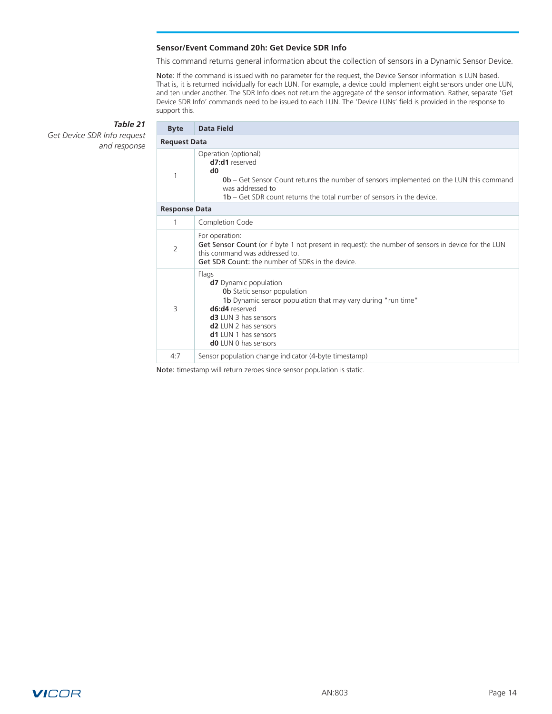### **Sensor/Event Command 20h: Get Device SDR Info**

This command returns general information about the collection of sensors in a Dynamic Sensor Device.

Note: If the command is issued with no parameter for the request, the Device Sensor information is LUN based. That is, it is returned individually for each LUN. For example, a device could implement eight sensors under one LUN, and ten under another. The SDR Info does not return the aggregate of the sensor information. Rather, separate 'Get Device SDR Info' commands need to be issued to each LUN. The 'Device LUNs' field is provided in the response to support this.

| <b>Byte</b>          | <b>Data Field</b>                                                                                                                                                                                                                                                             |
|----------------------|-------------------------------------------------------------------------------------------------------------------------------------------------------------------------------------------------------------------------------------------------------------------------------|
| <b>Request Data</b>  |                                                                                                                                                                                                                                                                               |
| 1                    | Operation (optional)<br>d7:d1 reserved<br>d <sub>0</sub><br><b>0b</b> – Get Sensor Count returns the number of sensors implemented on the LUN this command<br>was addressed to<br><b>1b</b> – Get SDR count returns the total number of sensors in the device                 |
| <b>Response Data</b> |                                                                                                                                                                                                                                                                               |
| $\mathbf{1}$         | Completion Code                                                                                                                                                                                                                                                               |
| $\overline{2}$       | For operation:<br>Get Sensor Count (or if byte 1 not present in request): the number of sensors in device for the LUN<br>this command was addressed to.<br>Get SDR Count: the number of SDRs in the device.                                                                   |
| 3                    | Flags<br><b>d7</b> Dynamic population<br>Ob Static sensor population<br>1b Dynamic sensor population that may vary during "run time"<br>d6:d4 reserved<br><b>d3</b> LUN 3 has sensors<br>$d2$ LUN 2 has sensors<br><b>d1</b> LUN 1 has sensors<br><b>d0</b> LUN 0 has sensors |
| 4:7                  | Sensor population change indicator (4-byte timestamp)                                                                                                                                                                                                                         |

### <span id="page-13-0"></span>*Table 21* **Get Device SDR Info request**

and respo

Note: timestamp will return zeroes since sensor population is static.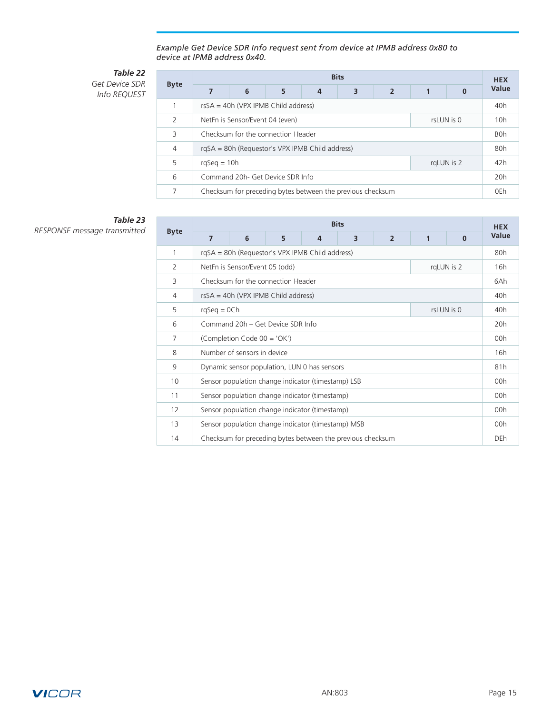*Example Get Device SDR Info request sent from device at IPMB address 0x80 to device at IPMB address 0x40.*

*Table 22 Get Device SDR* 

*Info REQUEST*

| <b>Byte</b>   | <b>Bits</b>                           |                                               |                                                 |   |                                                            |                          |  |          |       |  |  |  |  |
|---------------|---------------------------------------|-----------------------------------------------|-------------------------------------------------|---|------------------------------------------------------------|--------------------------|--|----------|-------|--|--|--|--|
|               |                                       | 6                                             | 5                                               | 4 | 3                                                          | $\overline{\phantom{a}}$ |  | $\Omega$ | Value |  |  |  |  |
|               | $rsSA = 40h$ (VPX IPMB Child address) |                                               |                                                 |   |                                                            |                          |  |          |       |  |  |  |  |
| $\mathcal{P}$ |                                       | NetFn is Sensor/Event 04 (even)<br>rsLUN is 0 |                                                 |   |                                                            |                          |  |          |       |  |  |  |  |
| 3             | Checksum for the connection Header    |                                               |                                                 |   |                                                            |                          |  |          |       |  |  |  |  |
| 4             |                                       |                                               | rqSA = 80h (Requestor's VPX IPMB Child address) |   |                                                            |                          |  |          | 80h   |  |  |  |  |
| 5             | rgLUN is 2<br>$rqSeq = 10h$           |                                               |                                                 |   |                                                            |                          |  |          | 42h   |  |  |  |  |
| 6             | Command 20h- Get Device SDR Info      |                                               |                                                 |   |                                                            |                          |  |          | 20h   |  |  |  |  |
| 7             |                                       |                                               |                                                 |   | Checksum for preceding bytes between the previous checksum |                          |  |          | 0Eh   |  |  |  |  |

*Table 23 RESPONSE message transmitted* **Byte**

|                | <b>Bits</b>                                     |                                                    |   |   |                                                            |                |   |          |            |  |
|----------------|-------------------------------------------------|----------------------------------------------------|---|---|------------------------------------------------------------|----------------|---|----------|------------|--|
| <b>Byte</b>    | 7                                               | 6                                                  | 5 | 4 | 3                                                          | $\overline{2}$ | 1 | $\Omega$ | Value      |  |
| 1              | rgSA = 80h (Requestor's VPX IPMB Child address) |                                                    |   |   |                                                            |                |   |          |            |  |
| $\overline{2}$ | NetFn is Sensor/Event 05 (odd)<br>rgLUN is 2    |                                                    |   |   |                                                            |                |   |          | 16h        |  |
| 3              | Checksum for the connection Header              |                                                    |   |   |                                                            |                |   |          | 6Ah        |  |
| 4              |                                                 | $rsSA = 40h$ (VPX IPMB Child address)              |   |   |                                                            |                |   |          | 40h        |  |
| 5              |                                                 | rsLUN is 0<br>$rqSeq = OCh$                        |   |   |                                                            |                |   |          |            |  |
| 6              | Command 20h – Get Device SDR Info               |                                                    |   |   |                                                            |                |   |          | 20h        |  |
| $\overline{7}$ | (Completion Code 00 = 'OK')                     |                                                    |   |   |                                                            |                |   | 00h      |            |  |
| 8              |                                                 | Number of sensors in device                        |   |   |                                                            |                |   |          | 16h        |  |
| 9              |                                                 | Dynamic sensor population, LUN 0 has sensors       |   |   |                                                            |                |   |          | 81h        |  |
| 10             |                                                 | Sensor population change indicator (timestamp) LSB |   |   |                                                            |                |   |          | 00h        |  |
| 11             |                                                 | Sensor population change indicator (timestamp)     |   |   |                                                            |                |   |          | 00h        |  |
| 12             |                                                 | Sensor population change indicator (timestamp)     |   |   |                                                            |                |   |          | 00h        |  |
| 13             |                                                 | Sensor population change indicator (timestamp) MSB |   |   |                                                            |                |   |          | 00h        |  |
| 14             |                                                 |                                                    |   |   | Checksum for preceding bytes between the previous checksum |                |   |          | <b>DEh</b> |  |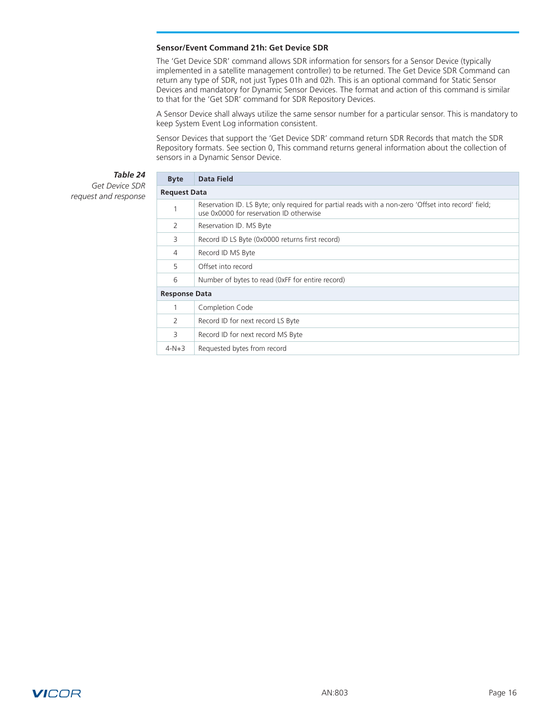#### <span id="page-15-0"></span>**Sensor/Event Command 21h: Get Device SDR**

The 'Get Device SDR' command allows SDR information for sensors for a Sensor Device (typically implemented in a satellite management controller) to be returned. The Get Device SDR Command can return any type of SDR, not just Types 01h and 02h. This is an optional command for Static Sensor Devices and mandatory for Dynamic Sensor Devices. The format and action of this command is similar to that for the 'Get SDR' command for SDR Repository Devices.

A Sensor Device shall always utilize the same sensor number for a particular sensor. This is mandatory to keep System Event Log information consistent.

Sensor Devices that support the 'Get Device SDR' command return SDR Records that match the SDR Repository formats. See section 0, This command returns general information about the collection of sensors in a Dynamic Sensor Device.

#### *Table 24 Get Device SDR*

*request and response*

| <b>Byte</b>          | Data Field                                                                                                                                      |
|----------------------|-------------------------------------------------------------------------------------------------------------------------------------------------|
| <b>Request Data</b>  |                                                                                                                                                 |
| 1                    | Reservation ID. LS Byte; only required for partial reads with a non-zero 'Offset into record' field;<br>use 0x0000 for reservation ID otherwise |
| 2                    | Reservation ID. MS Byte                                                                                                                         |
| 3                    | Record ID LS Byte (0x0000 returns first record)                                                                                                 |
| 4                    | Record ID MS Byte                                                                                                                               |
| 5                    | Offset into record                                                                                                                              |
| 6                    | Number of bytes to read (0xFF for entire record)                                                                                                |
| <b>Response Data</b> |                                                                                                                                                 |
| 1                    | Completion Code                                                                                                                                 |
| 2                    | Record ID for next record LS Byte                                                                                                               |
| 3                    | Record ID for next record MS Byte                                                                                                               |
| $4 - N + 3$          | Requested bytes from record                                                                                                                     |

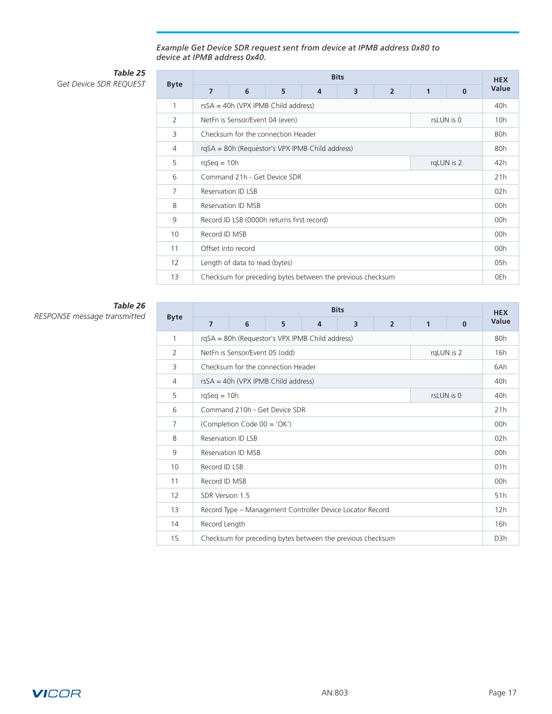#### *Example Get Device SDR request sent from device at IPMB address 0x80 to device at IPMB address 0x40.*

*Table 25* **Get Device SDR REQUEST** 

|             | <b>Bits</b>                                     |                                 |                                            |   |                                                            |                |              |            |            |  |  |  |  |
|-------------|-------------------------------------------------|---------------------------------|--------------------------------------------|---|------------------------------------------------------------|----------------|--------------|------------|------------|--|--|--|--|
| <b>Byte</b> | 7                                               | 6                               | 5                                          | 4 | 3                                                          | $\overline{2}$ | $\mathbf{1}$ | $\bf{0}$   | Value      |  |  |  |  |
| 1           |                                                 |                                 | $rsSA = 40h (VPX IPMB Child address)$      |   |                                                            |                |              |            | 40h        |  |  |  |  |
| 2           |                                                 | NetFn is Sensor/Event 04 (even) |                                            |   |                                                            |                |              | rsLUN is 0 | 10h        |  |  |  |  |
| 3           | Checksum for the connection Header              |                                 |                                            |   |                                                            |                |              |            | <b>BOh</b> |  |  |  |  |
| 4           | rgSA = 80h (Requestor's VPX IPMB Child address) |                                 |                                            |   |                                                            |                |              |            | 80h        |  |  |  |  |
| 5           |                                                 | $rqSeq = 10h$<br>rgLUN is 2     |                                            |   |                                                            |                |              |            |            |  |  |  |  |
| 6           | Command 21h - Get Device SDR                    |                                 |                                            |   |                                                            |                |              | 21h        |            |  |  |  |  |
| 7           | <b>Reservation ID LSB</b>                       |                                 |                                            |   |                                                            |                |              |            | 02h        |  |  |  |  |
| 8           |                                                 | Reservation ID MSB              |                                            |   |                                                            |                |              |            | 00h        |  |  |  |  |
| 9           |                                                 |                                 | Record ID LSB (0000h returns first record) |   |                                                            |                |              |            | 00h        |  |  |  |  |
| 10          | Record ID MSB                                   |                                 |                                            |   |                                                            |                |              |            | 00h        |  |  |  |  |
| 11          | Offset into record                              |                                 |                                            |   |                                                            |                |              |            | 00h        |  |  |  |  |
| 12          |                                                 | Length of data to read (bytes)  |                                            |   |                                                            |                |              |            | 05h        |  |  |  |  |
| 13          |                                                 |                                 |                                            |   | Checksum for preceding bytes between the previous checksum |                |              |            | 0Eh        |  |  |  |  |

## *Table 26 RESPONSE message transmitted* **Byte**

**Bits HEX Value 7 6 5 4 3 2 1 0** 1 rqSA = 80h (Requestor's VPX IPMB Child address) 80h 2 NetFn is Sensor/Event 05 (odd) rqLUN is 2 16h 3 Checksum for the connection Header 6Ah 4 rsSA = 40h (VPX IPMB Child address) 40h 5 rqSeq = 10h rsLUN is 0 40h 6 Command 210h - Get Device SDR 21h 7 (Completion Code 00 = 'OK') 00h 8 Reservation ID LSB 02h 9 Reservation ID MSB 00h 10 Record ID LSB 01h 11 Record ID MSB 00h 12 SDR Version 1.5 51h 13 Record Type – Management Controller Device Locator Record 12h 14 Record Length 16h and 200 million 16h and 200 million 16h and 200 million 16h and 200 million 16h and 200 million 16h and 200 million 16h and 200 million 16h and 200 million 16h and 200 million 16h and 200 million 16h a 15 Checksum for preceding bytes between the previous checksum D3h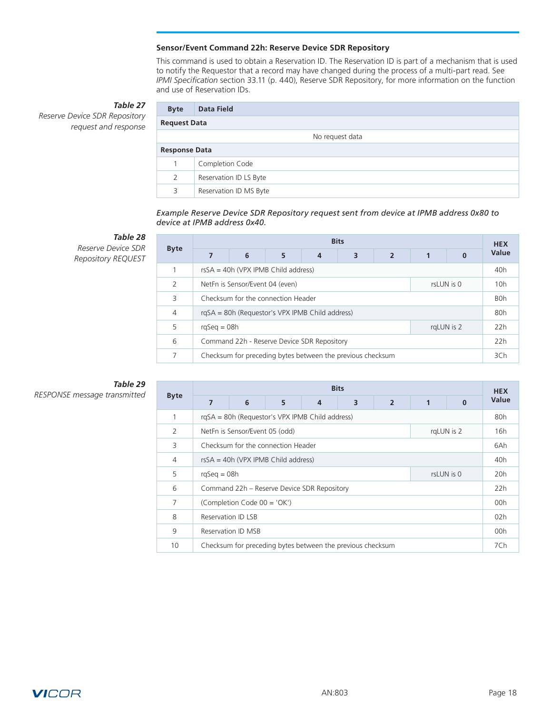### **Sensor/Event Command 22h: Reserve Device SDR Repository**

This command is used to obtain a Reservation ID. The Reservation ID is part of a mechanism that is used to notify the Requestor that a record may have changed during the process of a multi-part read. See *IPMI Specification* section 33.11 (p. 440), Reserve SDR Repository, for more information on the function and use of Reservation IDs.

# *Table 27*

<span id="page-17-0"></span>*Reserve Device SDR Repository request and response*

| <b>Byte</b>          | <b>Data Field</b>      |  |  |  |  |  |  |  |
|----------------------|------------------------|--|--|--|--|--|--|--|
| <b>Request Data</b>  |                        |  |  |  |  |  |  |  |
|                      | No request data        |  |  |  |  |  |  |  |
| <b>Response Data</b> |                        |  |  |  |  |  |  |  |
|                      | Completion Code        |  |  |  |  |  |  |  |
| 2                    | Reservation ID LS Byte |  |  |  |  |  |  |  |
| 3                    | Reservation ID MS Byte |  |  |  |  |  |  |  |

*Example Reserve Device SDR Repository request sent from device at IPMB address 0x80 to device at IPMB address 0x40.*

# *Table 28*

*Reserve Device SDR Repository REQUEST*

|                | <b>Bits</b>                                     |                                                            |   |   |   |                |  |   |       |  |  |  |  |
|----------------|-------------------------------------------------|------------------------------------------------------------|---|---|---|----------------|--|---|-------|--|--|--|--|
| <b>Byte</b>    |                                                 | 6                                                          | 5 | 4 | 3 | $\overline{2}$ |  | 0 | Value |  |  |  |  |
|                | $rsSA = 40h$ (VPX IPMB Child address)           |                                                            |   |   |   |                |  |   |       |  |  |  |  |
| $\mathcal{P}$  | rsLUN is 0<br>NetFn is Sensor/Event 04 (even)   |                                                            |   |   |   |                |  |   |       |  |  |  |  |
| 3              | Checksum for the connection Header              |                                                            |   |   |   |                |  |   |       |  |  |  |  |
| $\overline{4}$ | rgSA = 80h (Requestor's VPX IPMB Child address) |                                                            |   |   |   |                |  |   |       |  |  |  |  |
| 5              | $rqSeq = 08h$<br>rgLUN is 2                     |                                                            |   |   |   |                |  |   |       |  |  |  |  |
| 6              | Command 22h - Reserve Device SDR Repository     |                                                            |   |   |   |                |  |   |       |  |  |  |  |
|                |                                                 | Checksum for preceding bytes between the previous checksum |   |   |   |                |  |   | 3Ch   |  |  |  |  |

### *Table 29 RESPONSE message transmitted* **Byte**

| <b>Byte</b> | <b>Bits</b>                           |                                                 |                                             |                |                                                            |                |  |          |       |  |  |  |  |
|-------------|---------------------------------------|-------------------------------------------------|---------------------------------------------|----------------|------------------------------------------------------------|----------------|--|----------|-------|--|--|--|--|
|             | 7                                     | 6                                               | 5                                           | $\overline{4}$ | 3                                                          | $\overline{2}$ |  | $\Omega$ | Value |  |  |  |  |
|             |                                       | rgSA = 80h (Requestor's VPX IPMB Child address) |                                             |                |                                                            |                |  |          |       |  |  |  |  |
| 2           |                                       | rgLUN is 2<br>NetFn is Sensor/Event 05 (odd)    |                                             |                |                                                            |                |  |          |       |  |  |  |  |
| 3           |                                       | Checksum for the connection Header              |                                             |                |                                                            |                |  |          |       |  |  |  |  |
| 4           | $rsSA = 40h (VPX IPMB Child address)$ |                                                 |                                             |                |                                                            |                |  |          |       |  |  |  |  |
| 5           | rsLUN is 0<br>$rqSeq = 08h$           |                                                 |                                             |                |                                                            |                |  |          |       |  |  |  |  |
| 6           |                                       |                                                 | Command 22h - Reserve Device SDR Repository |                |                                                            |                |  |          | 22h   |  |  |  |  |
| 7           | (Completion Code 00 = 'OK')           |                                                 |                                             |                |                                                            |                |  |          |       |  |  |  |  |
| 8           | Reservation ID LSB                    |                                                 |                                             |                |                                                            |                |  |          |       |  |  |  |  |
| 9           | Reservation ID MSB                    |                                                 |                                             |                |                                                            |                |  |          |       |  |  |  |  |
| 10          |                                       |                                                 |                                             |                | Checksum for preceding bytes between the previous checksum |                |  |          | 7Ch   |  |  |  |  |

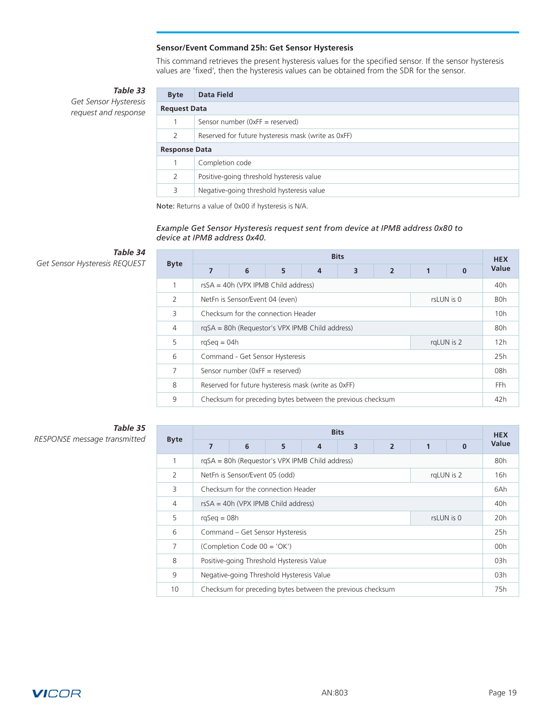#### **Sensor/Event Command 25h: Get Sensor Hysteresis**

This command retrieves the present hysteresis values for the specified sensor. If the sensor hysteresis values are 'fixed', then the hysteresis values can be obtained from the SDR for the sensor.

*Table 33*

<span id="page-18-0"></span>*Get Sensor Hysteresis request and response*

| <b>Byte</b>         | Data Field                                          |  |  |  |  |  |  |  |
|---------------------|-----------------------------------------------------|--|--|--|--|--|--|--|
| <b>Request Data</b> |                                                     |  |  |  |  |  |  |  |
|                     | Sensor number ( $0xFF$ = reserved)                  |  |  |  |  |  |  |  |
| 2                   | Reserved for future hysteresis mask (write as OxFF) |  |  |  |  |  |  |  |
|                     | <b>Response Data</b>                                |  |  |  |  |  |  |  |
|                     | Completion code                                     |  |  |  |  |  |  |  |
| 2                   | Positive-going threshold hysteresis value           |  |  |  |  |  |  |  |
| 3                   | Negative-going threshold hysteresis value           |  |  |  |  |  |  |  |

Note: Returns a value of 0x00 if hysteresis is N/A.

### *Example Get Sensor Hysteresis request sent from device at IPMB address 0x80 to device at IPMB address 0x40.*

# *Table 34*

**Get Sensor Hysteresis REQUEST** 

|                | <b>Bits</b>                                         |   |                                                            |   |   |                |  |          |       |  |  |  |  |
|----------------|-----------------------------------------------------|---|------------------------------------------------------------|---|---|----------------|--|----------|-------|--|--|--|--|
| <b>Byte</b>    | 7                                                   | 6 | 5                                                          | 4 | 3 | $\overline{2}$ |  | $\bf{0}$ | Value |  |  |  |  |
| 1              | $rsSA = 40h$ (VPX IPMB Child address)               |   |                                                            |   |   |                |  |          |       |  |  |  |  |
| 2              | rsLUN is 0<br>NetFn is Sensor/Event 04 (even)       |   |                                                            |   |   |                |  |          |       |  |  |  |  |
| 3              | Checksum for the connection Header                  |   |                                                            |   |   |                |  |          |       |  |  |  |  |
| $\overline{4}$ | rgSA = 80h (Requestor's VPX IPMB Child address)     |   |                                                            |   |   |                |  |          |       |  |  |  |  |
| 5              | $rqSeq = 04h$<br>rgLUN is 2                         |   |                                                            |   |   |                |  |          |       |  |  |  |  |
| 6              | Command - Get Sensor Hysteresis                     |   |                                                            |   |   |                |  |          |       |  |  |  |  |
| 7              | Sensor number (OxFF = reserved)                     |   |                                                            |   |   |                |  |          |       |  |  |  |  |
| 8              | Reserved for future hysteresis mask (write as 0xFF) |   |                                                            |   |   |                |  |          |       |  |  |  |  |
| 9              |                                                     |   | Checksum for preceding bytes between the previous checksum |   |   |                |  |          | 42h   |  |  |  |  |

## *Table 35*  $RESPONSE$  message transmitted

|                | <b>Bits</b>                                  |                                                     |                                                            |  |  |  |  |  |     |  |  |
|----------------|----------------------------------------------|-----------------------------------------------------|------------------------------------------------------------|--|--|--|--|--|-----|--|--|
| <b>Byte</b>    | 7                                            | 6<br>5<br>$\overline{2}$<br>3<br>1<br>4<br>$\Omega$ |                                                            |  |  |  |  |  |     |  |  |
|                |                                              |                                                     | rqSA = 80h (Requestor's VPX IPMB Child address)            |  |  |  |  |  | 80h |  |  |
| $\overline{2}$ | rgLUN is 2<br>NetFn is Sensor/Event 05 (odd) |                                                     |                                                            |  |  |  |  |  |     |  |  |
| 3              | Checksum for the connection Header           |                                                     |                                                            |  |  |  |  |  |     |  |  |
| $\overline{4}$ | rsSA = 40h (VPX IPMB Child address)          |                                                     |                                                            |  |  |  |  |  |     |  |  |
| 5              | rsLUN is 0<br>$rqSeq = 08h$                  |                                                     |                                                            |  |  |  |  |  |     |  |  |
| 6              |                                              |                                                     | Command - Get Sensor Hysteresis                            |  |  |  |  |  | 25h |  |  |
| 7              | (Completion Code 00 = 'OK')                  |                                                     |                                                            |  |  |  |  |  |     |  |  |
| 8              | Positive-going Threshold Hysteresis Value    |                                                     |                                                            |  |  |  |  |  |     |  |  |
| 9              | Negative-going Threshold Hysteresis Value    |                                                     |                                                            |  |  |  |  |  |     |  |  |
| 10             |                                              |                                                     | Checksum for preceding bytes between the previous checksum |  |  |  |  |  | 75h |  |  |

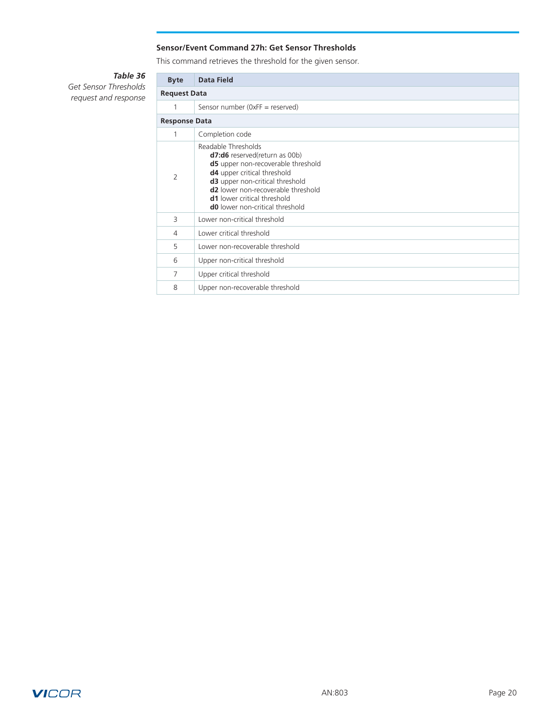### **Sensor/Event Command 27h: Get Sensor Thresholds**

This command retrieves the threshold for the given sensor.

# *Table 36*

<span id="page-19-0"></span>*Get Sensor Thresholds request and response*

| <b>Byte</b>         | <b>Data Field</b>                                                                                                                                                                                                                                                                         |  |  |  |  |  |  |  |  |  |
|---------------------|-------------------------------------------------------------------------------------------------------------------------------------------------------------------------------------------------------------------------------------------------------------------------------------------|--|--|--|--|--|--|--|--|--|
| <b>Request Data</b> |                                                                                                                                                                                                                                                                                           |  |  |  |  |  |  |  |  |  |
|                     | Sensor number (0xFF = reserved)                                                                                                                                                                                                                                                           |  |  |  |  |  |  |  |  |  |
|                     | <b>Response Data</b>                                                                                                                                                                                                                                                                      |  |  |  |  |  |  |  |  |  |
| 1                   | Completion code                                                                                                                                                                                                                                                                           |  |  |  |  |  |  |  |  |  |
| 2                   | Readable Thresholds<br><b>d7:d6</b> reserved(return as 00b)<br>d5 upper non-recoverable threshold<br>d4 upper critical threshold<br>d3 upper non-critical threshold<br><b>d2</b> lower non-recoverable threshold<br>d1 lower critical threshold<br><b>d0</b> lower non-critical threshold |  |  |  |  |  |  |  |  |  |
| 3                   | Lower non-critical threshold                                                                                                                                                                                                                                                              |  |  |  |  |  |  |  |  |  |
| 4                   | Lower critical threshold                                                                                                                                                                                                                                                                  |  |  |  |  |  |  |  |  |  |
| 5                   | Lower non-recoverable threshold                                                                                                                                                                                                                                                           |  |  |  |  |  |  |  |  |  |
| 6                   | Upper non-critical threshold                                                                                                                                                                                                                                                              |  |  |  |  |  |  |  |  |  |
| 7                   | Upper critical threshold                                                                                                                                                                                                                                                                  |  |  |  |  |  |  |  |  |  |
| 8                   | Upper non-recoverable threshold                                                                                                                                                                                                                                                           |  |  |  |  |  |  |  |  |  |

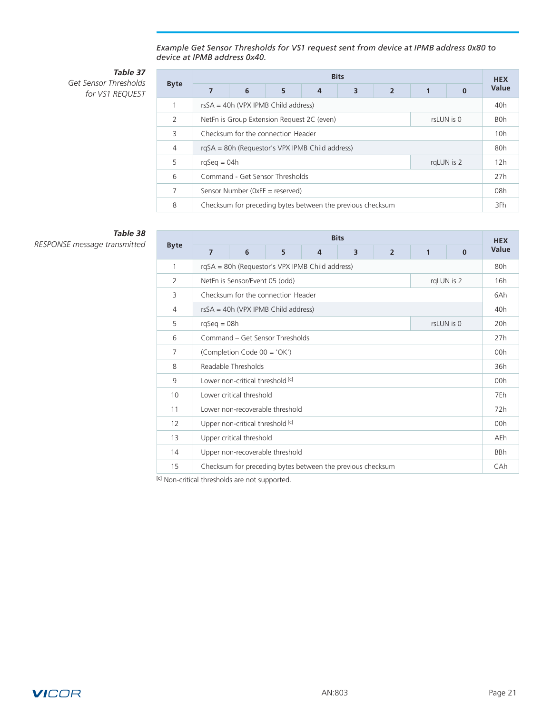*Example Get Sensor Thresholds for VS1 request sent from device at IPMB address 0x80 to device at IPMB address 0x40.*

*Table 37 Get Sensor Thresholds for VS1 REQUEST*

|                | <b>Bits</b>                                              |   |                                                            |   |   |                |  |            |       |  |  |
|----------------|----------------------------------------------------------|---|------------------------------------------------------------|---|---|----------------|--|------------|-------|--|--|
| <b>Byte</b>    | 7                                                        | 6 | 5                                                          | 4 | 3 | $\overline{2}$ |  | $\Omega$   | Value |  |  |
| 1              | $rsSA = 40h$ (VPX IPMB Child address)                    |   |                                                            |   |   |                |  |            |       |  |  |
| $\mathcal{P}$  | NetFn is Group Extension Request 2C (even)<br>rsLUN is 0 |   |                                                            |   |   |                |  |            |       |  |  |
| Β              | Checksum for the connection Header                       |   |                                                            |   |   |                |  |            |       |  |  |
| $\overline{4}$ | rgSA = 80h (Requestor's VPX IPMB Child address)          |   |                                                            |   |   |                |  |            |       |  |  |
| 5              | $rqSeq = 04h$                                            |   |                                                            |   |   |                |  | rgLUN is 2 | 12h   |  |  |
| 6              | Command - Get Sensor Thresholds                          |   |                                                            |   |   |                |  |            |       |  |  |
| $\overline{7}$ | Sensor Number (0xFF = reserved)                          |   |                                                            |   |   |                |  |            |       |  |  |
| 8              |                                                          |   | Checksum for preceding bytes between the previous checksum |   |   |                |  |            | 3Fh   |  |  |

# *Table 38*

 $RESPONSE$  message transmitted

|                | <b>Bits</b>                                                                                 |                                                 |                                 |  |                                                            |  |  |            |            |  |  |  |
|----------------|---------------------------------------------------------------------------------------------|-------------------------------------------------|---------------------------------|--|------------------------------------------------------------|--|--|------------|------------|--|--|--|
| <b>Byte</b>    | $\overline{\mathbf{3}}$<br>6<br>$\overline{2}$<br>$\overline{7}$<br>5<br>4<br>1<br>$\bf{0}$ |                                                 |                                 |  |                                                            |  |  |            |            |  |  |  |
| 1              |                                                                                             | rgSA = 80h (Requestor's VPX IPMB Child address) |                                 |  |                                                            |  |  |            |            |  |  |  |
| $\overline{2}$ |                                                                                             | NetFn is Sensor/Event 05 (odd)                  |                                 |  |                                                            |  |  | rqLUN is 2 | 16h        |  |  |  |
| 3              |                                                                                             | Checksum for the connection Header              |                                 |  |                                                            |  |  |            |            |  |  |  |
| $\overline{4}$ | $rsSA = 40h$ (VPX IPMB Child address)                                                       |                                                 |                                 |  |                                                            |  |  |            |            |  |  |  |
| 5              |                                                                                             | $rqSeq = 08h$<br>rsLUN is 0                     |                                 |  |                                                            |  |  |            |            |  |  |  |
| 6              | Command – Get Sensor Thresholds                                                             |                                                 |                                 |  |                                                            |  |  |            |            |  |  |  |
| 7              | (Completion Code 00 = 'OK')                                                                 |                                                 |                                 |  |                                                            |  |  |            |            |  |  |  |
| 8              | Readable Thresholds                                                                         |                                                 |                                 |  |                                                            |  |  |            |            |  |  |  |
| 9              |                                                                                             | Lower non-critical threshold [c]                |                                 |  |                                                            |  |  |            | 00h        |  |  |  |
| 10             |                                                                                             | Lower critical threshold                        |                                 |  |                                                            |  |  |            | 7Eh        |  |  |  |
| 11             |                                                                                             |                                                 | Lower non-recoverable threshold |  |                                                            |  |  |            | 72h        |  |  |  |
| 12             |                                                                                             | Upper non-critical threshold [c]                |                                 |  |                                                            |  |  |            | 00h        |  |  |  |
| 13             | Upper critical threshold                                                                    |                                                 |                                 |  |                                                            |  |  |            |            |  |  |  |
| 14             |                                                                                             |                                                 | Upper non-recoverable threshold |  |                                                            |  |  |            | <b>BBh</b> |  |  |  |
| 15             |                                                                                             |                                                 |                                 |  | Checksum for preceding bytes between the previous checksum |  |  |            | CAh        |  |  |  |

[c] Non-critical thresholds are not supported.

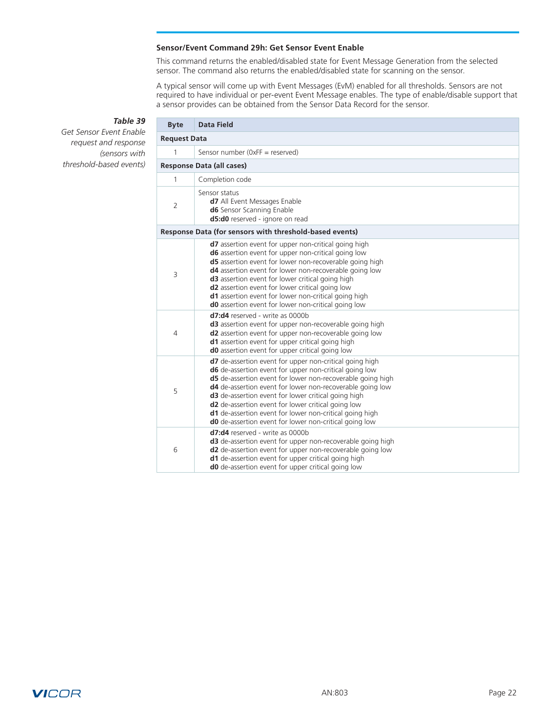### **Sensor/Event Command 29h: Get Sensor Event Enable**

This command returns the enabled/disabled state for Event Message Generation from the selected sensor. The command also returns the enabled/disabled state for scanning on the sensor.

A typical sensor will come up with Event Messages (EvM) enabled for all thresholds. Sensors are not required to have individual or per-event Event Message enables. The type of enable/disable support that a sensor provides can be obtained from the Sensor Data Record for the sensor.

## *Table 39*

r.

<span id="page-21-0"></span>*Get Sensor Event Enable request and response (sensors with threshold-based events)*

| <b>Byte</b>         | <b>Data Field</b>                                                                                                                                                                                                                                                                                                                                                                                                                                                                                   |
|---------------------|-----------------------------------------------------------------------------------------------------------------------------------------------------------------------------------------------------------------------------------------------------------------------------------------------------------------------------------------------------------------------------------------------------------------------------------------------------------------------------------------------------|
| <b>Request Data</b> |                                                                                                                                                                                                                                                                                                                                                                                                                                                                                                     |
| 1                   | Sensor number ( $0xFF$ = reserved)                                                                                                                                                                                                                                                                                                                                                                                                                                                                  |
|                     | <b>Response Data (all cases)</b>                                                                                                                                                                                                                                                                                                                                                                                                                                                                    |
| 1                   | Completion code                                                                                                                                                                                                                                                                                                                                                                                                                                                                                     |
| $\overline{2}$      | Sensor status<br>d7 All Event Messages Enable<br><b>d6</b> Sensor Scanning Enable<br>d5:d0 reserved - ignore on read                                                                                                                                                                                                                                                                                                                                                                                |
|                     | Response Data (for sensors with threshold-based events)                                                                                                                                                                                                                                                                                                                                                                                                                                             |
| 3                   | <b>d7</b> assertion event for upper non-critical going high<br><b>d6</b> assertion event for upper non-critical going low<br><b>d5</b> assertion event for lower non-recoverable going high<br>d4 assertion event for lower non-recoverable going low<br><b>d3</b> assertion event for lower critical going high<br>d2 assertion event for lower critical going low<br>d1 assertion event for lower non-critical going high<br><b>d0</b> assertion event for lower non-critical going low           |
| 4                   | <b>d7:d4</b> reserved - write as 0000b<br>d3 assertion event for upper non-recoverable going high<br><b>d2</b> assertion event for upper non-recoverable going low<br><b>d1</b> assertion event for upper critical going high<br>d0 assertion event for upper critical going low                                                                                                                                                                                                                    |
| 5                   | d7 de-assertion event for upper non-critical going high<br>d6 de-assertion event for upper non-critical going low<br>d5 de-assertion event for lower non-recoverable going high<br><b>d4</b> de-assertion event for lower non-recoverable going low<br><b>d3</b> de-assertion event for lower critical going high<br><b>d2</b> de-assertion event for lower critical going low<br>d1 de-assertion event for lower non-critical going high<br>d0 de-assertion event for lower non-critical going low |
| 6                   | <b>d7:d4</b> reserved - write as 0000b<br><b>d3</b> de-assertion event for upper non-recoverable going high<br>d2 de-assertion event for upper non-recoverable going low<br>d1 de-assertion event for upper critical going high<br><b>d0</b> de-assertion event for upper critical going low                                                                                                                                                                                                        |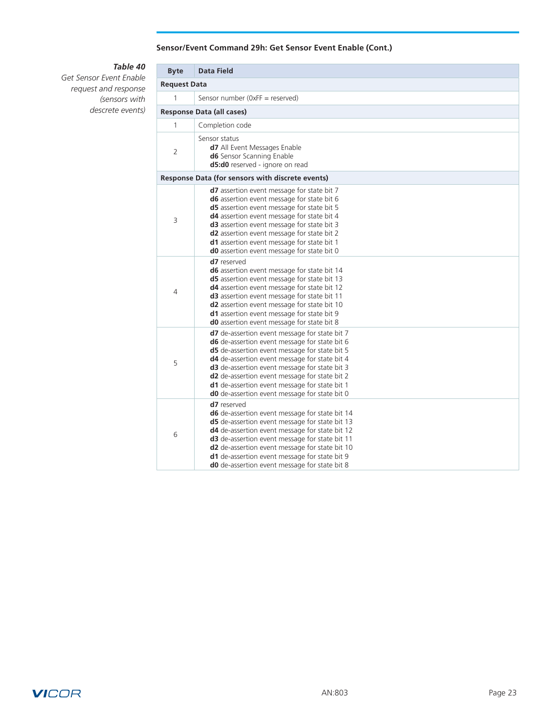## **Sensor/Event Command 29h: Get Sensor Event Enable (Cont.)**

# *Table 40*

*Get Sensor Event Enable request and response (sensors with descrete events)*

| <b>Byte</b>         | <b>Data Field</b>                                                                                                                                                                                                                                                                                                                                                                                           |  |  |  |  |  |  |  |  |
|---------------------|-------------------------------------------------------------------------------------------------------------------------------------------------------------------------------------------------------------------------------------------------------------------------------------------------------------------------------------------------------------------------------------------------------------|--|--|--|--|--|--|--|--|
| <b>Request Data</b> |                                                                                                                                                                                                                                                                                                                                                                                                             |  |  |  |  |  |  |  |  |
| 1                   | Sensor number ( $0xFF$ = reserved)                                                                                                                                                                                                                                                                                                                                                                          |  |  |  |  |  |  |  |  |
|                     | <b>Response Data (all cases)</b>                                                                                                                                                                                                                                                                                                                                                                            |  |  |  |  |  |  |  |  |
| 1                   | Completion code                                                                                                                                                                                                                                                                                                                                                                                             |  |  |  |  |  |  |  |  |
| 2                   | Sensor status<br><b>d7</b> All Event Messages Enable<br><b>d6</b> Sensor Scanning Enable<br>d5:d0 reserved - ignore on read                                                                                                                                                                                                                                                                                 |  |  |  |  |  |  |  |  |
|                     | Response Data (for sensors with discrete events)                                                                                                                                                                                                                                                                                                                                                            |  |  |  |  |  |  |  |  |
| 3                   | <b>d7</b> assertion event message for state bit 7<br>d6 assertion event message for state bit 6<br>d5 assertion event message for state bit 5<br>d4 assertion event message for state bit 4<br>d3 assertion event message for state bit 3<br>d <sub>2</sub> assertion event message for state bit 2<br>d1 assertion event message for state bit 1<br><b>d0</b> assertion event message for state bit 0      |  |  |  |  |  |  |  |  |
| 4                   | d7 reserved<br>d6 assertion event message for state bit 14<br>d5 assertion event message for state bit 13<br>d4 assertion event message for state bit 12<br>d3 assertion event message for state bit 11<br>d2 assertion event message for state bit 10<br>d1 assertion event message for state bit 9<br>d0 assertion event message for state bit 8                                                          |  |  |  |  |  |  |  |  |
| 5                   | d7 de-assertion event message for state bit 7<br>d6 de-assertion event message for state bit 6<br>d5 de-assertion event message for state bit 5<br>d4 de-assertion event message for state bit 4<br>d3 de-assertion event message for state bit 3<br>d2 de-assertion event message for state bit 2<br>d1 de-assertion event message for state bit 1<br><b>d0</b> de-assertion event message for state bit 0 |  |  |  |  |  |  |  |  |
| 6                   | d7 reserved<br><b>d6</b> de-assertion event message for state bit 14<br>d5 de-assertion event message for state bit 13<br>d4 de-assertion event message for state bit 12<br>d3 de-assertion event message for state bit 11<br>d2 de-assertion event message for state bit 10<br>d1 de-assertion event message for state bit 9<br>d0 de-assertion event message for state bit 8                              |  |  |  |  |  |  |  |  |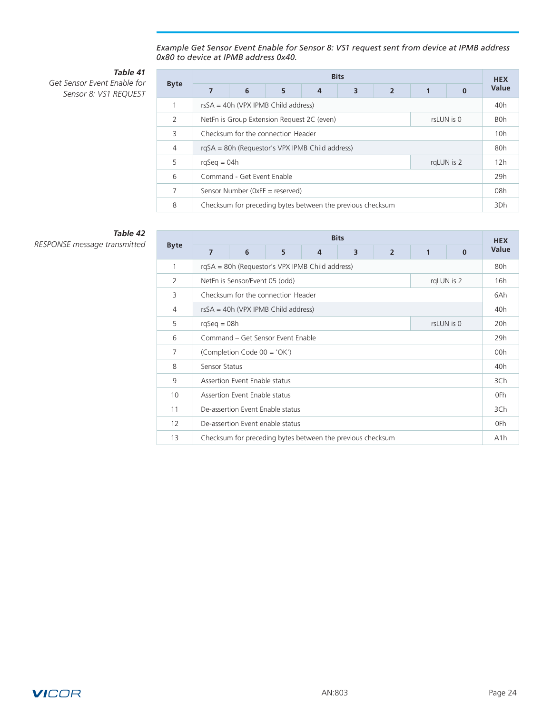#### *Example Get Sensor Event Enable for Sensor 8: VS1 request sent from device at IPMB address 0x80 to device at IPMB address 0x40.*

# *Table 41*

*Get Sensor Event Enable for Sensor 8: VS1 REQUEST*

| <b>Byte</b>    | <b>Bits</b>                                              |   |   |                                                            |   |                |  |          |       |  |  |
|----------------|----------------------------------------------------------|---|---|------------------------------------------------------------|---|----------------|--|----------|-------|--|--|
|                | $\overline{7}$                                           | 6 | 5 | 4                                                          | 3 | $\overline{2}$ |  | $\Omega$ | Value |  |  |
|                | rsSA = 40h (VPX IPMB Child address)                      |   |   |                                                            |   |                |  |          |       |  |  |
| $\mathcal{P}$  | NetFn is Group Extension Request 2C (even)<br>rsLUN is 0 |   |   |                                                            |   |                |  |          |       |  |  |
| 3              | Checksum for the connection Header                       |   |   |                                                            |   |                |  |          |       |  |  |
| $\overline{4}$ | rgSA = 80h (Requestor's VPX IPMB Child address)          |   |   |                                                            |   |                |  |          |       |  |  |
| 5              | $rqSeq = 04h$<br>rgLUN is 2                              |   |   |                                                            |   |                |  |          |       |  |  |
| 6              | Command - Get Event Enable                               |   |   |                                                            |   |                |  |          |       |  |  |
| 7              | Sensor Number (OxFF = reserved)                          |   |   |                                                            |   |                |  |          |       |  |  |
| 8              |                                                          |   |   | Checksum for preceding bytes between the previous checksum |   |                |  |          | 3Dh   |  |  |

# *Table 42*

|             | <b>Bits</b>                       |                                                 |   |   |                                                            |                |     |          |                  |  |
|-------------|-----------------------------------|-------------------------------------------------|---|---|------------------------------------------------------------|----------------|-----|----------|------------------|--|
| <b>Byte</b> | $\overline{7}$                    | 6                                               | 5 | 4 | 3                                                          | $\overline{2}$ | 1   | $\bf{0}$ | Value            |  |
| 1           |                                   | rgSA = 80h (Requestor's VPX IPMB Child address) |   |   |                                                            |                |     |          | 80h              |  |
| 2           |                                   | rqLUN is 2<br>NetFn is Sensor/Event 05 (odd)    |   |   |                                                            |                |     |          |                  |  |
| 3           |                                   | Checksum for the connection Header              |   |   |                                                            |                |     |          | 6Ah              |  |
| 4           |                                   | $rsSA = 40h$ (VPX IPMB Child address)           |   |   |                                                            |                |     |          | 40h              |  |
| 5           | $rqSeq = 08h$<br>rsLUN is 0       |                                                 |   |   |                                                            |                | 20h |          |                  |  |
| 6           | Command - Get Sensor Event Enable |                                                 |   |   |                                                            |                | 29h |          |                  |  |
| 7           | (Completion Code 00 = 'OK')       |                                                 |   |   |                                                            |                | 00h |          |                  |  |
| 8           | Sensor Status                     |                                                 |   |   |                                                            |                | 40h |          |                  |  |
| 9           | Assertion Event Enable status     |                                                 |   |   |                                                            |                | 3Ch |          |                  |  |
| 10          | Assertion Event Enable status     |                                                 |   |   |                                                            |                | 0Fh |          |                  |  |
| 11          | De-assertion Event Enable status  |                                                 |   |   |                                                            |                | 3Ch |          |                  |  |
| 12          | De-assertion Event enable status  |                                                 |   |   |                                                            |                |     | 0Fh      |                  |  |
| 13          |                                   |                                                 |   |   | Checksum for preceding bytes between the previous checksum |                |     |          | A <sub>1</sub> h |  |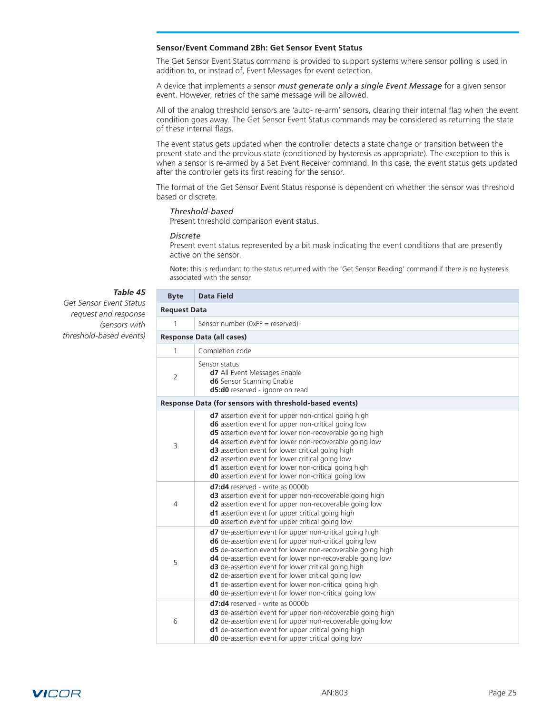#### <span id="page-24-0"></span>**Sensor/Event Command 2Bh: Get Sensor Event Status**

The Get Sensor Event Status command is provided to support systems where sensor polling is used in addition to, or instead of, Event Messages for event detection.

A device that implements a sensor *must generate only a single Event Message* for a given sensor event. However, retries of the same message will be allowed.

All of the analog threshold sensors are 'auto- re-arm' sensors, clearing their internal flag when the event condition goes away. The Get Sensor Event Status commands may be considered as returning the state of these internal flags.

The event status gets updated when the controller detects a state change or transition between the present state and the previous state (conditioned by hysteresis as appropriate). The exception to this is when a sensor is re-armed by a Set Event Receiver command. In this case, the event status gets updated after the controller gets its first reading for the sensor.

The format of the Get Sensor Event Status response is dependent on whether the sensor was threshold based or discrete.

#### *Threshold-based*

Present threshold comparison event status.

#### *Discrete*

Present event status represented by a bit mask indicating the event conditions that are presently active on the sensor.

Note: this is redundant to the status returned with the 'Get Sensor Reading' command if there is no hysteresis associated with the sensor.

#### *Table 45*

*Get Sensor Event Status request and response (sensors with threshold-based events)*

| <b>Byte</b>         | <b>Data Field</b>                                                                                                                                                                                                                                                                                                                                                                                                                                                                                   |
|---------------------|-----------------------------------------------------------------------------------------------------------------------------------------------------------------------------------------------------------------------------------------------------------------------------------------------------------------------------------------------------------------------------------------------------------------------------------------------------------------------------------------------------|
| <b>Request Data</b> |                                                                                                                                                                                                                                                                                                                                                                                                                                                                                                     |
| 1                   | Sensor number ( $0xFF$ = reserved)                                                                                                                                                                                                                                                                                                                                                                                                                                                                  |
|                     | <b>Response Data (all cases)</b>                                                                                                                                                                                                                                                                                                                                                                                                                                                                    |
| 1                   | Completion code                                                                                                                                                                                                                                                                                                                                                                                                                                                                                     |
| $\overline{2}$      | Sensor status<br>d7 All Event Messages Enable<br>d6 Sensor Scanning Enable<br>d5:d0 reserved - ignore on read                                                                                                                                                                                                                                                                                                                                                                                       |
|                     | Response Data (for sensors with threshold-based events)                                                                                                                                                                                                                                                                                                                                                                                                                                             |
| 3                   | <b>d7</b> assertion event for upper non-critical going high<br><b>d6</b> assertion event for upper non-critical going low<br><b>d5</b> assertion event for lower non-recoverable going high<br>d4 assertion event for lower non-recoverable going low<br>d3 assertion event for lower critical going high<br>d2 assertion event for lower critical going low<br>d1 assertion event for lower non-critical going high<br>d0 assertion event for lower non-critical going low                         |
| 4                   | <b>d7:d4</b> reserved - write as 0000b<br>d3 assertion event for upper non-recoverable going high<br>d2 assertion event for upper non-recoverable going low<br><b>d1</b> assertion event for upper critical going high<br><b>d0</b> assertion event for upper critical going low                                                                                                                                                                                                                    |
| 5                   | d7 de-assertion event for upper non-critical going high<br>d6 de-assertion event for upper non-critical going low<br>d5 de-assertion event for lower non-recoverable going high<br><b>d4</b> de-assertion event for lower non-recoverable going low<br><b>d3</b> de-assertion event for lower critical going high<br><b>d2</b> de-assertion event for lower critical going low<br>d1 de-assertion event for lower non-critical going high<br>d0 de-assertion event for lower non-critical going low |
| 6                   | d7:d4 reserved - write as 0000b<br>d3 de-assertion event for upper non-recoverable going high<br>d2 de-assertion event for upper non-recoverable going low<br>d1 de-assertion event for upper critical going high<br><b>d0</b> de-assertion event for upper critical going low                                                                                                                                                                                                                      |

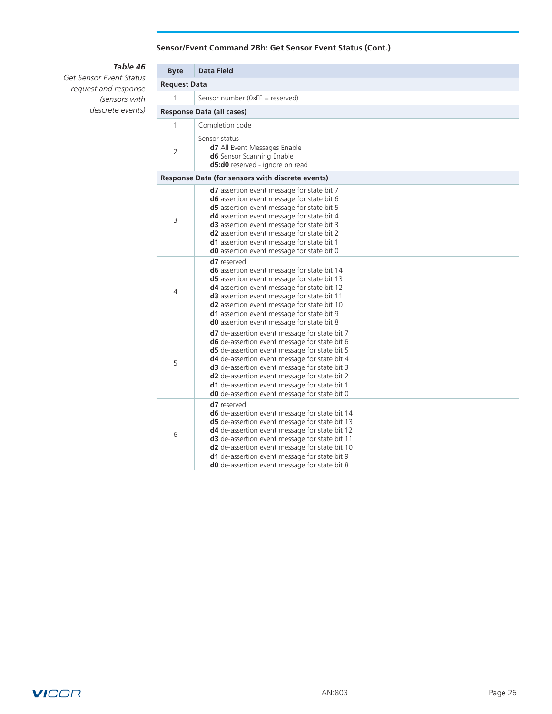## **Sensor/Event Command 2Bh: Get Sensor Event Status (Cont.)**

# *Table 46*

*Get Sensor Event Status request and response (sensors with descrete events)*

| <b>Byte</b> | <b>Data Field</b>                                                                                                                                                                                                                                                                                                                                                                                           |  |  |  |  |  |  |  |
|-------------|-------------------------------------------------------------------------------------------------------------------------------------------------------------------------------------------------------------------------------------------------------------------------------------------------------------------------------------------------------------------------------------------------------------|--|--|--|--|--|--|--|
|             | <b>Request Data</b>                                                                                                                                                                                                                                                                                                                                                                                         |  |  |  |  |  |  |  |
| 1           | Sensor number ( $0xFF$ = reserved)                                                                                                                                                                                                                                                                                                                                                                          |  |  |  |  |  |  |  |
|             | <b>Response Data (all cases)</b>                                                                                                                                                                                                                                                                                                                                                                            |  |  |  |  |  |  |  |
| 1           | Completion code                                                                                                                                                                                                                                                                                                                                                                                             |  |  |  |  |  |  |  |
| 2           | Sensor status<br>d7 All Event Messages Enable<br><b>d6</b> Sensor Scanning Enable<br><b>d5:d0</b> reserved - ignore on read                                                                                                                                                                                                                                                                                 |  |  |  |  |  |  |  |
|             | Response Data (for sensors with discrete events)                                                                                                                                                                                                                                                                                                                                                            |  |  |  |  |  |  |  |
| 3           | d7 assertion event message for state bit 7<br>d6 assertion event message for state bit 6<br><b>d5</b> assertion event message for state bit 5<br>d4 assertion event message for state bit 4<br>d3 assertion event message for state bit 3<br><b>d2</b> assertion event message for state bit 2<br>d1 assertion event message for state bit 1<br><b>d0</b> assertion event message for state bit 0           |  |  |  |  |  |  |  |
| 4           | d7 reserved<br>d6 assertion event message for state bit 14<br>d5 assertion event message for state bit 13<br>d4 assertion event message for state bit 12<br>d3 assertion event message for state bit 11<br>d2 assertion event message for state bit 10<br>d1 assertion event message for state bit 9<br>d0 assertion event message for state bit 8                                                          |  |  |  |  |  |  |  |
| 5           | d7 de-assertion event message for state bit 7<br><b>d6</b> de-assertion event message for state bit 6<br>d5 de-assertion event message for state bit 5<br>d4 de-assertion event message for state bit 4<br>d3 de-assertion event message for state bit 3<br>d2 de-assertion event message for state bit 2<br>d1 de-assertion event message for state bit 1<br>d0 de-assertion event message for state bit 0 |  |  |  |  |  |  |  |
| 6           | d7 reserved<br><b>d6</b> de-assertion event message for state bit 14<br><b>d5</b> de-assertion event message for state bit 13<br>d4 de-assertion event message for state bit 12<br>d3 de-assertion event message for state bit 11<br>d2 de-assertion event message for state bit 10<br>d1 de-assertion event message for state bit 9<br>d0 de-assertion event message for state bit 8                       |  |  |  |  |  |  |  |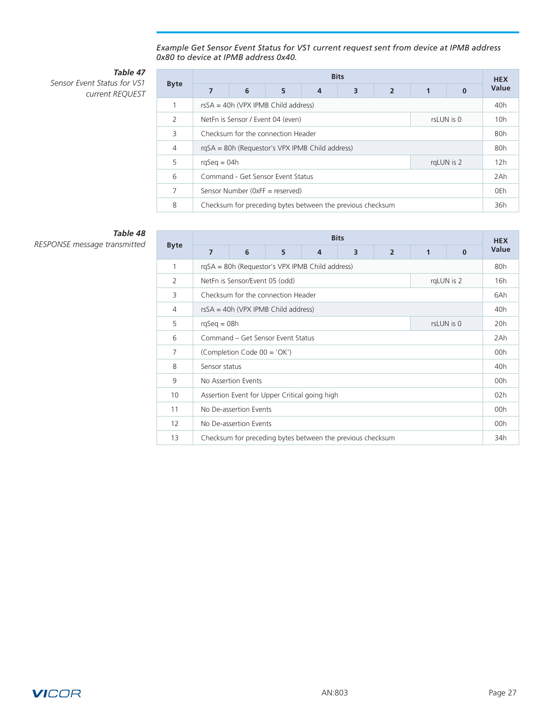#### *Example Get Sensor Event Status for VS1 current request sent from device at IPMB address 0x80 to device at IPMB address 0x40.*

## *Table 47 Sensor Event Status for VS1*

| current REQUEST |
|-----------------|

|                | <b>Bits</b>                                     |                                                 |                                                            |   |   |                |     |                  |                 |  |
|----------------|-------------------------------------------------|-------------------------------------------------|------------------------------------------------------------|---|---|----------------|-----|------------------|-----------------|--|
| <b>Byte</b>    | 7                                               | 6                                               | 5                                                          | 4 | 3 | $\overline{2}$ | 1   | 0                | Value           |  |
|                | $rsSA = 40h (VPX IPMB Child address)$           |                                                 |                                                            |   |   |                |     |                  | 40 <sub>h</sub> |  |
| $\mathcal{P}$  |                                                 | NetFn is Sensor / Event 04 (even)<br>rsLUN is 0 |                                                            |   |   |                |     |                  | 10 <sub>h</sub> |  |
| 3              | Checksum for the connection Header              |                                                 |                                                            |   |   |                |     | B <sub>O</sub> h |                 |  |
| $\overline{4}$ | rgSA = 80h (Requestor's VPX IPMB Child address) |                                                 |                                                            |   |   |                | 80h |                  |                 |  |
| 5              | $rqSeq = 04h$<br>rgLUN is 2                     |                                                 |                                                            |   |   |                | 12h |                  |                 |  |
| 6              | Command - Get Sensor Event Status               |                                                 |                                                            |   |   |                | 2Ah |                  |                 |  |
| 7              | Sensor Number (0xFF = reserved)                 |                                                 |                                                            |   |   |                | 0Eh |                  |                 |  |
| 8              |                                                 |                                                 | Checksum for preceding bytes between the previous checksum |   |   |                |     |                  | 36h             |  |

# *Table 48*

|                | <b>Bits</b>                                     |                                       |   |   |                                                            |                |     |          |       |
|----------------|-------------------------------------------------|---------------------------------------|---|---|------------------------------------------------------------|----------------|-----|----------|-------|
| <b>Byte</b>    | $\overline{7}$                                  | 6                                     | 5 | 4 | 3                                                          | $\overline{2}$ | 1   | $\bf{0}$ | Value |
| 1              | rgSA = 80h (Requestor's VPX IPMB Child address) |                                       |   |   |                                                            |                |     |          |       |
| 2              | rqLUN is 2<br>NetFn is Sensor/Event 05 (odd)    |                                       |   |   |                                                            |                |     |          | 16h   |
| 3              |                                                 | Checksum for the connection Header    |   |   |                                                            |                |     |          | 6Ah   |
| 4              |                                                 | $rsSA = 40h$ (VPX IPMB Child address) |   |   |                                                            |                |     |          | 40h   |
| 5              | rsLUN is 0<br>$rqSeq = 08h$                     |                                       |   |   |                                                            |                | 20h |          |       |
| 6              | Command - Get Sensor Event Status               |                                       |   |   |                                                            |                | 2Ah |          |       |
| $\overline{7}$ | (Completion Code 00 = 'OK')                     |                                       |   |   |                                                            |                | 00h |          |       |
| 8              | Sensor status                                   |                                       |   |   |                                                            |                | 40h |          |       |
| 9              | No Assertion Events                             |                                       |   |   |                                                            |                | 00h |          |       |
| 10             | Assertion Event for Upper Critical going high   |                                       |   |   |                                                            |                | 02h |          |       |
| 11             | No De-assertion Events                          |                                       |   |   |                                                            |                | 00h |          |       |
| 12             | No De-assertion Events                          |                                       |   |   |                                                            |                |     | 00h      |       |
| 13             |                                                 |                                       |   |   | Checksum for preceding bytes between the previous checksum |                |     |          | 34h   |

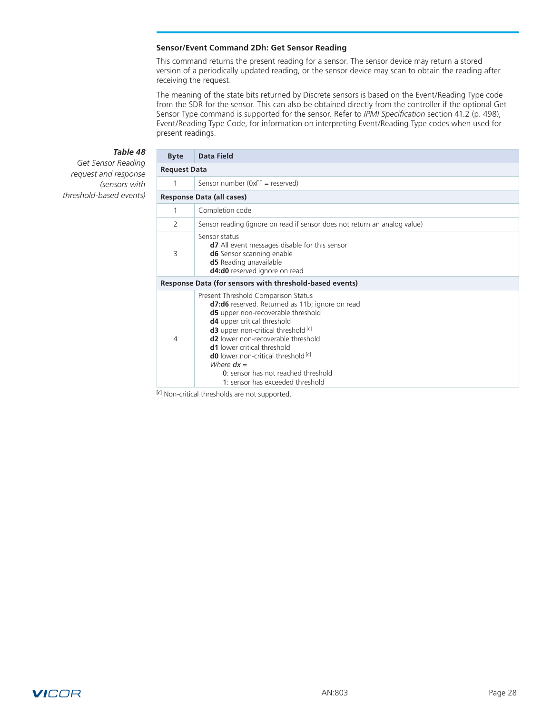#### <span id="page-27-0"></span>**Sensor/Event Command 2Dh: Get Sensor Reading**

This command returns the present reading for a sensor. The sensor device may return a stored version of a periodically updated reading, or the sensor device may scan to obtain the reading after receiving the request.

The meaning of the state bits returned by Discrete sensors is based on the Event/Reading Type code from the SDR for the sensor. This can also be obtained directly from the controller if the optional Get Sensor Type command is supported for the sensor. Refer to *IPMI Specification* section 41.2 (p. 498), Event/Reading Type Code, for information on interpreting Event/Reading Type codes when used for present readings.

# *Table 48*

*Get Sensor Reading request and response (sensors with threshold-based events)*

| <b>Byte</b> | <b>Data Field</b>                                                                                                                                                                                                                                                                                                                                                                                                                                                  |  |  |  |  |  |
|-------------|--------------------------------------------------------------------------------------------------------------------------------------------------------------------------------------------------------------------------------------------------------------------------------------------------------------------------------------------------------------------------------------------------------------------------------------------------------------------|--|--|--|--|--|
|             | <b>Request Data</b>                                                                                                                                                                                                                                                                                                                                                                                                                                                |  |  |  |  |  |
| 1           | Sensor number ( $0xFF$ = reserved)                                                                                                                                                                                                                                                                                                                                                                                                                                 |  |  |  |  |  |
|             | Response Data (all cases)                                                                                                                                                                                                                                                                                                                                                                                                                                          |  |  |  |  |  |
| 1           | Completion code                                                                                                                                                                                                                                                                                                                                                                                                                                                    |  |  |  |  |  |
| 2           | Sensor reading (ignore on read if sensor does not return an analog value)                                                                                                                                                                                                                                                                                                                                                                                          |  |  |  |  |  |
| 3           | Sensor status<br><b>d7</b> All event messages disable for this sensor<br>d6 Sensor scanning enable<br><b>d5</b> Reading unavailable<br>d4:d0 reserved ignore on read                                                                                                                                                                                                                                                                                               |  |  |  |  |  |
|             | Response Data (for sensors with threshold-based events)                                                                                                                                                                                                                                                                                                                                                                                                            |  |  |  |  |  |
| 4           | Present Threshold Comparison Status<br>d7:d6 reserved. Returned as 11b; ignore on read<br><b>d5</b> upper non-recoverable threshold<br>d4 upper critical threshold<br><b>d3</b> upper non-critical threshold <sup>[c]</sup><br><b>d2</b> lower non-recoverable threshold<br><b>d1</b> lower critical threshold<br><b>d0</b> lower non-critical threshold <sup>[c]</sup><br>Where $dx =$<br>0: sensor has not reached threshold<br>1: sensor has exceeded threshold |  |  |  |  |  |

[c] Non-critical thresholds are not supported.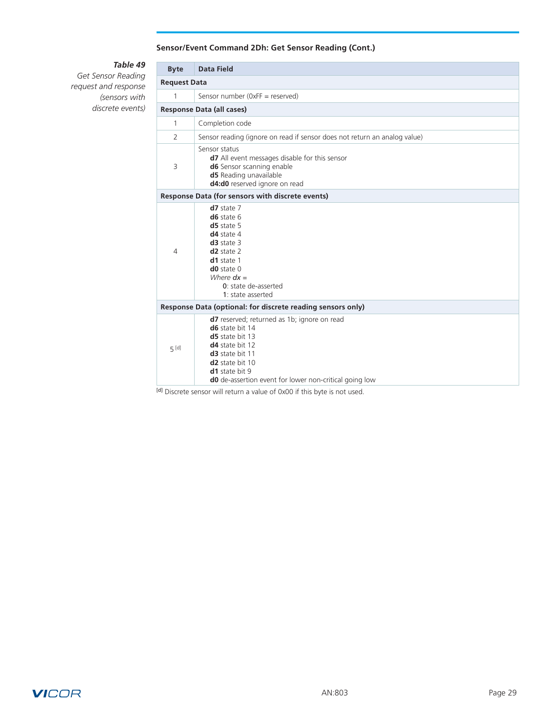## **Sensor/Event Command 2Dh: Get Sensor Reading (Cont.)**

# *Table 49*

*Get Sensor Reading request and response (sensors with discrete events)*

| <b>Byte</b>    | <b>Data Field</b>                                                                                                                                                                                                                                                          |  |  |  |  |  |  |
|----------------|----------------------------------------------------------------------------------------------------------------------------------------------------------------------------------------------------------------------------------------------------------------------------|--|--|--|--|--|--|
|                | <b>Request Data</b>                                                                                                                                                                                                                                                        |  |  |  |  |  |  |
| $\mathbf{1}$   | Sensor number (0xFF = reserved)                                                                                                                                                                                                                                            |  |  |  |  |  |  |
|                | <b>Response Data (all cases)</b>                                                                                                                                                                                                                                           |  |  |  |  |  |  |
| $\mathbf{1}$   | Completion code                                                                                                                                                                                                                                                            |  |  |  |  |  |  |
| $\overline{2}$ | Sensor reading (ignore on read if sensor does not return an analog value)                                                                                                                                                                                                  |  |  |  |  |  |  |
| 3              | Sensor status<br>d7 All event messages disable for this sensor<br><b>d6</b> Sensor scanning enable<br>d5 Reading unavailable<br>d4:d0 reserved ignore on read                                                                                                              |  |  |  |  |  |  |
|                | Response Data (for sensors with discrete events)                                                                                                                                                                                                                           |  |  |  |  |  |  |
| 4              | $d7$ state $7$<br>$d6$ state $6$<br>$d5$ state 5<br>$d4$ state 4<br>$d3$ state 3<br>$d2$ state $2$<br>d1 state 1<br>$d0$ state $0$<br>Where $dx =$<br>0: state de-asserted<br>1: state asserted                                                                            |  |  |  |  |  |  |
|                | Response Data (optional: for discrete reading sensors only)                                                                                                                                                                                                                |  |  |  |  |  |  |
| $5$ [d]        | <b>d7</b> reserved; returned as 1b; ignore on read<br>d6 state bit 14<br>d5 state bit 13<br><b>d4</b> state bit 12<br>d <sub>3</sub> state bit 11<br>d <sub>2</sub> state bit 10<br><b>d1</b> state bit 9<br><b>d0</b> de-assertion event for lower non-critical going low |  |  |  |  |  |  |

[d] Discrete sensor will return a value of 0x00 if this byte is not used.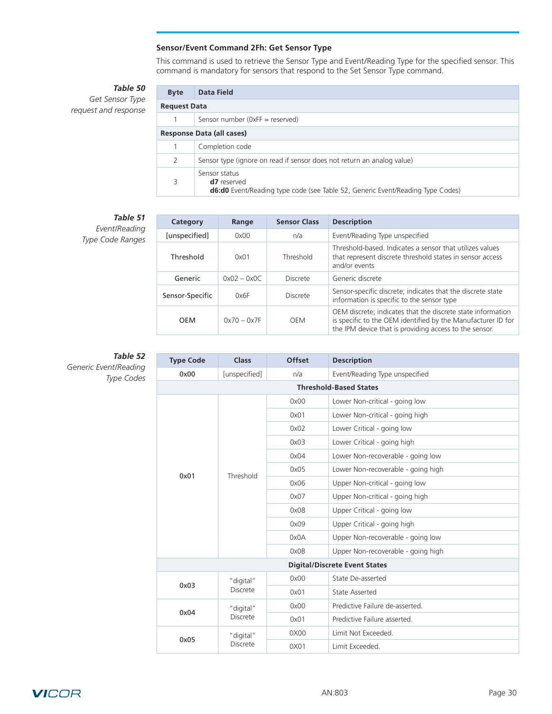## **Sensor/Event Command 2Fh: Get Sensor Type**

This command is used to retrieve the Sensor Type and Event/Reading Type for the specified sensor. This command is mandatory for sensors that respond to the Set Sensor Type command.

# *Table 50*

<span id="page-29-0"></span>*Get Sensor Type request and response*

| <b>Byte</b> | Data Field                                                                                                                   |  |  |  |  |  |  |
|-------------|------------------------------------------------------------------------------------------------------------------------------|--|--|--|--|--|--|
|             | <b>Request Data</b>                                                                                                          |  |  |  |  |  |  |
|             | Sensor number ( $0xFF$ = reserved)                                                                                           |  |  |  |  |  |  |
|             | <b>Response Data (all cases)</b>                                                                                             |  |  |  |  |  |  |
|             | Completion code                                                                                                              |  |  |  |  |  |  |
| 2           | Sensor type (ignore on read if sensor does not return an analog value)                                                       |  |  |  |  |  |  |
| ζ           | Sensor status<br><b>d7</b> reserved<br><b>d6:d0</b> Event/Reading type code (see Table 52, Generic Event/Reading Type Codes) |  |  |  |  |  |  |

## *Table 51*

*Event/Reading Type Code Ranges*

| Category        | Range         | <b>Sensor Class</b> | <b>Description</b>                                                                                                                                                                    |
|-----------------|---------------|---------------------|---------------------------------------------------------------------------------------------------------------------------------------------------------------------------------------|
| [unspecified]   | 0x00          | n/a                 | Event/Reading Type unspecified                                                                                                                                                        |
| Threshold       | 0x01          | Threshold           | Threshold-based. Indicates a sensor that utilizes values<br>that represent discrete threshold states in sensor access<br>and/or events                                                |
| Generic         | $0x02 - 0x0C$ | <b>Discrete</b>     | Generic discrete                                                                                                                                                                      |
| Sensor-Specific | 0x6F          | <b>Discrete</b>     | Sensor-specific discrete; indicates that the discrete state<br>information is specific to the sensor type                                                                             |
| <b>OEM</b>      | $0x70 - 0x7F$ | <b>OEM</b>          | OEM discrete; indicates that the discrete state information<br>is specific to the OEM identified by the Manufacturer ID for<br>the IPM device that is providing access to the sensor. |

# *Table 52*

*Generic Event/Reading* 

*Type Codes*

| <b>Type Code</b>              | <b>Class</b>    | <b>Offset</b> | <b>Description</b>                   |  |  |  |  |  |
|-------------------------------|-----------------|---------------|--------------------------------------|--|--|--|--|--|
| 0x00                          | [unspecified]   | n/a           | Event/Reading Type unspecified       |  |  |  |  |  |
| <b>Threshold-Based States</b> |                 |               |                                      |  |  |  |  |  |
|                               |                 | 0x00          | Lower Non-critical - going low       |  |  |  |  |  |
|                               |                 | 0x01          | Lower Non-critical - going high      |  |  |  |  |  |
|                               |                 | 0x02          | Lower Critical - going low           |  |  |  |  |  |
|                               |                 | 0x03          | Lower Critical - going high          |  |  |  |  |  |
|                               |                 | 0x04          | Lower Non-recoverable - going low    |  |  |  |  |  |
| 0x01                          | Threshold       | 0x05          | Lower Non-recoverable - going high   |  |  |  |  |  |
|                               |                 | 0x06          | Upper Non-critical - going low       |  |  |  |  |  |
|                               |                 | 0x07          | Upper Non-critical - going high      |  |  |  |  |  |
|                               |                 | 0x08          | Upper Critical - going low           |  |  |  |  |  |
|                               |                 | 0x09          | Upper Critical - going high          |  |  |  |  |  |
|                               |                 | 0x0A          | Upper Non-recoverable - going low    |  |  |  |  |  |
|                               |                 | 0x0B          | Upper Non-recoverable - going high   |  |  |  |  |  |
|                               |                 |               | <b>Digital/Discrete Event States</b> |  |  |  |  |  |
| 0x03                          | "digital"       | 0x00          | State De-asserted                    |  |  |  |  |  |
|                               | <b>Discrete</b> | 0x01          | <b>State Asserted</b>                |  |  |  |  |  |
| 0x04                          | "digital"       | 0x00          | Predictive Failure de-asserted.      |  |  |  |  |  |
|                               | <b>Discrete</b> | 0x01          | Predictive Failure asserted.         |  |  |  |  |  |
| 0x05                          | "digital"       | 0X00          | Limit Not Exceeded.                  |  |  |  |  |  |
|                               | <b>Discrete</b> | 0X01          | Limit Exceeded.                      |  |  |  |  |  |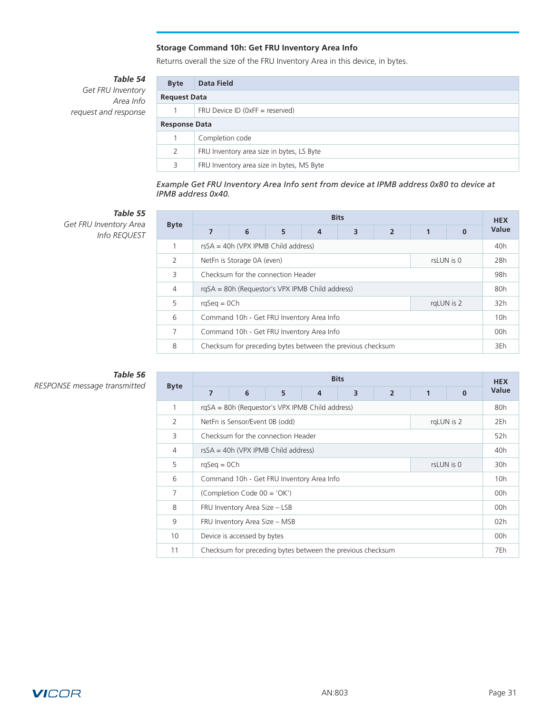### **Storage Command 10h: Get FRU Inventory Area Info**

Returns overall the size of the FRU Inventory Area in this device, in bytes.

*Table 54*

<span id="page-30-0"></span>*Get FRU Inventory Area Info request and response*

| <b>Byte</b>          | Data Field                                |  |  |  |  |
|----------------------|-------------------------------------------|--|--|--|--|
| <b>Request Data</b>  |                                           |  |  |  |  |
|                      | FRU Device ID ( $0xFF =$ reserved)        |  |  |  |  |
| <b>Response Data</b> |                                           |  |  |  |  |
|                      | Completion code                           |  |  |  |  |
| 2                    | FRU Inventory area size in bytes, LS Byte |  |  |  |  |
| 3                    | FRU Inventory area size in bytes, MS Byte |  |  |  |  |

*Example Get FRU Inventory Area Info sent from device at IPMB address 0x80 to device at IPMB address 0x40.*

### *Table 55*

*Get FRU Inventory Area Info REQUEST*

|                | <b>Bits</b>                                     |   |   |                                                            |                 |                 |     |          |       |
|----------------|-------------------------------------------------|---|---|------------------------------------------------------------|-----------------|-----------------|-----|----------|-------|
| <b>Byte</b>    | $\overline{7}$                                  | 6 | 5 | $\overline{4}$                                             | 3               | $\overline{2}$  |     | $\Omega$ | Value |
|                | $rsSA = 40h (VPX IPMB Child address)$           |   |   |                                                            |                 | 40 <sub>h</sub> |     |          |       |
| $\mathcal{P}$  | NetFn is Storage 0A (even)<br>rsLUN is 0        |   |   |                                                            |                 |                 | 28h |          |       |
| 3              | Checksum for the connection Header              |   |   |                                                            |                 |                 | 98h |          |       |
| $\overline{4}$ | rgSA = 80h (Requestor's VPX IPMB Child address) |   |   |                                                            |                 | 80h             |     |          |       |
| 5              | $rqSeq = OCh$<br>rgLUN is 2                     |   |   |                                                            |                 | 32h             |     |          |       |
| 6              | Command 10h - Get FRU Inventory Area Info       |   |   |                                                            | 10 <sub>h</sub> |                 |     |          |       |
| 7              | Command 10h - Get FRU Inventory Area Info       |   |   |                                                            |                 | 00h             |     |          |       |
| 8              |                                                 |   |   | Checksum for preceding bytes between the previous checksum |                 |                 |     |          | 3Eh   |

# *Table 56*

|             | <b>Bits</b>                                  |                                                 |   |   |                                                            |                | <b>HEX</b> |          |       |
|-------------|----------------------------------------------|-------------------------------------------------|---|---|------------------------------------------------------------|----------------|------------|----------|-------|
| <b>Byte</b> | $\overline{7}$                               | 6                                               | 5 | 4 | 3                                                          | $\overline{2}$ | 1          | $\Omega$ | Value |
| 1           |                                              | rqSA = 80h (Requestor's VPX IPMB Child address) |   |   |                                                            |                |            |          | 80h   |
| 2           | rgLUN is 2<br>NetFn is Sensor/Event 0B (odd) |                                                 |   |   |                                                            | 2Eh            |            |          |       |
| 3           | Checksum for the connection Header           |                                                 |   |   |                                                            | 52h            |            |          |       |
| 4           | $rsSA = 40h$ (VPX IPMB Child address)        |                                                 |   |   |                                                            | 40h            |            |          |       |
| 5           | $rqSeq = OCh$<br>rsLUN is 0                  |                                                 |   |   |                                                            | 30h            |            |          |       |
| 6           | Command 10h - Get FRU Inventory Area Info    |                                                 |   |   | 10h                                                        |                |            |          |       |
| 7           | (Completion Code 00 = 'OK')                  |                                                 |   |   | 00h                                                        |                |            |          |       |
| 8           | FRU Inventory Area Size - LSB                |                                                 |   |   | 00h                                                        |                |            |          |       |
| 9           | FRU Inventory Area Size - MSB                |                                                 |   |   | 02h                                                        |                |            |          |       |
| 10          | Device is accessed by bytes                  |                                                 |   |   |                                                            | 00h            |            |          |       |
| 11          |                                              |                                                 |   |   | Checksum for preceding bytes between the previous checksum |                |            |          | 7Eh   |

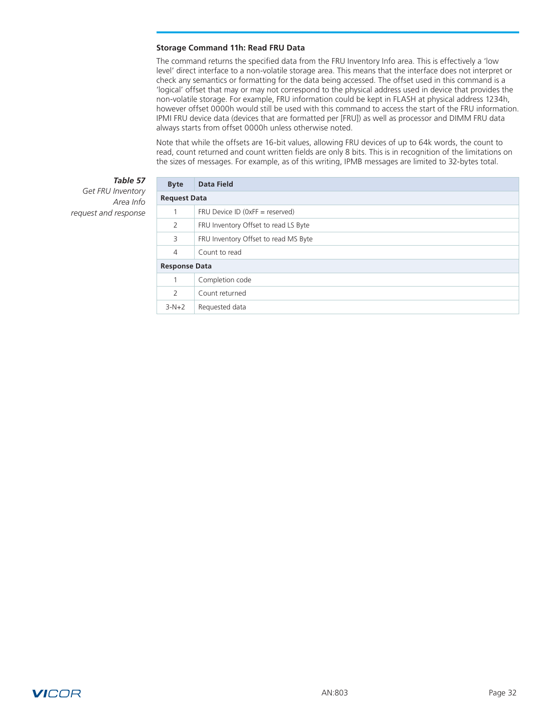#### <span id="page-31-0"></span>**Storage Command 11h: Read FRU Data**

The command returns the specified data from the FRU Inventory Info area. This is effectively a 'low level' direct interface to a non-volatile storage area. This means that the interface does not interpret or check any semantics or formatting for the data being accessed. The offset used in this command is a 'logical' offset that may or may not correspond to the physical address used in device that provides the non-volatile storage. For example, FRU information could be kept in FLASH at physical address 1234h, however offset 0000h would still be used with this command to access the start of the FRU information. IPMI FRU device data (devices that are formatted per [FRU]) as well as processor and DIMM FRU data always starts from offset 0000h unless otherwise noted.

Note that while the offsets are 16-bit values, allowing FRU devices of up to 64k words, the count to read, count returned and count written fields are only 8 bits. This is in recognition of the limitations on the sizes of messages. For example, as of this writing, IPMB messages are limited to 32-bytes total.

### *Table 57*

*Get FRU Inventory Area Info request and response*

| <b>Byte</b>          | <b>Data Field</b>                    |  |  |
|----------------------|--------------------------------------|--|--|
|                      | <b>Request Data</b>                  |  |  |
| 1                    | FRU Device ID ( $0xFF =$ reserved)   |  |  |
| 2                    | FRU Inventory Offset to read LS Byte |  |  |
| 3                    | FRU Inventory Offset to read MS Byte |  |  |
| $\overline{4}$       | Count to read                        |  |  |
| <b>Response Data</b> |                                      |  |  |
|                      | Completion code                      |  |  |
| 2                    | Count returned                       |  |  |
| $3-N+2$              | Requested data                       |  |  |

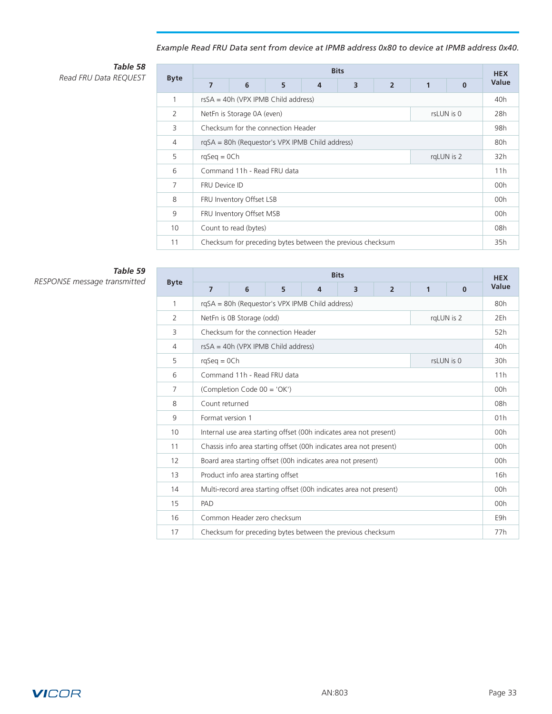# *Example Read FRU Data sent from device at IPMB address 0x80 to device at IPMB address 0x40.*

### *Table 58* **Read FRU Data REQUEST**

|                 |                                                 |   |                                                            |                | <b>Bits</b> |                |   |              | <b>HEX</b> |
|-----------------|-------------------------------------------------|---|------------------------------------------------------------|----------------|-------------|----------------|---|--------------|------------|
| <b>Byte</b>     | $\overline{7}$                                  | 6 | 5                                                          | $\overline{4}$ | 3           | $\overline{2}$ | 1 | $\mathbf{0}$ | Value      |
| 1               |                                                 |   | $rsSA = 40h (VPX IPMB Child address)$                      |                |             |                |   |              | 40h        |
| $\overline{2}$  | NetFn is Storage 0A (even)<br>rsLUN is 0        |   |                                                            |                |             | 28h            |   |              |            |
| 3               | Checksum for the connection Header              |   |                                                            |                |             | 98h            |   |              |            |
| 4               | rqSA = 80h (Requestor's VPX IPMB Child address) |   |                                                            |                |             | 80h            |   |              |            |
| 5               | $rqSeq = OCh$<br>rgLUN is 2                     |   |                                                            |                | 32h         |                |   |              |            |
| 6               | Command 11h - Read FRU data                     |   |                                                            |                | 11h         |                |   |              |            |
| $\overline{7}$  | <b>FRU Device ID</b>                            |   |                                                            |                | 00h         |                |   |              |            |
| 8               | FRU Inventory Offset LSB                        |   |                                                            |                | 00h         |                |   |              |            |
| 9               | FRU Inventory Offset MSB                        |   |                                                            |                | 00h         |                |   |              |            |
| 10 <sup>°</sup> | Count to read (bytes)                           |   |                                                            |                | 08h         |                |   |              |            |
| 11              |                                                 |   | Checksum for preceding bytes between the previous checksum |                |             |                |   |              | 35h        |

# *Table 59*

|                | <b>Bits</b>                                                        |                                                 |   |                |                                                            |                | <b>HEX</b>   |              |       |
|----------------|--------------------------------------------------------------------|-------------------------------------------------|---|----------------|------------------------------------------------------------|----------------|--------------|--------------|-------|
| <b>Byte</b>    | $\overline{7}$                                                     | 6                                               | 5 | $\overline{4}$ | 3                                                          | $\overline{2}$ | $\mathbf{1}$ | $\mathbf{0}$ | Value |
| 1              |                                                                    | rqSA = 80h (Requestor's VPX IPMB Child address) |   |                |                                                            |                |              |              | 80h   |
| $\overline{2}$ |                                                                    | rqLUN is 2<br>NetFn is OB Storage (odd)         |   |                |                                                            |                |              | 2Eh          |       |
| 3              |                                                                    | Checksum for the connection Header              |   |                |                                                            |                |              |              | 52h   |
| 4              |                                                                    | $rsSA = 40h (VPX IPMB Child address)$           |   |                |                                                            |                |              |              | 40h   |
| 5              |                                                                    | rsLUN is 0<br>$rqSeq = OCh$                     |   |                |                                                            |                |              | 30h          |       |
| 6              | Command 11h - Read FRU data                                        |                                                 |   |                |                                                            | 11h            |              |              |       |
| 7              | (Completion Code 00 = 'OK')                                        |                                                 |   |                |                                                            | 00h            |              |              |       |
| 8              | Count returned                                                     |                                                 |   |                |                                                            | 08h            |              |              |       |
| 9              | Format version 1                                                   |                                                 |   |                | 01h                                                        |                |              |              |       |
| 10             | Internal use area starting offset (00h indicates area not present) |                                                 |   |                |                                                            | 00h            |              |              |       |
| 11             | Chassis info area starting offset (00h indicates area not present) |                                                 |   |                | 00h                                                        |                |              |              |       |
| 12             | Board area starting offset (00h indicates area not present)        |                                                 |   |                | 00h                                                        |                |              |              |       |
| 13             | Product info area starting offset                                  |                                                 |   |                | 16h                                                        |                |              |              |       |
| 14             | Multi-record area starting offset (00h indicates area not present) |                                                 |   |                |                                                            | 00h            |              |              |       |
| 15             | PAD                                                                |                                                 |   |                |                                                            |                | 00h          |              |       |
| 16             |                                                                    | Common Header zero checksum                     |   |                |                                                            |                |              |              | E9h   |
| 17             |                                                                    |                                                 |   |                | Checksum for preceding bytes between the previous checksum |                |              |              | 77h   |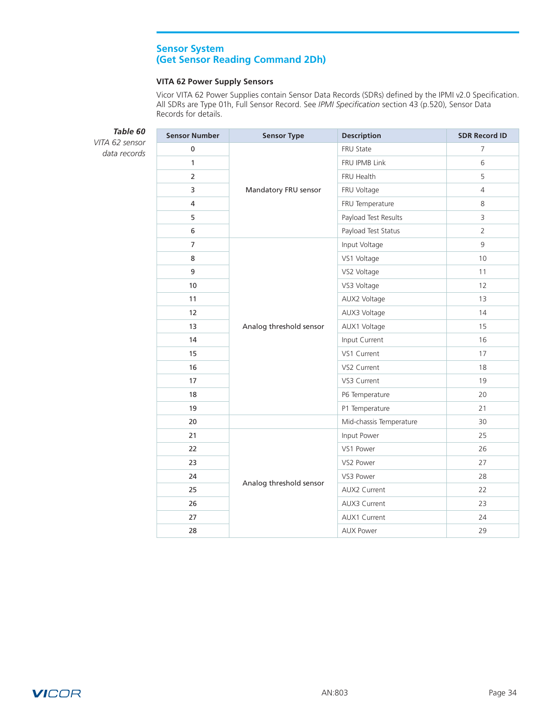## **Sensor System (Get Sensor Reading Command 2Dh)**

### **VITA 62 Power Supply Sensors**

Vicor VITA 62 Power Supplies contain Sensor Data Records (SDRs) defined by the IPMI v2.0 Specification. All SDRs are Type 01h, Full Sensor Record. See *IPMI Specification* section 43 (p.520), Sensor Data Records for details.

<span id="page-33-0"></span>

| Table 60                       | <b>Sensor Number</b> | <b>Sensor Type</b>      | <b>Description</b>      | <b>SDR Record ID</b> |
|--------------------------------|----------------------|-------------------------|-------------------------|----------------------|
| VITA 62 sensor<br>data records | $\pmb{0}$            |                         | FRU State               | $\overline{7}$       |
|                                | $\mathbf{1}$         |                         | FRU IPMB Link           | 6                    |
|                                | $\overline{2}$       |                         | FRU Health              | 5                    |
|                                | 3                    | Mandatory FRU sensor    | FRU Voltage             | $\overline{4}$       |
|                                | $\overline{4}$       |                         | FRU Temperature         | 8                    |
|                                | 5                    |                         | Payload Test Results    | 3                    |
|                                | 6                    |                         | Payload Test Status     | $\overline{2}$       |
|                                | $\overline{7}$       |                         | Input Voltage           | 9                    |
|                                | 8                    |                         | VS1 Voltage             | 10                   |
|                                | 9                    |                         | VS2 Voltage             | 11                   |
|                                | 10                   | Analog threshold sensor | VS3 Voltage             | 12                   |
|                                | 11                   |                         | AUX2 Voltage            | 13                   |
|                                | 12                   |                         | AUX3 Voltage            | 14                   |
|                                | 13                   |                         | AUX1 Voltage            | 15                   |
|                                | 14                   |                         | Input Current           | 16                   |
|                                | 15                   |                         | VS1 Current             | 17                   |
|                                | 16                   |                         | VS2 Current             | 18                   |
|                                | 17                   |                         | VS3 Current             | 19                   |
|                                | 18                   |                         | P6 Temperature          | 20                   |
|                                | 19                   |                         | P1 Temperature          | 21                   |
|                                | 20                   |                         | Mid-chassis Temperature | 30                   |
|                                | 21                   |                         | Input Power             | 25                   |
|                                | 22                   |                         | VS1 Power               | 26                   |
|                                | 23                   |                         | VS2 Power               | 27                   |
|                                | 24                   |                         | VS3 Power               | 28                   |
|                                | 25                   | Analog threshold sensor | AUX2 Current            | 22                   |
|                                | 26                   |                         | AUX3 Current            | 23                   |
|                                | 27                   |                         | AUX1 Current            | 24                   |
|                                | 28                   |                         | <b>AUX Power</b>        | 29                   |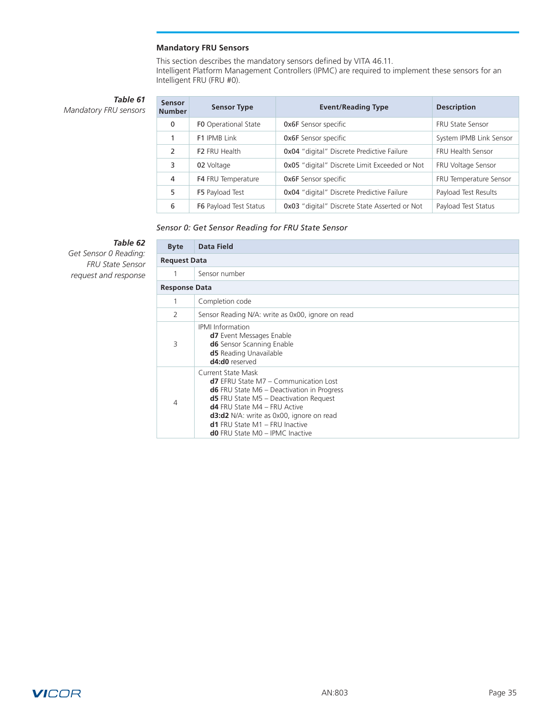## **Mandatory FRU Sensors**

This section describes the mandatory sensors defined by VITA 46.11. Intelligent Platform Management Controllers (IPMC) are required to implement these sensors for an Intelligent FRU (FRU #0).

<span id="page-34-0"></span>*Table 61 Mandatory FRU sensors*

| Sensor<br><b>Number</b> | <b>Sensor Type</b>            | <b>Event/Reading Type</b>                            | <b>Description</b>      |
|-------------------------|-------------------------------|------------------------------------------------------|-------------------------|
| $\mathbf{0}$            | <b>FO</b> Operational State   | <b>Ox6F</b> Sensor specific                          | <b>FRU State Sensor</b> |
| 1                       | F1 IPMB Link                  | <b>Ox6F</b> Sensor specific                          | System IPMB Link Sensor |
| $\mathcal{P}$           | F <sub>2</sub> FRU Health     | <b>0x04</b> "digital" Discrete Predictive Failure    | FRU Health Sensor       |
| 3                       | 02 Voltage                    | <b>0x05</b> "digital" Discrete Limit Exceeded or Not | FRU Voltage Sensor      |
| 4                       | F4 FRU Temperature            | <b>Ox6F</b> Sensor specific                          | FRU Temperature Sensor  |
| 5                       | F5 Payload Test               | <b>0x04</b> "digital" Discrete Predictive Failure    | Payload Test Results    |
| 6                       | <b>F6</b> Payload Test Status | 0x03 "digital" Discrete State Asserted or Not        | Payload Test Status     |

## *Sensor 0: Get Sensor Reading for FRU State Sensor*

# *Table 62*

*Get Sensor 0 Reading: FRU State Sensor request and response*

| <b>Byte</b>          | <b>Data Field</b>                                                                                                                                                                                                                                                                                                                      |
|----------------------|----------------------------------------------------------------------------------------------------------------------------------------------------------------------------------------------------------------------------------------------------------------------------------------------------------------------------------------|
| <b>Request Data</b>  |                                                                                                                                                                                                                                                                                                                                        |
| 1                    | Sensor number                                                                                                                                                                                                                                                                                                                          |
| <b>Response Data</b> |                                                                                                                                                                                                                                                                                                                                        |
|                      | Completion code                                                                                                                                                                                                                                                                                                                        |
| $\overline{2}$       | Sensor Reading N/A: write as 0x00, ignore on read                                                                                                                                                                                                                                                                                      |
| 3                    | <b>IPMI</b> Information<br><b>d7</b> Event Messages Enable<br><b>d6</b> Sensor Scanning Enable<br><b>d5</b> Reading Unavailable<br>d4:d0 reserved                                                                                                                                                                                      |
| 4                    | Current State Mask<br><b>d7</b> EFRU State M7 – Communication Lost<br><b>d6</b> FRU State $M6$ – Deactivation in Progress<br>$d5$ FRU State M5 - Deactivation Request<br><b>d4</b> FRU State M4 - FRU Active<br>d3:d2 N/A: write as 0x00, ignore on read<br>$d1$ FRU State M1 - FRU Inactive<br><b>d0</b> FRU State M0 - IPMC Inactive |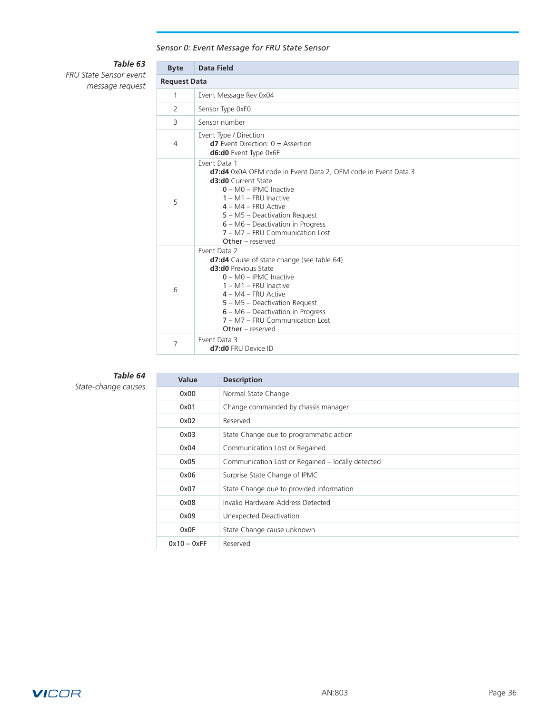# *Sensor 0: Event Message for FRU State Sensor*

# *Table 63*

*FRU State Sensor event message request*

| <b>Byte</b>    | Data Field                                                                                                                                                                                                                                                                                                                |  |  |  |  |
|----------------|---------------------------------------------------------------------------------------------------------------------------------------------------------------------------------------------------------------------------------------------------------------------------------------------------------------------------|--|--|--|--|
|                | <b>Request Data</b>                                                                                                                                                                                                                                                                                                       |  |  |  |  |
| 1              | Event Message Rev 0x04                                                                                                                                                                                                                                                                                                    |  |  |  |  |
| 2              | Sensor Type 0xF0                                                                                                                                                                                                                                                                                                          |  |  |  |  |
| $\overline{3}$ | Sensor number                                                                                                                                                                                                                                                                                                             |  |  |  |  |
| 4              | Event Type / Direction<br>$d7$ Event Direction: $0 =$ Assertion<br>d6:d0 Event Type 0x6F                                                                                                                                                                                                                                  |  |  |  |  |
| 5              | Event Data 1<br>d7:d4 0x0A OEM code in Event Data 2, OEM code in Event Data 3<br><b>d3:d0</b> Current State<br>$0 - MO - IPMC$ Inactive<br>$1 - M1 - FRU$ Inactive<br>$4 - MA - FRU$ Active<br>$5 - M5 - Deactivation Request$<br>6 – M6 – Deactivation in Progress<br>7 - M7 - FRU Communication Lost<br>$Other-reseved$ |  |  |  |  |
| 6              | Event Data 2<br>d7:d4 Cause of state change (see table 64)<br><b>d3:d0</b> Previous State<br>$0 - MO - IPMC$ Inactive<br>$1 - M1 - FRU$ Inactive<br>$4 - MA - FRU$ Active<br>5 - M5 - Deactivation Request<br>6 - M6 - Deactivation in Progress<br>7 – M7 – FRU Communication Lost<br>Other - reserved                    |  |  |  |  |
| 7              | Event Data 3<br>d7:d0 FRU Device ID                                                                                                                                                                                                                                                                                       |  |  |  |  |

### *Table 64*

*State-change causes*

| Value         | <b>Description</b>                                |
|---------------|---------------------------------------------------|
| 0x00          | Normal State Change                               |
| 0x01          | Change commanded by chassis manager               |
| 0x02          | Reserved                                          |
| 0x03          | State Change due to programmatic action           |
| 0x04          | Communication Lost or Regained                    |
| 0x05          | Communication Lost or Regained - locally detected |
| 0x06          | Surprise State Change of IPMC                     |
| 0x07          | State Change due to provided information          |
| 0x08          | Invalid Hardware Address Detected                 |
| 0x09          | Unexpected Deactivation                           |
| 0x0F          | State Change cause unknown                        |
| $0x10 - 0xFF$ | Reserved                                          |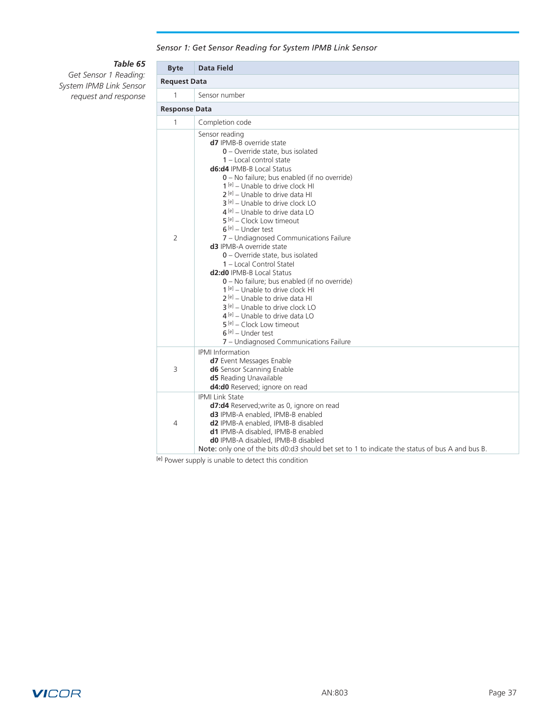*Sensor 1: Get Sensor Reading for System IPMB Link Sensor*

### *Table 65*

*Get Sensor 1 Reading: System IPMB Link Sensor request and response*

| <b>Byte</b>          | <b>Data Field</b>                                                                                                                                                                                                                                                                                                                                                                                                                                                                                                                                                                                                                                                                                                                                                                                                                                                                                                                    |
|----------------------|--------------------------------------------------------------------------------------------------------------------------------------------------------------------------------------------------------------------------------------------------------------------------------------------------------------------------------------------------------------------------------------------------------------------------------------------------------------------------------------------------------------------------------------------------------------------------------------------------------------------------------------------------------------------------------------------------------------------------------------------------------------------------------------------------------------------------------------------------------------------------------------------------------------------------------------|
| <b>Request Data</b>  |                                                                                                                                                                                                                                                                                                                                                                                                                                                                                                                                                                                                                                                                                                                                                                                                                                                                                                                                      |
| $\mathbf{1}$         | Sensor number                                                                                                                                                                                                                                                                                                                                                                                                                                                                                                                                                                                                                                                                                                                                                                                                                                                                                                                        |
| <b>Response Data</b> |                                                                                                                                                                                                                                                                                                                                                                                                                                                                                                                                                                                                                                                                                                                                                                                                                                                                                                                                      |
| $\mathbf{1}$         | Completion code                                                                                                                                                                                                                                                                                                                                                                                                                                                                                                                                                                                                                                                                                                                                                                                                                                                                                                                      |
| $\overline{2}$       | Sensor reading<br>d7 IPMB-B override state<br>0 - Override state, bus isolated<br>1 - Local control state<br><b>d6:d4</b> IPMB-B Local Status<br>0 - No failure; bus enabled (if no override)<br>$1[e]$ – Unable to drive clock HI<br>$2^{[e]}$ – Unable to drive data HI<br>$3^{[e]}$ – Unable to drive clock LO<br>$4^{[e]}$ – Unable to drive data LO<br>5 <sup>[e]</sup> - Clock Low timeout<br>$6^{[e]}$ – Under test<br>7 - Undiagnosed Communications Failure<br><b>d3</b> IPMB-A override state<br>$0$ – Override state, bus isolated<br>1 - Local Control Statel<br><b>d2:d0</b> IPMB-B Local Status<br>0 – No failure; bus enabled (if no override)<br>$1[e]$ – Unable to drive clock HI<br>$2^{[e]}$ – Unable to drive data HI<br>3 <sup>[e]</sup> – Unable to drive clock LO<br>$4^{[e]}$ – Unable to drive data LO<br>$5^{[e]}$ – Clock Low timeout<br>$6^{[e]}$ – Under test<br>7 - Undiagnosed Communications Failure |
| 3                    | <b>IPMI</b> Information<br>d7 Event Messages Enable<br><b>d6</b> Sensor Scanning Enable<br><b>d5</b> Reading Unavailable<br>d4:d0 Reserved; ignore on read                                                                                                                                                                                                                                                                                                                                                                                                                                                                                                                                                                                                                                                                                                                                                                           |
| 4                    | <b>IPMI Link State</b><br>d7:d4 Reserved; write as 0, ignore on read<br>d3 IPMB-A enabled, IPMB-B enabled<br>d2 IPMB-A enabled, IPMB-B disabled<br>d1 IPMB-A disabled, IPMB-B enabled<br>d0 IPMB-A disabled, IPMB-B disabled<br>Note: only one of the bits d0:d3 should bet set to 1 to indicate the status of bus A and bus B.                                                                                                                                                                                                                                                                                                                                                                                                                                                                                                                                                                                                      |

[e] Power supply is unable to detect this condition

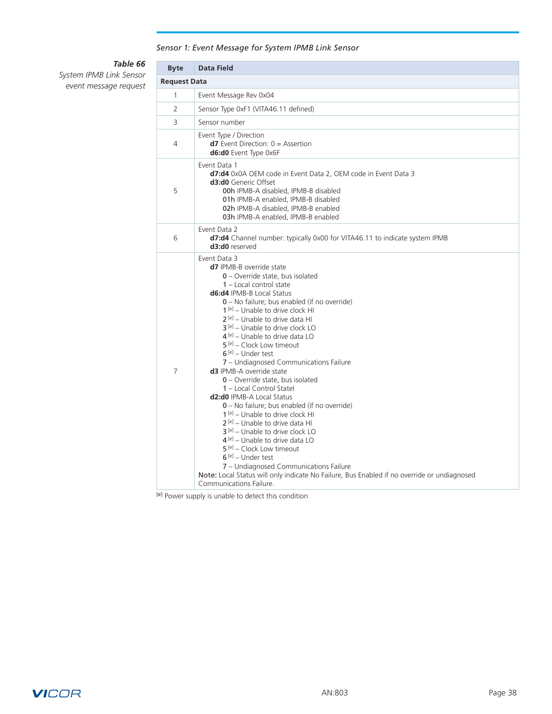## *Sensor 1: Event Message for System IPMB Link Sensor*

# *Table 66*

*System IPMB Link Sensor event message request*

| <b>Byte</b>         | <b>Data Field</b>                                                                                                                                                                                                                                                                                                                                                                                                                                                                                                                                                                                                                                                                                                                                                                                                                                                                                                                                                                                                                                            |
|---------------------|--------------------------------------------------------------------------------------------------------------------------------------------------------------------------------------------------------------------------------------------------------------------------------------------------------------------------------------------------------------------------------------------------------------------------------------------------------------------------------------------------------------------------------------------------------------------------------------------------------------------------------------------------------------------------------------------------------------------------------------------------------------------------------------------------------------------------------------------------------------------------------------------------------------------------------------------------------------------------------------------------------------------------------------------------------------|
| <b>Request Data</b> |                                                                                                                                                                                                                                                                                                                                                                                                                                                                                                                                                                                                                                                                                                                                                                                                                                                                                                                                                                                                                                                              |
| 1                   | Event Message Rev 0x04                                                                                                                                                                                                                                                                                                                                                                                                                                                                                                                                                                                                                                                                                                                                                                                                                                                                                                                                                                                                                                       |
| $\overline{2}$      | Sensor Type 0xF1 (VITA46.11 defined)                                                                                                                                                                                                                                                                                                                                                                                                                                                                                                                                                                                                                                                                                                                                                                                                                                                                                                                                                                                                                         |
| 3                   | Sensor number                                                                                                                                                                                                                                                                                                                                                                                                                                                                                                                                                                                                                                                                                                                                                                                                                                                                                                                                                                                                                                                |
| 4                   | Event Type / Direction<br>$d7$ Event Direction: $0 =$ Assertion<br>d6:d0 Event Type 0x6F                                                                                                                                                                                                                                                                                                                                                                                                                                                                                                                                                                                                                                                                                                                                                                                                                                                                                                                                                                     |
| 5                   | Event Data 1<br>d7:d4 0x0A OEM code in Event Data 2, OEM code in Event Data 3<br><b>d3:d0</b> Generic Offset<br>00h IPMB-A disabled, IPMB-B disabled<br>01h IPMB-A enabled, IPMB-B disabled<br>02h IPMB-A disabled, IPMB-B enabled<br>03h IPMB-A enabled, IPMB-B enabled                                                                                                                                                                                                                                                                                                                                                                                                                                                                                                                                                                                                                                                                                                                                                                                     |
| 6                   | Event Data 2<br><b>d7:d4</b> Channel number: typically 0x00 for VITA46.11 to indicate system IPMB<br>d3:d0 reserved                                                                                                                                                                                                                                                                                                                                                                                                                                                                                                                                                                                                                                                                                                                                                                                                                                                                                                                                          |
| $\overline{7}$      | Event Data 3<br><b>d7</b> IPMB-B override state<br>0 - Override state, bus isolated<br>1 - Local control state<br><b>d6:d4</b> IPMB-B Local Status<br>0 - No failure; bus enabled (if no override)<br>$1[e]$ – Unable to drive clock HI<br>$2^{[e]}$ – Unable to drive data HI<br>$3^{[e]}$ – Unable to drive clock LO<br>$4^{[e]}$ – Unable to drive data LO<br>$5^{[e]}$ – Clock Low timeout<br>$6^{[e]}$ – Under test<br>7 - Undiagnosed Communications Failure<br><b>d3</b> IPMB-A override state<br>$0$ – Override state, bus isolated<br>1 - Local Control Statel<br><b>d2:d0</b> IPMB-A Local Status<br>0 - No failure; bus enabled (if no override)<br>$1[e]$ – Unable to drive clock HI<br>$2^{[e]}$ – Unable to drive data HI<br>$3^{[e]}$ – Unable to drive clock LO<br>$4^{[e]}$ – Unable to drive data LO<br>5 <sup>[e]</sup> – Clock Low timeout<br>$6^{[e]}$ – Under test<br>7 - Undiagnosed Communications Failure<br>Note: Local Status will only indicate No Failure, Bus Enabled if no override or undiagnosed<br>Communications Failure. |

[e] Power supply is unable to detect this condition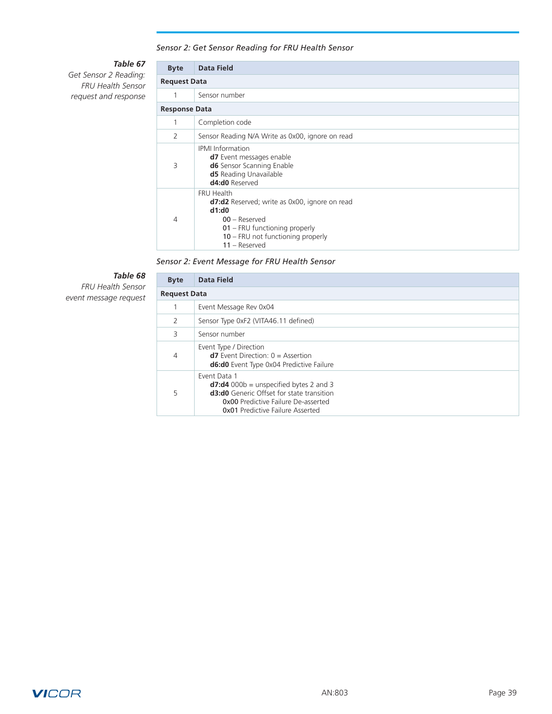## *Sensor 2: Get Sensor Reading for FRU Health Sensor*

# *Table 67*

*Get Sensor 2 Reading: FRU Health Sensor request and response*

| <b>Byte</b>          | Data Field                                                                                                                                                                              |  |  |  |  |  |  |  |
|----------------------|-----------------------------------------------------------------------------------------------------------------------------------------------------------------------------------------|--|--|--|--|--|--|--|
|                      | <b>Request Data</b>                                                                                                                                                                     |  |  |  |  |  |  |  |
|                      | Sensor number                                                                                                                                                                           |  |  |  |  |  |  |  |
| <b>Response Data</b> |                                                                                                                                                                                         |  |  |  |  |  |  |  |
|                      | Completion code                                                                                                                                                                         |  |  |  |  |  |  |  |
| $\mathcal{P}$        | Sensor Reading N/A Write as 0x00, ignore on read                                                                                                                                        |  |  |  |  |  |  |  |
| 3                    | <b>IPMI</b> Information<br><b>d7</b> Event messages enable<br>d6 Sensor Scanning Enable<br><b>d5</b> Reading Unavailable<br>d4:d0 Reserved                                              |  |  |  |  |  |  |  |
| 4                    | FRU Health<br><b>d7:d2</b> Reserved; write as 0x00, ignore on read<br>d1:d0<br>$00 -$ Reserved<br>01 – FRU functioning properly<br>10 - FRU not functioning properly<br>$11 -$ Reserved |  |  |  |  |  |  |  |

*Sensor 2: Event Message for FRU Health Sensor*

# *Table 68*

*FRU Health Sensor event message request*

| <b>Byte</b> | Data Field                                                                                                                                                                                             |  |  |  |  |  |  |
|-------------|--------------------------------------------------------------------------------------------------------------------------------------------------------------------------------------------------------|--|--|--|--|--|--|
|             | <b>Request Data</b>                                                                                                                                                                                    |  |  |  |  |  |  |
|             | Event Message Rev 0x04                                                                                                                                                                                 |  |  |  |  |  |  |
| 2           | Sensor Type 0xF2 (VITA46.11 defined)                                                                                                                                                                   |  |  |  |  |  |  |
| 3           | Sensor number                                                                                                                                                                                          |  |  |  |  |  |  |
| 4           | Event Type / Direction<br>$d7$ Event Direction: $0 =$ Assertion<br><b>d6:d0</b> Event Type 0x04 Predictive Failure                                                                                     |  |  |  |  |  |  |
| 5           | Event Data 1<br>$d7: d4$ 000b = unspecified bytes 2 and 3<br><b>d3:d0</b> Generic Offset for state transition<br><b>0x00</b> Predictive Failure De-asserted<br><b>0x01 Predictive Failure Asserted</b> |  |  |  |  |  |  |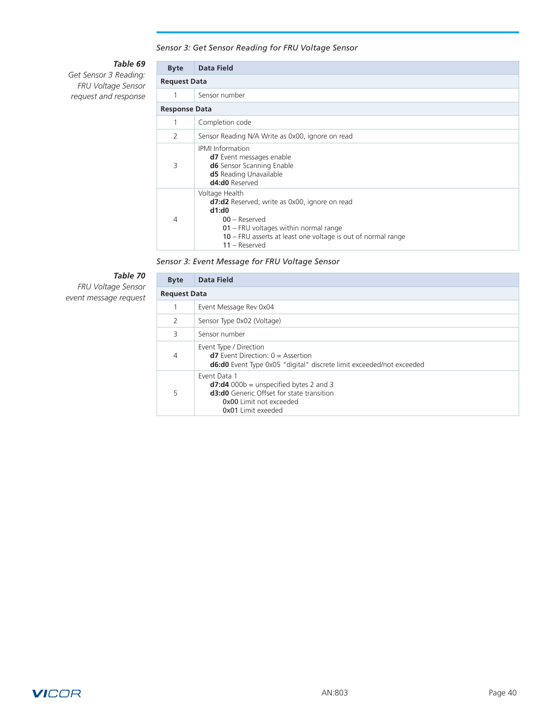## *Sensor 3: Get Sensor Reading for FRU Voltage Sensor*

# *Table 69*

*Get Sensor 3 Reading: FRU Voltage Sensor request and response*

| <b>Byte</b>          | Data Field                                                                                                                                                                                                                       |  |  |  |  |  |  |  |
|----------------------|----------------------------------------------------------------------------------------------------------------------------------------------------------------------------------------------------------------------------------|--|--|--|--|--|--|--|
|                      | <b>Request Data</b>                                                                                                                                                                                                              |  |  |  |  |  |  |  |
| 1                    | Sensor number                                                                                                                                                                                                                    |  |  |  |  |  |  |  |
| <b>Response Data</b> |                                                                                                                                                                                                                                  |  |  |  |  |  |  |  |
| 1                    | Completion code                                                                                                                                                                                                                  |  |  |  |  |  |  |  |
| 2                    | Sensor Reading N/A Write as 0x00, ignore on read                                                                                                                                                                                 |  |  |  |  |  |  |  |
| 3                    | <b>IPMI</b> Information<br><b>d7</b> Event messages enable<br>d6 Sensor Scanning Enable<br><b>d5</b> Reading Unavailable<br>d4:d0 Reserved                                                                                       |  |  |  |  |  |  |  |
| 4                    | Voltage Health<br><b>d7:d2</b> Reserved; write as 0x00, ignore on read<br>d1:d0<br>$00 -$ Reserved<br>$01$ – FRU voltages within normal range<br>10 – FRU asserts at least one voltage is out of normal range<br>$11 -$ Reserved |  |  |  |  |  |  |  |

*Sensor 3: Event Message for FRU Voltage Sensor*

# *Table 70*

*FRU Voltage Sensor event message request*

| <b>Byte</b>   | Data Field                                                                                                                                                                   |  |  |  |  |  |  |
|---------------|------------------------------------------------------------------------------------------------------------------------------------------------------------------------------|--|--|--|--|--|--|
|               | <b>Request Data</b>                                                                                                                                                          |  |  |  |  |  |  |
|               | Event Message Rev 0x04                                                                                                                                                       |  |  |  |  |  |  |
| $\mathcal{P}$ | Sensor Type 0x02 (Voltage)                                                                                                                                                   |  |  |  |  |  |  |
| 3             | Sensor number                                                                                                                                                                |  |  |  |  |  |  |
| 4             | Event Type / Direction<br>$d7$ Event Direction: $0 =$ Assertion<br><b>d6:d0</b> Event Type 0x05 "digital" discrete limit exceeded/not exceeded                               |  |  |  |  |  |  |
| 5             | Event Data 1<br>$d7: d4 000b =$ unspecified bytes 2 and 3<br><b>d3:d0</b> Generic Offset for state transition<br><b>0x00</b> Limit not exceeded<br><b>0x01</b> Limit exeeded |  |  |  |  |  |  |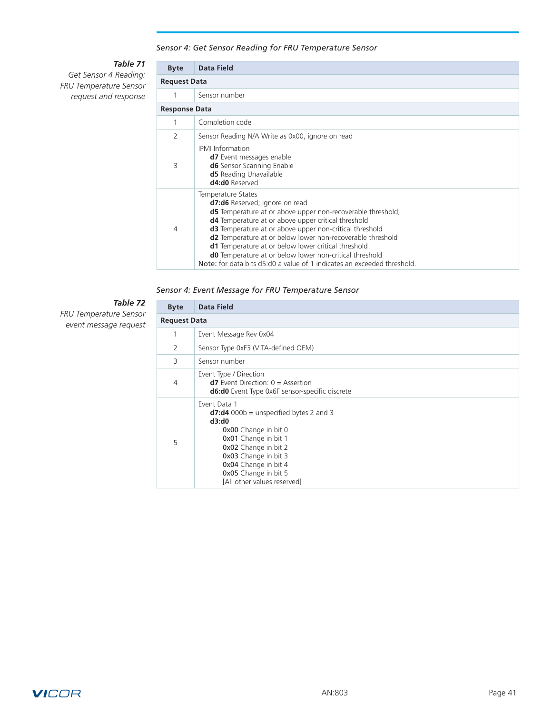## *Sensor 4: Get Sensor Reading for FRU Temperature Sensor*

# *Table 71*

*Get Sensor 4 Reading: FRU Temperature Sensor request and response*

| <b>Byte</b>          | <b>Data Field</b>                                                                                                                                                                                                                                                                                                                                                                                                                                                                                                     |  |  |  |  |  |  |  |
|----------------------|-----------------------------------------------------------------------------------------------------------------------------------------------------------------------------------------------------------------------------------------------------------------------------------------------------------------------------------------------------------------------------------------------------------------------------------------------------------------------------------------------------------------------|--|--|--|--|--|--|--|
|                      | <b>Request Data</b>                                                                                                                                                                                                                                                                                                                                                                                                                                                                                                   |  |  |  |  |  |  |  |
|                      | Sensor number                                                                                                                                                                                                                                                                                                                                                                                                                                                                                                         |  |  |  |  |  |  |  |
| <b>Response Data</b> |                                                                                                                                                                                                                                                                                                                                                                                                                                                                                                                       |  |  |  |  |  |  |  |
|                      | Completion code                                                                                                                                                                                                                                                                                                                                                                                                                                                                                                       |  |  |  |  |  |  |  |
| 2                    | Sensor Reading N/A Write as 0x00, ignore on read                                                                                                                                                                                                                                                                                                                                                                                                                                                                      |  |  |  |  |  |  |  |
| 3                    | <b>IPMI</b> Information<br><b>d7</b> Event messages enable<br><b>d6</b> Sensor Scanning Enable<br><b>d5</b> Reading Unavailable<br>d4:d0 Reserved                                                                                                                                                                                                                                                                                                                                                                     |  |  |  |  |  |  |  |
| 4                    | Temperature States<br>d7:d6 Reserved; ignore on read<br><b>d5</b> Temperature at or above upper non-recoverable threshold;<br><b>d4</b> Temperature at or above upper critical threshold<br><b>d3</b> Temperature at or above upper non-critical threshold<br>d2 Temperature at or below lower non-recoverable threshold<br>d1 Temperature at or below lower critical threshold<br>d0 Temperature at or below lower non-critical threshold<br>Note: for data bits d5:d0 a value of 1 indicates an exceeded threshold. |  |  |  |  |  |  |  |

*Sensor 4: Event Message for FRU Temperature Sensor*

# *Table 72*

*FRU Temperature Sensor event message request*

| <b>Byte</b> | <b>Data Field</b>                                                                                                                                                                                                                                       |  |  |  |  |  |  |
|-------------|---------------------------------------------------------------------------------------------------------------------------------------------------------------------------------------------------------------------------------------------------------|--|--|--|--|--|--|
|             | <b>Request Data</b>                                                                                                                                                                                                                                     |  |  |  |  |  |  |
|             | Event Message Rev 0x04                                                                                                                                                                                                                                  |  |  |  |  |  |  |
| 2           | Sensor Type 0xF3 (VITA-defined OEM)                                                                                                                                                                                                                     |  |  |  |  |  |  |
| 3           | Sensor number                                                                                                                                                                                                                                           |  |  |  |  |  |  |
| 4           | Event Type / Direction<br>$d7$ Event Direction: $0 =$ Assertion<br><b>d6:d0</b> Event Type 0x6F sensor-specific discrete                                                                                                                                |  |  |  |  |  |  |
| 5           | Event Data 1<br>$d7:d4$ 000b = unspecified bytes 2 and 3<br>d3:d0<br><b>0x00</b> Change in bit 0<br>0x01 Change in bit 1<br>0x02 Change in bit 2<br>0x03 Change in bit 3<br>0x04 Change in bit 4<br>0x05 Change in bit 5<br>[All other values reserved] |  |  |  |  |  |  |

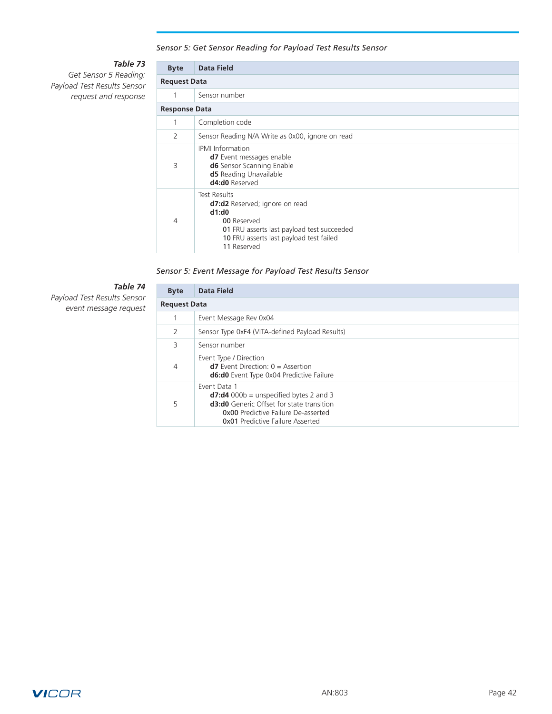## *Sensor 5: Get Sensor Reading for Payload Test Results Sensor*

# *Table 73*

*Get Sensor 5 Reading: Payload Test Results Sensor request and response*

| <b>Byte</b> | <b>Data Field</b>                                                                                                                                                                     |  |  |  |  |  |  |
|-------------|---------------------------------------------------------------------------------------------------------------------------------------------------------------------------------------|--|--|--|--|--|--|
|             | <b>Request Data</b>                                                                                                                                                                   |  |  |  |  |  |  |
|             | Sensor number                                                                                                                                                                         |  |  |  |  |  |  |
|             | <b>Response Data</b>                                                                                                                                                                  |  |  |  |  |  |  |
|             | Completion code                                                                                                                                                                       |  |  |  |  |  |  |
| 2           | Sensor Reading N/A Write as 0x00, ignore on read                                                                                                                                      |  |  |  |  |  |  |
| 3           | <b>IPMI</b> Information<br><b>d7</b> Event messages enable<br><b>d6</b> Sensor Scanning Enable<br><b>d5</b> Reading Unavailable<br>d4:d0 Reserved                                     |  |  |  |  |  |  |
| 4           | <b>Test Results</b><br>d7:d2 Reserved; ignore on read<br>d1:d0<br>00 Reserved<br>01 FRU asserts last payload test succeeded<br>10 FRU asserts last payload test failed<br>11 Reserved |  |  |  |  |  |  |

## *Sensor 5: Event Message for Payload Test Results Sensor*

# *Table 74*

*Payload Test Results Sensor event message request*

| <b>Byte</b>         | Data Field                                                                                                                                                                                            |  |  |  |  |  |
|---------------------|-------------------------------------------------------------------------------------------------------------------------------------------------------------------------------------------------------|--|--|--|--|--|
| <b>Request Data</b> |                                                                                                                                                                                                       |  |  |  |  |  |
|                     | Event Message Rev 0x04                                                                                                                                                                                |  |  |  |  |  |
| 2                   | Sensor Type 0xF4 (VITA-defined Payload Results)                                                                                                                                                       |  |  |  |  |  |
| 3                   | Sensor number                                                                                                                                                                                         |  |  |  |  |  |
| 4                   | Event Type / Direction<br>$d7$ Event Direction: $0 =$ Assertion<br><b>d6:d0</b> Event Type 0x04 Predictive Failure                                                                                    |  |  |  |  |  |
| 5                   | Event Data 1<br>$d7:d4$ 000b = unspecified bytes 2 and 3<br><b>d3:d0</b> Generic Offset for state transition<br><b>0x00</b> Predictive Failure De-asserted<br><b>0x01 Predictive Failure Asserted</b> |  |  |  |  |  |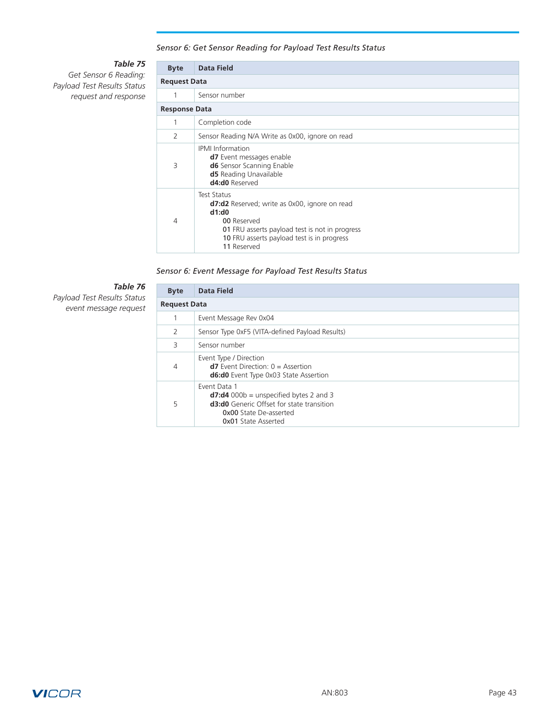## *Sensor 6: Get Sensor Reading for Payload Test Results Status*

# *Table 75*

*Get Sensor 6 Reading: Payload Test Results Status request and response*

| <b>Byte</b>          | <b>Data Field</b>                                                                                                                                                                                                        |  |  |  |  |  |  |
|----------------------|--------------------------------------------------------------------------------------------------------------------------------------------------------------------------------------------------------------------------|--|--|--|--|--|--|
|                      | <b>Request Data</b>                                                                                                                                                                                                      |  |  |  |  |  |  |
| 1                    | Sensor number                                                                                                                                                                                                            |  |  |  |  |  |  |
| <b>Response Data</b> |                                                                                                                                                                                                                          |  |  |  |  |  |  |
|                      | Completion code                                                                                                                                                                                                          |  |  |  |  |  |  |
| 2                    | Sensor Reading N/A Write as 0x00, ignore on read                                                                                                                                                                         |  |  |  |  |  |  |
| 3                    | <b>IPMI</b> Information<br><b>d7</b> Event messages enable<br>d6 Sensor Scanning Enable<br><b>d5</b> Reading Unavailable<br>d4:d0 Reserved                                                                               |  |  |  |  |  |  |
| 4                    | <b>Test Status</b><br><b>d7:d2</b> Reserved; write as 0x00, ignore on read<br>d1:d0<br>00 Reserved<br><b>01</b> FRU asserts payload test is not in progress<br>10 FRU asserts payload test is in progress<br>11 Reserved |  |  |  |  |  |  |

## *Sensor 6: Event Message for Payload Test Results Status*

# *Table 76*

*Payload Test Results Status event message request*

| <b>Byte</b>         | Data Field                                                                                                                                                                   |  |  |  |  |  |
|---------------------|------------------------------------------------------------------------------------------------------------------------------------------------------------------------------|--|--|--|--|--|
| <b>Request Data</b> |                                                                                                                                                                              |  |  |  |  |  |
|                     | Event Message Rev 0x04                                                                                                                                                       |  |  |  |  |  |
| 2                   | Sensor Type 0xF5 (VITA-defined Payload Results)                                                                                                                              |  |  |  |  |  |
| 3                   | Sensor number                                                                                                                                                                |  |  |  |  |  |
| 4                   | Event Type / Direction<br>$d7$ Event Direction: $0 =$ Assertion<br><b>d6:d0</b> Event Type 0x03 State Assertion                                                              |  |  |  |  |  |
| 5                   | Event Data 1<br>$d7: d4$ 000b = unspecified bytes 2 and 3<br><b>d3:d0</b> Generic Offset for state transition<br><b>OxOO</b> State De-asserted<br><b>0x01 State Asserted</b> |  |  |  |  |  |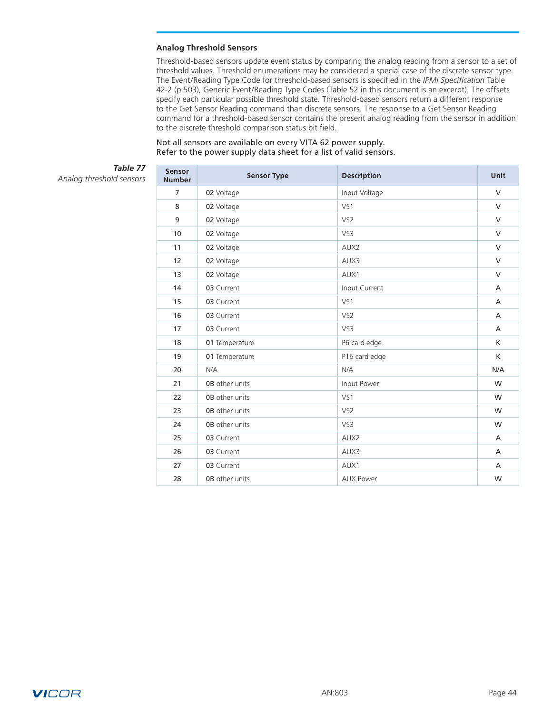#### <span id="page-43-0"></span>**Analog Threshold Sensors**

Threshold-based sensors update event status by comparing the analog reading from a sensor to a set of threshold values. Threshold enumerations may be considered a special case of the discrete sensor type. The Event/Reading Type Code for threshold-based sensors is specified in the *IPMI Specification* Table 42-2 (p.503), Generic Event/Reading Type Codes (Table 52 in this document is an excerpt). The offsets specify each particular possible threshold state. Threshold-based sensors return a different response to the Get Sensor Reading command than discrete sensors. The response to a Get Sensor Reading command for a threshold-based sensor contains the present analog reading from the sensor in addition to the discrete threshold comparison status bit field.

#### Not all sensors are available on every VITA 62 power supply. Refer to the power supply data sheet for a list of valid sensors.

# *Table 77*

*Analog threshold sensors*

| Sensor<br><b>Number</b> | <b>Sensor Type</b>                   | <b>Description</b> | <b>Unit</b>    |  |
|-------------------------|--------------------------------------|--------------------|----------------|--|
| $\overline{7}$          | 02 Voltage                           | Input Voltage      | $\vee$         |  |
| 8                       | 02 Voltage                           | VS1                | $\vee$         |  |
| 9                       | 02 Voltage                           | VS <sub>2</sub>    | $\vee$         |  |
| 10                      | 02 Voltage                           | VS3                | $\vee$         |  |
| 11                      | 02 Voltage                           | AUX2               | $\vee$         |  |
| 12                      | 02 Voltage                           | AUX3               | $\vee$         |  |
| 13                      | 02 Voltage                           | AUX1               | $\vee$         |  |
| 14                      | 03 Current<br>Input Current          |                    |                |  |
| 15                      | 03 Current                           | VS1                | $\overline{A}$ |  |
| 16                      | 03 Current                           | VS <sub>2</sub>    | $\overline{A}$ |  |
| 17                      | 03 Current                           | VS3                | $\overline{A}$ |  |
| 18                      | 01 Temperature                       | P6 card edge       | K              |  |
| 19                      | 01 Temperature                       | P16 card edge      | K              |  |
| 20                      | N/A<br>N/A                           |                    |                |  |
| 21                      | <b>0B</b> other units<br>Input Power |                    | W              |  |
| 22                      | <b>0B</b> other units                | VS1                | W              |  |
| 23                      | <b>0B</b> other units                | VS <sub>2</sub>    | W              |  |
| 24                      | <b>0B</b> other units                | VS3                | W              |  |
| 25                      | 03 Current                           | AUX2               | $\overline{A}$ |  |
| 26                      | 03 Current                           | AUX3               | A              |  |
| 27                      | 03 Current                           | AUX1               | $\overline{A}$ |  |
| 28                      | <b>0B</b> other units                | <b>AUX Power</b>   | W              |  |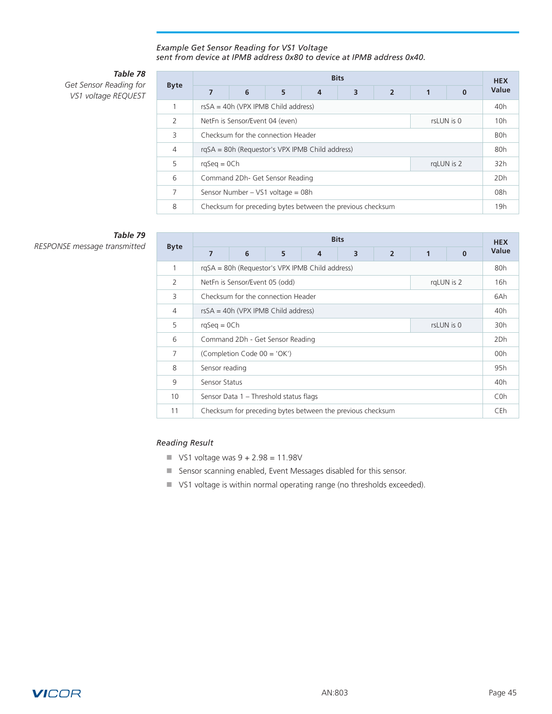### *Example Get Sensor Reading for VS1 Voltage sent from device at IPMB address 0x80 to device at IPMB address 0x40.*

# *Table 78*

*Get Sensor Reading for VS1 voltage REQUEST*

| <b>Byte</b>    | <b>Bits</b>                                                |   |   |   |   |                |  | <b>HEX</b>       |       |
|----------------|------------------------------------------------------------|---|---|---|---|----------------|--|------------------|-------|
|                | 7                                                          | 6 | 5 | 4 | 3 | $\overline{2}$ |  | $\Omega$         | Value |
|                | rsSA = 40h (VPX IPMB Child address)                        |   |   |   |   |                |  |                  |       |
| $\mathcal{P}$  | NetFn is Sensor/Event 04 (even)<br>rsLUN is 0              |   |   |   |   |                |  |                  | 10h   |
| 3              | Checksum for the connection Header                         |   |   |   |   |                |  | B <sub>0</sub> h |       |
| $\overline{4}$ | rgSA = 80h (Requestor's VPX IPMB Child address)            |   |   |   |   |                |  |                  | 80h   |
| 5              | rgLUN is 2<br>$rqSeq = OCh$                                |   |   |   |   |                |  |                  | 32h   |
| 6              | Command 2Dh- Get Sensor Reading                            |   |   |   |   |                |  | 2Dh              |       |
| 7              | Sensor Number – VS1 voltage = 08h                          |   |   |   |   |                |  | 08h              |       |
| 8              | Checksum for preceding bytes between the previous checksum |   |   |   |   |                |  | 19 <sub>h</sub>  |       |

# *Table 79*

 $RESPONSE$  message transmitted

|                | <b>Bits</b>                                                |   |   |   |   |                  |     |          |       |
|----------------|------------------------------------------------------------|---|---|---|---|------------------|-----|----------|-------|
| <b>Byte</b>    | 7                                                          | 6 | 5 | 4 | 3 | $\overline{2}$   | 1   | $\Omega$ | Value |
| 1              | rqSA = 80h (Requestor's VPX IPMB Child address)            |   |   |   |   |                  |     | 80h      |       |
| $\overline{2}$ | rgLUN is 2<br>NetFn is Sensor/Event 05 (odd)               |   |   |   |   |                  |     | 16h      |       |
| 3              | Checksum for the connection Header                         |   |   |   |   |                  | 6Ah |          |       |
| 4              | $rsSA = 40h$ (VPX IPMB Child address)                      |   |   |   |   |                  | 40h |          |       |
| 5              | rsLUN is 0<br>$rqSeq = OCh$                                |   |   |   |   |                  | 30h |          |       |
| 6              | Command 2Dh - Get Sensor Reading                           |   |   |   |   |                  | 2Dh |          |       |
| 7              | (Completion Code 00 = 'OK')                                |   |   |   |   |                  | 00h |          |       |
| 8              | Sensor reading                                             |   |   |   |   | 95h              |     |          |       |
| 9              | Sensor Status                                              |   |   |   |   | 40 <sub>h</sub>  |     |          |       |
| 10             | Sensor Data 1 - Threshold status flags                     |   |   |   |   | C <sub>0</sub> h |     |          |       |
| 11             | Checksum for preceding bytes between the previous checksum |   |   |   |   | CEh              |     |          |       |

# *Reading Result*

- $\blacksquare$  VS1 voltage was  $9 + 2.98 = 11.98V$
- **n** Sensor scanning enabled, Event Messages disabled for this sensor.
- VS1 voltage is within normal operating range (no thresholds exceeded).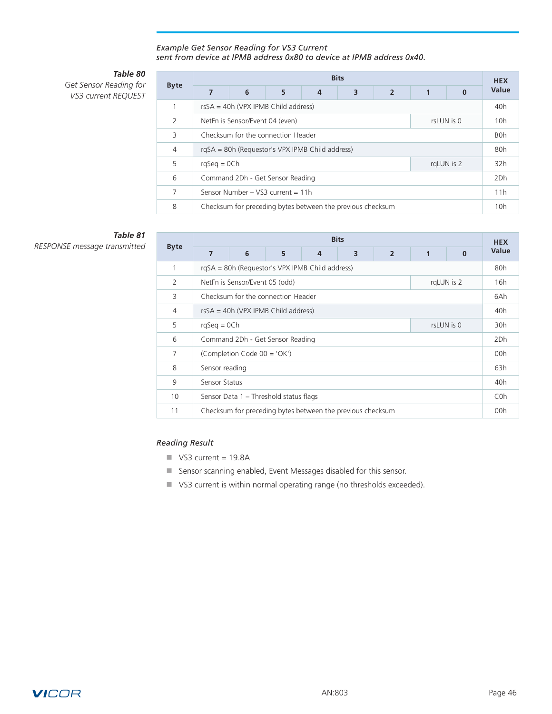### *Example Get Sensor Reading for VS3 Current sent from device at IPMB address 0x80 to device at IPMB address 0x40.*

# *Table 80*

*Get Sensor Reading for VS3 current REQUEST*

|               | <b>Bits</b>                                                |   |   |   |   |                |                  |                 |       |
|---------------|------------------------------------------------------------|---|---|---|---|----------------|------------------|-----------------|-------|
| <b>Byte</b>   | 7                                                          | 6 | 5 | 4 | 3 | $\overline{2}$ | $\mathbf{1}$     | $\Omega$        | Value |
|               | $rsSA = 40h$ (VPX IPMB Child address)                      |   |   |   |   |                |                  | 40 <sub>h</sub> |       |
| $\mathcal{P}$ | NetFn is Sensor/Event 04 (even)<br>rsLUN is 0              |   |   |   |   |                | 10h              |                 |       |
| 3             | Checksum for the connection Header                         |   |   |   |   |                | B <sub>O</sub> h |                 |       |
| 4             | rgSA = 80h (Requestor's VPX IPMB Child address)            |   |   |   |   |                | 80h              |                 |       |
| 5             | $rqSeq = OCh$<br>rgLUN is 2                                |   |   |   |   |                | 32h              |                 |       |
| 6             | Command 2Dh - Get Sensor Reading                           |   |   |   |   | 2Dh            |                  |                 |       |
| 7             | Sensor Number - VS3 current = 11h                          |   |   |   |   | 11h            |                  |                 |       |
| 8             | Checksum for preceding bytes between the previous checksum |   |   |   |   |                | 10h              |                 |       |

# *Table 81*

 $RESPONSE$  message transmitted

|                | <b>Bits</b>                                                |   |   |   |   |                  |     |          |       |
|----------------|------------------------------------------------------------|---|---|---|---|------------------|-----|----------|-------|
| <b>Byte</b>    | $\overline{7}$                                             | 6 | 5 | 4 | 3 | $\overline{2}$   |     | $\bf{0}$ | Value |
| 1              | rgSA = 80h (Requestor's VPX IPMB Child address)            |   |   |   |   |                  |     | 80h      |       |
| $\overline{2}$ | NetFn is Sensor/Event 05 (odd)<br>rgLUN is 2               |   |   |   |   |                  |     | 16h      |       |
| 3              | Checksum for the connection Header                         |   |   |   |   |                  | 6Ah |          |       |
| $\overline{4}$ | $rsSA = 40h (VPX IPMB Child address)$                      |   |   |   |   |                  | 40h |          |       |
| 5              | rsLUN is 0<br>$rqSeq = OCh$                                |   |   |   |   |                  | 30h |          |       |
| 6              | Command 2Dh - Get Sensor Reading                           |   |   |   |   |                  | 2Dh |          |       |
| 7              | (Completion Code 00 = 'OK')                                |   |   |   |   |                  | 00h |          |       |
| 8              | Sensor reading                                             |   |   |   |   | 63h              |     |          |       |
| 9              | Sensor Status                                              |   |   |   |   | 40h              |     |          |       |
| 10             | Sensor Data 1 - Threshold status flags                     |   |   |   |   | C <sub>0</sub> h |     |          |       |
| 11             | Checksum for preceding bytes between the previous checksum |   |   |   |   | 00h              |     |          |       |

# *Reading Result*

- $\blacksquare$  VS3 current = 19.8A
- **n** Sensor scanning enabled, Event Messages disabled for this sensor.
- VS3 current is within normal operating range (no thresholds exceeded).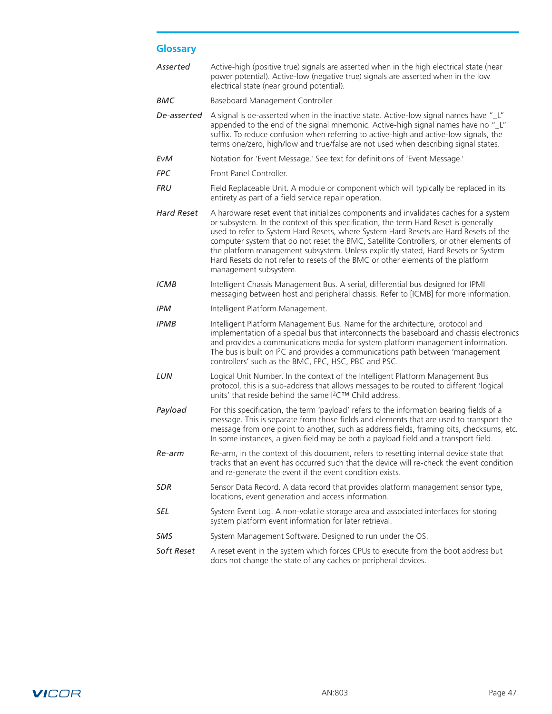# <span id="page-46-0"></span>**Glossary**

| Asserted          | Active-high (positive true) signals are asserted when in the high electrical state (near<br>power potential). Active-low (negative true) signals are asserted when in the low<br>electrical state (near ground potential).                                                                                                                                                                                                                                                                                                                                         |
|-------------------|--------------------------------------------------------------------------------------------------------------------------------------------------------------------------------------------------------------------------------------------------------------------------------------------------------------------------------------------------------------------------------------------------------------------------------------------------------------------------------------------------------------------------------------------------------------------|
| BMC               | Baseboard Management Controller                                                                                                                                                                                                                                                                                                                                                                                                                                                                                                                                    |
| De-asserted       | A signal is de-asserted when in the inactive state. Active-low signal names have "L"<br>appended to the end of the signal mnemonic. Active-high signal names have no "_L"<br>suffix. To reduce confusion when referring to active-high and active-low signals, the<br>terms one/zero, high/low and true/false are not used when describing signal states.                                                                                                                                                                                                          |
| EvM               | Notation for 'Event Message.' See text for definitions of 'Event Message.'                                                                                                                                                                                                                                                                                                                                                                                                                                                                                         |
| <b>FPC</b>        | Front Panel Controller.                                                                                                                                                                                                                                                                                                                                                                                                                                                                                                                                            |
| FRU               | Field Replaceable Unit. A module or component which will typically be replaced in its<br>entirety as part of a field service repair operation.                                                                                                                                                                                                                                                                                                                                                                                                                     |
| <b>Hard Reset</b> | A hardware reset event that initializes components and invalidates caches for a system<br>or subsystem. In the context of this specification, the term Hard Reset is generally<br>used to refer to System Hard Resets, where System Hard Resets are Hard Resets of the<br>computer system that do not reset the BMC, Satellite Controllers, or other elements of<br>the platform management subsystem. Unless explicitly stated, Hard Resets or System<br>Hard Resets do not refer to resets of the BMC or other elements of the platform<br>management subsystem. |
| <b>ICMB</b>       | Intelligent Chassis Management Bus. A serial, differential bus designed for IPMI<br>messaging between host and peripheral chassis. Refer to [ICMB] for more information.                                                                                                                                                                                                                                                                                                                                                                                           |
| <b>IPM</b>        | Intelligent Platform Management.                                                                                                                                                                                                                                                                                                                                                                                                                                                                                                                                   |
| <b>IPMB</b>       | Intelligent Platform Management Bus. Name for the architecture, protocol and<br>implementation of a special bus that interconnects the baseboard and chassis electronics<br>and provides a communications media for system platform management information.<br>The bus is built on I <sup>2</sup> C and provides a communications path between 'management<br>controllers' such as the BMC, FPC, HSC, PBC and PSC.                                                                                                                                                 |
| LUN               | Logical Unit Number. In the context of the Intelligent Platform Management Bus<br>protocol, this is a sub-address that allows messages to be routed to different 'logical<br>units' that reside behind the same I <sup>2</sup> C™ Child address.                                                                                                                                                                                                                                                                                                                   |
| Payload           | For this specification, the term 'payload' refers to the information bearing fields of a<br>message. This is separate from those fields and elements that are used to transport the<br>message from one point to another, such as address fields, framing bits, checksums, etc.<br>In some instances, a given field may be both a payload field and a transport field.                                                                                                                                                                                             |
| Re-arm            | Re-arm, in the context of this document, refers to resetting internal device state that<br>tracks that an event has occurred such that the device will re-check the event condition<br>and re-generate the event if the event condition exists.                                                                                                                                                                                                                                                                                                                    |
| SDR               | Sensor Data Record. A data record that provides platform management sensor type,<br>locations, event generation and access information.                                                                                                                                                                                                                                                                                                                                                                                                                            |
| SEL               | System Event Log. A non-volatile storage area and associated interfaces for storing<br>system platform event information for later retrieval.                                                                                                                                                                                                                                                                                                                                                                                                                      |
| SMS               | System Management Software. Designed to run under the OS.                                                                                                                                                                                                                                                                                                                                                                                                                                                                                                          |
| Soft Reset        | A reset event in the system which forces CPUs to execute from the boot address but<br>does not change the state of any caches or peripheral devices.                                                                                                                                                                                                                                                                                                                                                                                                               |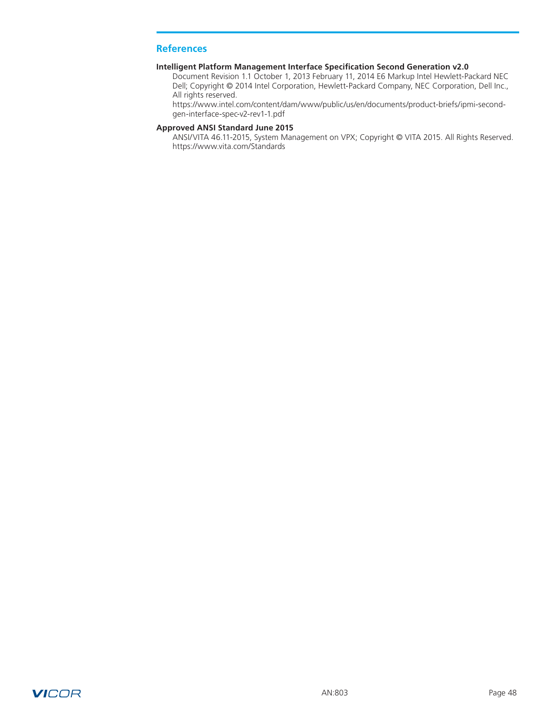## <span id="page-47-0"></span>**References**

### **Intelligent Platform Management Interface Specification Second Generation v2.0**

Document Revision 1.1 October 1, 2013 February 11, 2014 E6 Markup Intel Hewlett-Packard NEC Dell; Copyright © 2014 Intel Corporation, Hewlett-Packard Company, NEC Corporation, Dell Inc., All rights reserved.

https://www.intel.com/content/dam/www/public/us/en/documents/product-briefs/ipmi-secondgen-interface-spec-v2-rev1-1.pdf

### **Approved ANSI Standard June 2015**

ANSI/VITA 46.11-2015, System Management on VPX; Copyright © VITA 2015. All Rights Reserved. https://www.vita.com/Standards